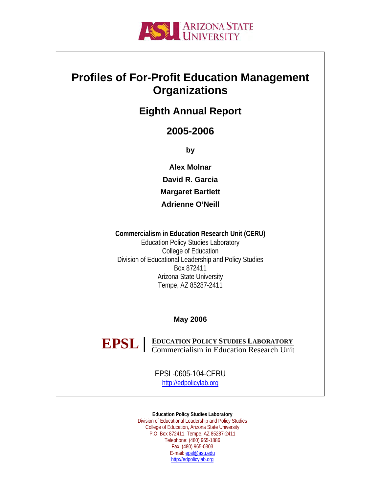

## **Profiles of For-Profit Education Management Organizations**

## **Eighth Annual Report**

## **2005-2006**

**by** 

**Alex Molnar David R. Garcia Margaret Bartlett Adrienne O'Neill** 

**Commercialism in Education Research Unit (CERU)**  Education Policy Studies Laboratory College of Education Division of Educational Leadership and Policy Studies Box 872411 Arizona State University Tempe, AZ 85287-2411

**May 2006** 

**EDUCATION POLICY STUDIES LABORATORY EPSL EDUCATION POLICY STUDIES LABORATORY**<br> **Commercialism in Education Research Unit** 

> EPSL-0605-104-CERU [http://edpolicylab.org](http://edpolicylab.org/)

**Education Policy Studies Laboratory**  Division of Educational Leadership and Policy Studies College of Education, Arizona State University P.O. Box 872411, Tempe, AZ 85287-2411 Telephone: (480) 965-1886 Fax: (480) 965-0303 E-mail: [epsl@asu.edu](mailto:epsl@asu.edu) [http://edpolicylab.org](http://edpolicylab.org/)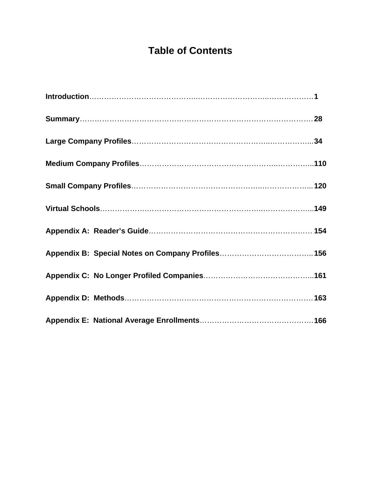# **Table of Contents**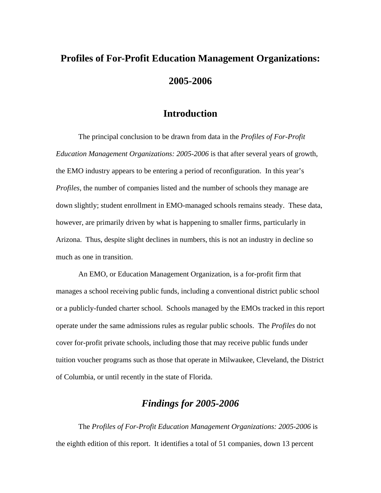# **Profiles of For-Profit Education Management Organizations: 2005-2006**

### **Introduction**

The principal conclusion to be drawn from data in the *Profiles of For-Profit Education Management Organizations: 2005-2006* is that after several years of growth, the EMO industry appears to be entering a period of reconfiguration. In this year's *Profiles*, the number of companies listed and the number of schools they manage are down slightly; student enrollment in EMO-managed schools remains steady. These data, however, are primarily driven by what is happening to smaller firms, particularly in Arizona. Thus, despite slight declines in numbers, this is not an industry in decline so much as one in transition.

An EMO, or Education Management Organization, is a for-profit firm that manages a school receiving public funds, including a conventional district public school or a publicly-funded charter school. Schools managed by the EMOs tracked in this report operate under the same admissions rules as regular public schools. The *Profiles* do not cover for-profit private schools, including those that may receive public funds under tuition voucher programs such as those that operate in Milwaukee, Cleveland, the District of Columbia, or until recently in the state of Florida.

## *Findings for 2005-2006*

The *Profiles of For-Profit Education Management Organizations: 2005-2006* is the eighth edition of this report. It identifies a total of 51 companies, down 13 percent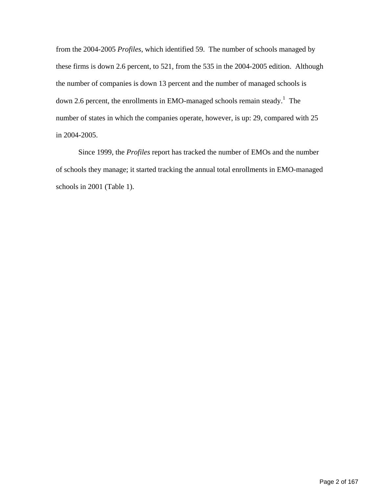from the 2004-2005 *Profiles*, which identified 59. The number of schools managed by these firms is down 2.6 percent, to 521, from the 535 in the 2004-2005 edition. Although the number of companies is down 13 percent and the number of managed schools is down 2.6 percent, the enrollments in EMO-managed schools remain steady.<sup>[1](#page-28-0)</sup> The number of states in which the companies operate, however, is up: 29, compared with 25 in 2004-2005.

Since 1999, the *Profiles* report has tracked the number of EMOs and the number of schools they manage; it started tracking the annual total enrollments in EMO-managed schools in 2001 (Table 1).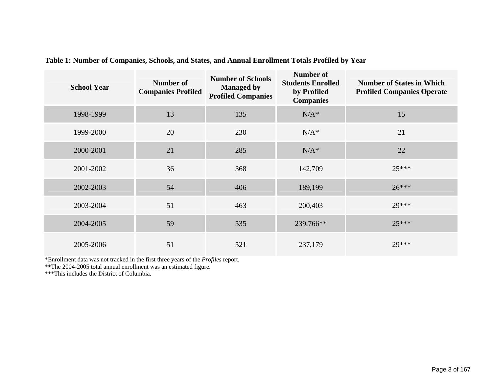| <b>School Year</b> | <b>Number of</b><br><b>Companies Profiled</b> | <b>Number of Schools</b><br><b>Managed by</b><br><b>Profiled Companies</b> | <b>Number of</b><br><b>Students Enrolled</b><br>by Profiled<br><b>Companies</b> | <b>Number of States in Which</b><br><b>Profiled Companies Operate</b> |
|--------------------|-----------------------------------------------|----------------------------------------------------------------------------|---------------------------------------------------------------------------------|-----------------------------------------------------------------------|
| 1998-1999          | 13                                            | 135                                                                        | $N/A^*$                                                                         | 15                                                                    |
| 1999-2000          | 20                                            | 230                                                                        | $N/A^*$                                                                         | 21                                                                    |
| 2000-2001          | 21                                            | 285                                                                        | $N/A^*$                                                                         | 22                                                                    |
| 2001-2002          | 36                                            | 368                                                                        | 142,709                                                                         | $25***$                                                               |
| 2002-2003          | 54                                            | 406                                                                        | 189,199                                                                         | $26***$                                                               |
| 2003-2004          | 51                                            | 463                                                                        | 200,403                                                                         | 29***                                                                 |
| 2004-2005          | 59                                            | 535                                                                        | 239,766**                                                                       | $25***$                                                               |
| 2005-2006          | 51                                            | 521                                                                        | 237,179                                                                         | 29***                                                                 |

**Table 1: Number of Companies, Schools, and States, and Annual Enrollment Totals Profiled by Year** 

\*Enrollment data was not tracked in the first three years of the *Profiles* report.

\*\*The 2004-2005 total annual enrollment was an estimated figure.

\*\*\*This includes the District of Columbia.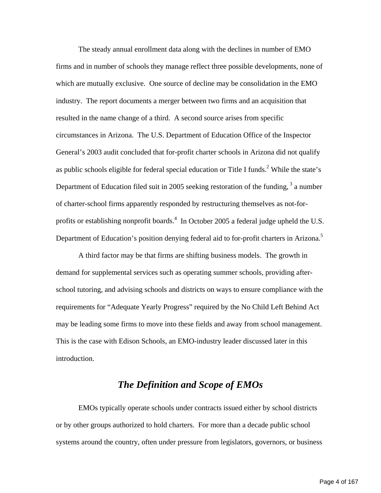The steady annual enrollment data along with the declines in number of EMO firms and in number of schools they manage reflect three possible developments, none of which are mutually exclusive. One source of decline may be consolidation in the EMO industry. The report documents a merger between two firms and an acquisition that resulted in the name change of a third. A second source arises from specific circumstances in Arizona. The U.S. Department of Education Office of the Inspector General's 2003 audit concluded that for-profit charter schools in Arizona did not qualify as public schools eligible for federal special education or Title I funds.<sup>[2](#page-28-1)</sup> While the state's Department of Education filed suit in 2005 seeking restoration of the funding, <sup>3</sup> a number of charter-school firms apparently responded by restructuring themselves as not-forprofits or establishing nonprofit boards. $4\,$  $4\,$  In October 2005 a federal judge upheld the U.S. Department of Education's position denying federal aid to for-profit charters in Arizona.<sup>5</sup>

A third factor may be that firms are shifting business models. The growth in demand for supplemental services such as operating summer schools, providing afterschool tutoring, and advising schools and districts on ways to ensure compliance with the requirements for "Adequate Yearly Progress" required by the No Child Left Behind Act may be leading some firms to move into these fields and away from school management. This is the case with Edison Schools, an EMO-industry leader discussed later in this introduction.

### *The Definition and Scope of EMOs*

EMOs typically operate schools under contracts issued either by school districts or by other groups authorized to hold charters. For more than a decade public school systems around the country, often under pressure from legislators, governors, or business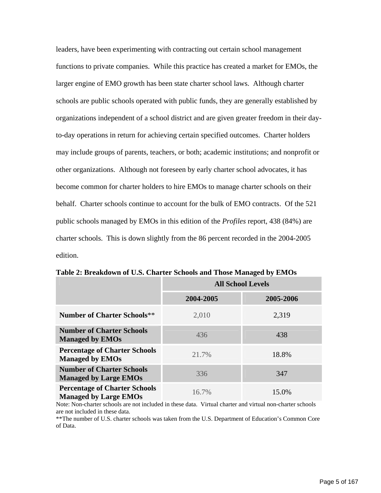leaders, have been experimenting with contracting out certain school management functions to private companies. While this practice has created a market for EMOs, the larger engine of EMO growth has been state charter school laws. Although charter schools are public schools operated with public funds, they are generally established by organizations independent of a school district and are given greater freedom in their dayto-day operations in return for achieving certain specified outcomes. Charter holders may include groups of parents, teachers, or both; academic institutions; and nonprofit or other organizations. Although not foreseen by early charter school advocates, it has become common for charter holders to hire EMOs to manage charter schools on their behalf. Charter schools continue to account for the bulk of EMO contracts. Of the 521 public schools managed by EMOs in this edition of the *Profiles* report, 438 (84%) are charter schools. This is down slightly from the 86 percent recorded in the 2004-2005 edition.

|                                                                      | <b>All School Levels</b> |           |  |  |
|----------------------------------------------------------------------|--------------------------|-----------|--|--|
|                                                                      | 2004-2005                | 2005-2006 |  |  |
| <b>Number of Charter Schools**</b>                                   | 2,010                    | 2,319     |  |  |
| <b>Number of Charter Schools</b><br><b>Managed by EMOs</b>           | 436                      | 438       |  |  |
| <b>Percentage of Charter Schools</b><br><b>Managed by EMOs</b>       | 21.7%                    | 18.8%     |  |  |
| <b>Number of Charter Schools</b><br><b>Managed by Large EMOs</b>     | 336                      | 347       |  |  |
| <b>Percentage of Charter Schools</b><br><b>Managed by Large EMOs</b> | $16.7\%$                 | 15.0%     |  |  |

**Table 2: Breakdown of U.S. Charter Schools and Those Managed by EMOs** 

Note: Non-charter schools are not included in these data. Virtual charter and virtual non-charter schools are not included in these data.

\*\*The number of U.S. charter schools was taken from the U.S. Department of Education's Common Core of Data.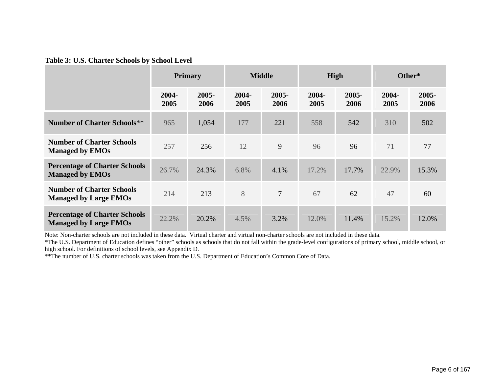#### **Table 3: U.S. Charter Schools by School Level**

|                                                                      | <b>Primary</b> |                  |               | <b>Middle</b>  | High          |                  | Other*        |               |
|----------------------------------------------------------------------|----------------|------------------|---------------|----------------|---------------|------------------|---------------|---------------|
|                                                                      | 2004-<br>2005  | $2005 -$<br>2006 | 2004-<br>2005 | 2005-<br>2006  | 2004-<br>2005 | $2005 -$<br>2006 | 2004-<br>2005 | 2005-<br>2006 |
| <b>Number of Charter Schools**</b>                                   | 965            | 1,054            | 177           | 221            | 558           | 542              | 310           | 502           |
| <b>Number of Charter Schools</b><br><b>Managed by EMOs</b>           | 257            | 256              | 12            | 9              | 96            | 96               | 71            | 77            |
| <b>Percentage of Charter Schools</b><br><b>Managed by EMOs</b>       | 26.7%          | 24.3%            | 6.8%          | 4.1%           | 17.2%         | 17.7%            | 22.9%         | 15.3%         |
| <b>Number of Charter Schools</b><br><b>Managed by Large EMOs</b>     | 214            | 213              | 8             | $\overline{7}$ | 67            | 62               | 47            | 60            |
| <b>Percentage of Charter Schools</b><br><b>Managed by Large EMOs</b> | 22.2%          | 20.2%            | 4.5%          | 3.2%           | 12.0%         | 11.4%            | 15.2%         | 12.0%         |

Note: Non-charter schools are not included in these data. Virtual charter and virtual non-charter schools are not included in these data.

\*The U.S. Department of Education defines "other" schools as schools that do not fall within the grade-level configurations of primary school, middle school, or high school. For definitions of school levels, see Appendix D.

\*\*The number of U.S. charter schools was taken from the U.S. Department of Education's Common Core of Data.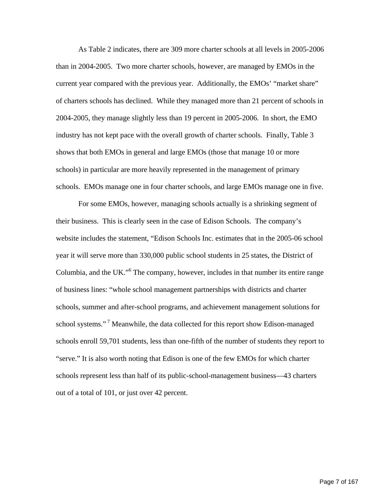As Table 2 indicates, there are 309 more charter schools at all levels in 2005-2006 than in 2004-2005. Two more charter schools, however, are managed by EMOs in the current year compared with the previous year. Additionally, the EMOs' "market share" of charters schools has declined. While they managed more than 21 percent of schools in 2004-2005, they manage slightly less than 19 percent in 2005-2006. In short, the EMO industry has not kept pace with the overall growth of charter schools. Finally, Table 3 shows that both EMOs in general and large EMOs (those that manage 10 or more schools) in particular are more heavily represented in the management of primary schools. EMOs manage one in four charter schools, and large EMOs manage one in five.

For some EMOs, however, managing schools actually is a shrinking segment of their business. This is clearly seen in the case of Edison Schools. The company's website includes the statement, "Edison Schools Inc. estimates that in the 2005-06 school year it will serve more than 330,000 public school students in 25 states, the District of Columbia, and the UK."<sup>[6](#page-28-5)</sup> The company, however, includes in that number its entire range of business lines: "whole school management partnerships with districts and charter schools, summer and after-school programs, and achievement management solutions for school systems."<sup>7</sup> Meanwhile, the data collected for this report show Edison-managed schools enroll 59,701 students, less than one-fifth of the number of students they report to "serve." It is also worth noting that Edison is one of the few EMOs for which charter schools represent less than half of its public-school-management business—43 charters out of a total of 101, or just over 42 percent.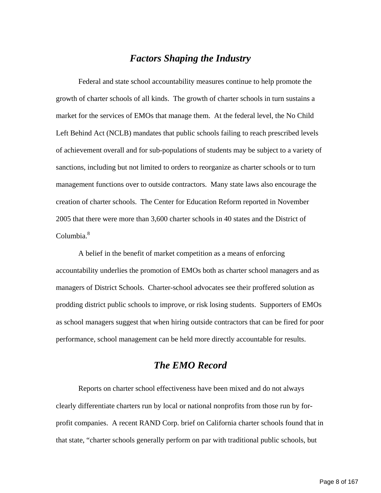#### *Factors Shaping the Industry*

Federal and state school accountability measures continue to help promote the growth of charter schools of all kinds. The growth of charter schools in turn sustains a market for the services of EMOs that manage them. At the federal level, the No Child Left Behind Act (NCLB) mandates that public schools failing to reach prescribed levels of achievement overall and for sub-populations of students may be subject to a variety of sanctions, including but not limited to orders to reorganize as charter schools or to turn management functions over to outside contractors. Many state laws also encourage the creation of charter schools. The Center for Education Reform reported in November 2005 that there were more than 3,600 charter schools in 40 states and the District of  $C$ olumbia. $8<sup>8</sup>$ 

 A belief in the benefit of market competition as a means of enforcing accountability underlies the promotion of EMOs both as charter school managers and as managers of District Schools. Charter-school advocates see their proffered solution as prodding district public schools to improve, or risk losing students. Supporters of EMOs as school managers suggest that when hiring outside contractors that can be fired for poor performance, school management can be held more directly accountable for results.

#### *The EMO Record*

 Reports on charter school effectiveness have been mixed and do not always clearly differentiate charters run by local or national nonprofits from those run by forprofit companies. A recent RAND Corp. brief on California charter schools found that in that state, "charter schools generally perform on par with traditional public schools, but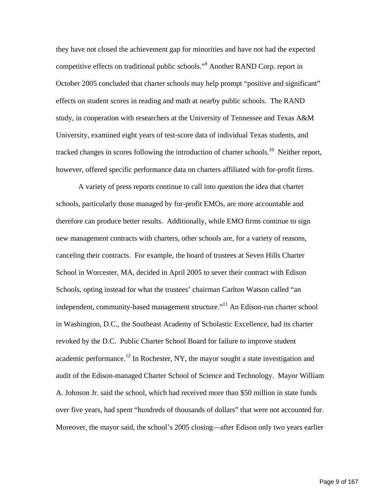they have not closed the achievement gap for minorities and have not had the expected competitive effects on traditional public schools.["9](#page-28-8) Another RAND Corp. report in October 2005 concluded that charter schools may help prompt "positive and significant" effects on student scores in reading and math at nearby public schools. The RAND study, in cooperation with researchers at the University of Tennessee and Texas A&M University, examined eight years of test-score data of individual Texas students, and tracked changes in scores following the introduction of charter schools.<sup>10</sup> Neither report, however, offered specific performance data on charters affiliated with for-profit firms.

 A variety of press reports continue to call into question the idea that charter schools, particularly those managed by for-profit EMOs, are more accountable and therefore can produce better results. Additionally, while EMO firms continue to sign new management contracts with charters, other schools are, for a variety of reasons, canceling their contracts. For example, the board of trustees at Seven Hills Charter School in Worcester, MA, decided in April 2005 to sever their contract with Edison Schools, opting instead for what the trustees' chairman Carlton Watson called "an independent, community-based management structure."<sup>11</sup> An Edison-run charter school in Washington, D.C., the Southeast Academy of Scholastic Excellence, had its charter revoked by the D.C. Public Charter School Board for failure to improve student academic performance.<sup>12</sup> In Rochester, NY, the mayor sought a state investigation and audit of the Edison-managed Charter School of Science and Technology. Mayor William A. Johnson Jr. said the school, which had received more than \$50 million in state funds over five years, had spent "hundreds of thousands of dollars" that were not accounted for. Moreover, the mayor said, the school's 2005 closing—after Edison only two years earlier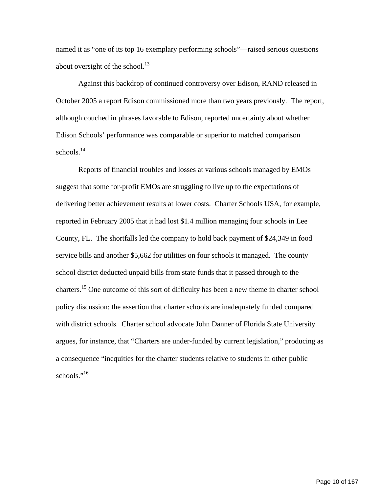named it as "one of its top 16 exemplary performing schools"—raised serious questions about oversight of the school. $^{13}$ 

Against this backdrop of continued controversy over Edison, RAND released in October 2005 a report Edison commissioned more than two years previously. The report, although couched in phrases favorable to Edison, reported uncertainty about whether Edison Schools' performance was comparable or superior to matched comparison schools. $14$ 

Reports of financial troubles and losses at various schools managed by EMOs suggest that some for-profit EMOs are struggling to live up to the expectations of delivering better achievement results at lower costs. Charter Schools USA, for example, reported in February 2005 that it had lost \$1.4 million managing four schools in Lee County, FL. The shortfalls led the company to hold back payment of \$24,349 in food service bills and another \$5,662 for utilities on four schools it managed. The county school district deducted unpaid bills from state funds that it passed through to the charters[.15](#page-28-14) One outcome of this sort of difficulty has been a new theme in charter school policy discussion: the assertion that charter schools are inadequately funded compared with district schools. Charter school advocate John Danner of Florida State University argues, for instance, that "Charters are under-funded by current legislation," producing as a consequence "inequities for the charter students relative to students in other public schools."<sup>16</sup>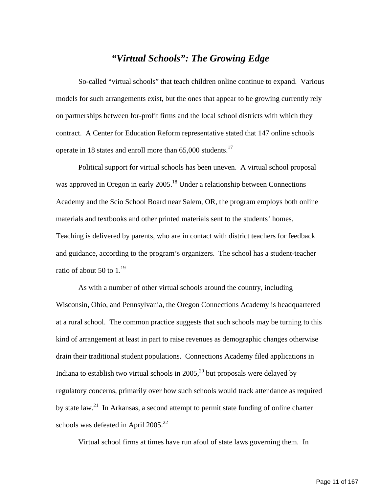## *"Virtual Schools": The Growing Edge*

So-called "virtual schools" that teach children online continue to expand. Various models for such arrangements exist, but the ones that appear to be growing currently rely on partnerships between for-profit firms and the local school districts with which they contract. A Center for Education Reform representative stated that 147 online schools operate in 18 states and enroll more than  $65,000$  students.<sup>[17](#page-28-16)</sup>

Political support for virtual schools has been uneven. A virtual school proposal was approved in Oregon in early 2005.<sup>18</sup> Under a relationship between Connections Academy and the Scio School Board near Salem, OR, the program employs both online materials and textbooks and other printed materials sent to the students' homes. Teaching is delivered by parents, who are in contact with district teachers for feedback and guidance, according to the program's organizers. The school has a student-teacher ratio of about 50 to  $1.^{19}$ 

As with a number of other virtual schools around the country, including Wisconsin, Ohio, and Pennsylvania, the Oregon Connections Academy is headquartered at a rural school. The common practice suggests that such schools may be turning to this kind of arrangement at least in part to raise revenues as demographic changes otherwise drain their traditional student populations. Connections Academy filed applications in Indiana to establish two virtual schools in  $2005<sup>20</sup>$  but proposals were delayed by regulatory concerns, primarily over how such schools would track attendance as required by state law.<sup>21</sup> In Arkansas, a second attempt to permit state funding of online charter schools was defeated in April  $2005.<sup>22</sup>$ 

Virtual school firms at times have run afoul of state laws governing them. In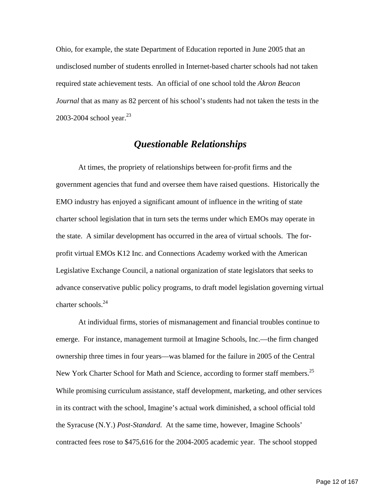Ohio, for example, the state Department of Education reported in June 2005 that an undisclosed number of students enrolled in Internet-based charter schools had not taken required state achievement tests. An official of one school told the *Akron Beacon Journal* that as many as 82 percent of his school's students had not taken the tests in the 2003-2004 school year. $23$ 

## *Questionable Relationships*

At times, the propriety of relationships between for-profit firms and the government agencies that fund and oversee them have raised questions. Historically the EMO industry has enjoyed a significant amount of influence in the writing of state charter school legislation that in turn sets the terms under which EMOs may operate in the state. A similar development has occurred in the area of virtual schools. The forprofit virtual EMOs K12 Inc. and Connections Academy worked with the American Legislative Exchange Council, a national organization of state legislators that seeks to advance conservative public policy programs, to draft model legislation governing virtual charter schools.<sup>24</sup>

At individual firms, stories of mismanagement and financial troubles continue to emerge. For instance, management turmoil at Imagine Schools, Inc.—the firm changed ownership three times in four years—was blamed for the failure in 2005 of the Central New York Charter School for Math and Science, according to former staff members.<sup>25</sup> While promising curriculum assistance, staff development, marketing, and other services in its contract with the school, Imagine's actual work diminished, a school official told the Syracuse (N.Y.) *Post-Standard.* At the same time, however, Imagine Schools' contracted fees rose to \$475,616 for the 2004-2005 academic year. The school stopped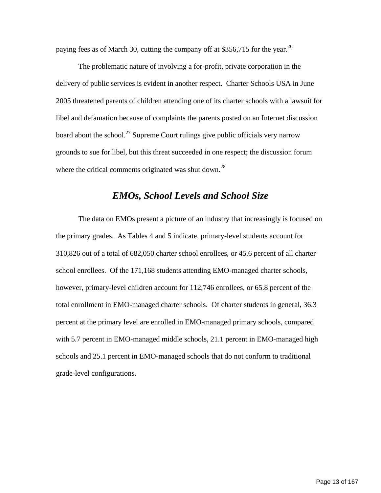paying fees as of March 30, cutting the company off at \$356,715 for the year.<sup>26</sup>

The problematic nature of involving a for-profit, private corporation in the delivery of public services is evident in another respect. Charter Schools USA in June 2005 threatened parents of children attending one of its charter schools with a lawsuit for libel and defamation because of complaints the parents posted on an Internet discussion board about the school.<sup>27</sup> Supreme Court rulings give public officials very narrow grounds to sue for libel, but this threat succeeded in one respect; the discussion forum where the critical comments originated was shut down.<sup>[28](#page-28-24)</sup>

#### *EMOs, School Levels and School Size*

The data on EMOs present a picture of an industry that increasingly is focused on the primary grades. As Tables 4 and 5 indicate, primary-level students account for 310,826 out of a total of 682,050 charter school enrollees, or 45.6 percent of all charter school enrollees. Of the 171,168 students attending EMO-managed charter schools, however, primary-level children account for 112,746 enrollees, or 65.8 percent of the total enrollment in EMO-managed charter schools. Of charter students in general, 36.3 percent at the primary level are enrolled in EMO-managed primary schools, compared with 5.7 percent in EMO-managed middle schools, 21.1 percent in EMO-managed high schools and 25.1 percent in EMO-managed schools that do not conform to traditional grade-level configurations.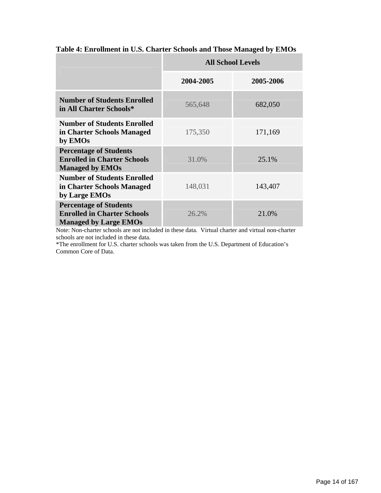|                                                                                                     | <b>All School Levels</b> |           |  |  |  |
|-----------------------------------------------------------------------------------------------------|--------------------------|-----------|--|--|--|
|                                                                                                     | 2004-2005                | 2005-2006 |  |  |  |
| <b>Number of Students Enrolled</b><br>in All Charter Schools*                                       | 565,648                  | 682,050   |  |  |  |
| <b>Number of Students Enrolled</b><br>in Charter Schools Managed<br>by EMOs                         | 175,350                  | 171,169   |  |  |  |
| <b>Percentage of Students</b><br><b>Enrolled in Charter Schools</b><br><b>Managed by EMOs</b>       | 31.0%                    | 25.1%     |  |  |  |
| <b>Number of Students Enrolled</b><br>in Charter Schools Managed<br>by Large EMOs                   | 148,031                  | 143,407   |  |  |  |
| <b>Percentage of Students</b><br><b>Enrolled in Charter Schools</b><br><b>Managed by Large EMOs</b> | 26.2%                    | 21.0%     |  |  |  |

#### **Table 4: Enrollment in U.S. Charter Schools and Those Managed by EMOs**

Note: Non-charter schools are not included in these data. Virtual charter and virtual non-charter schools are not included in these data.

\*The enrollment for U.S. charter schools was taken from the U.S. Department of Education's Common Core of Data.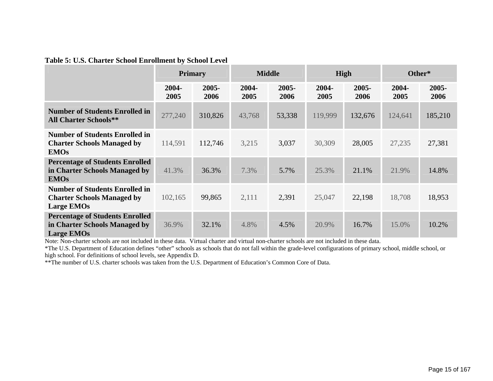|  |  |  | Table 5: U.S. Charter School Enrollment by School Level |
|--|--|--|---------------------------------------------------------|
|  |  |  |                                                         |

|                                                                                                 |               | <b>Primary</b>   | <b>Middle</b> |                  | High          |                  | Other*        |                  |
|-------------------------------------------------------------------------------------------------|---------------|------------------|---------------|------------------|---------------|------------------|---------------|------------------|
|                                                                                                 | 2004-<br>2005 | $2005 -$<br>2006 | 2004-<br>2005 | $2005 -$<br>2006 | 2004-<br>2005 | $2005 -$<br>2006 | 2004-<br>2005 | $2005 -$<br>2006 |
| <b>Number of Students Enrolled in</b><br><b>All Charter Schools**</b>                           | 277,240       | 310,826          | 43,768        | 53,338           | 119,999       | 132,676          | 124,641       | 185,210          |
| <b>Number of Students Enrolled in</b><br><b>Charter Schools Managed by</b><br><b>EMOs</b>       | 114,591       | 112,746          | 3,215         | 3,037            | 30,309        | 28,005           | 27,235        | 27,381           |
| <b>Percentage of Students Enrolled</b><br>in Charter Schools Managed by<br><b>EMOs</b>          | 41.3%         | 36.3%            | 7.3%          | 5.7%             | 25.3%         | 21.1%            | 21.9%         | 14.8%            |
| <b>Number of Students Enrolled in</b><br><b>Charter Schools Managed by</b><br><b>Large EMOs</b> | 102,165       | 99,865           | 2,111         | 2,391            | 25,047        | 22,198           | 18,708        | 18,953           |
| <b>Percentage of Students Enrolled</b><br>in Charter Schools Managed by<br><b>Large EMOs</b>    | 36.9%         | 32.1%            | 4.8%          | 4.5%             | 20.9%         | 16.7%            | 15.0%         | 10.2%            |

Note: Non-charter schools are not included in these data. Virtual charter and virtual non-charter schools are not included in these data.

\*The U.S. Department of Education defines "other" schools as schools that do not fall within the grade-level configurations of primary school, middle school, or high school. For definitions of school levels, see Appendix D.

\*\*The number of U.S. charter schools was taken from the U.S. Department of Education's Common Core of Data.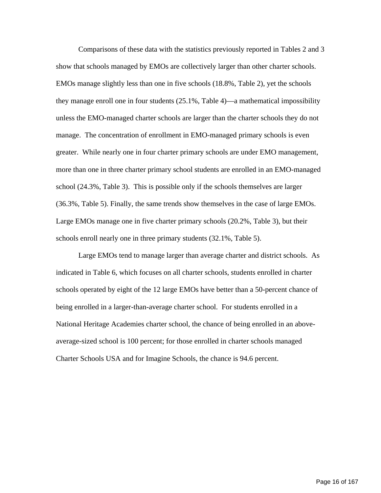Comparisons of these data with the statistics previously reported in Tables 2 and 3 show that schools managed by EMOs are collectively larger than other charter schools. EMOs manage slightly less than one in five schools (18.8%, Table 2), yet the schools they manage enroll one in four students (25.1%, Table 4)—a mathematical impossibility unless the EMO-managed charter schools are larger than the charter schools they do not manage. The concentration of enrollment in EMO-managed primary schools is even greater. While nearly one in four charter primary schools are under EMO management, more than one in three charter primary school students are enrolled in an EMO-managed school (24.3%, Table 3). This is possible only if the schools themselves are larger (36.3%, Table 5). Finally, the same trends show themselves in the case of large EMOs. Large EMOs manage one in five charter primary schools (20.2%, Table 3), but their schools enroll nearly one in three primary students (32.1%, Table 5).

Large EMOs tend to manage larger than average charter and district schools. As indicated in Table 6, which focuses on all charter schools, students enrolled in charter schools operated by eight of the 12 large EMOs have better than a 50-percent chance of being enrolled in a larger-than-average charter school. For students enrolled in a National Heritage Academies charter school, the chance of being enrolled in an aboveaverage-sized school is 100 percent; for those enrolled in charter schools managed Charter Schools USA and for Imagine Schools, the chance is 94.6 percent.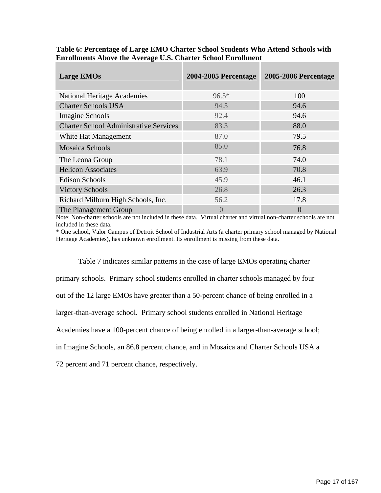| <b>Large EMOs</b>                             | <b>2004-2005 Percentage</b> | <b>2005-2006 Percentage</b> |
|-----------------------------------------------|-----------------------------|-----------------------------|
| <b>National Heritage Academies</b>            | $96.5*$                     | 100                         |
| <b>Charter Schools USA</b>                    | 94.5                        | 94.6                        |
| Imagine Schools                               | 92.4                        | 94.6                        |
| <b>Charter School Administrative Services</b> | 83.3                        | 88.0                        |
| White Hat Management                          | 87.0                        | 79.5                        |
| <b>Mosaica Schools</b>                        | 85.0                        | 76.8                        |
| The Leona Group                               | 78.1                        | 74.0                        |
| <b>Helicon Associates</b>                     | 63.9                        | 70.8                        |
| <b>Edison Schools</b>                         | 45.9                        | 46.1                        |
| <b>Victory Schools</b>                        | 26.8                        | 26.3                        |
| Richard Milburn High Schools, Inc.            | 56.2                        | 17.8                        |
| The Planagement Group                         |                             | $\overline{0}$              |

**Table 6: Percentage of Large EMO Charter School Students Who Attend Schools with Enrollments Above the Average U.S. Charter School Enrollment** 

Note: Non-charter schools are not included in these data. Virtual charter and virtual non-charter schools are not included in these data.

\* One school, Valor Campus of Detroit School of Industrial Arts (a charter primary school managed by National Heritage Academies), has unknown enrollment. Its enrollment is missing from these data.

Table 7 indicates similar patterns in the case of large EMOs operating charter primary schools. Primary school students enrolled in charter schools managed by four out of the 12 large EMOs have greater than a 50-percent chance of being enrolled in a larger-than-average school. Primary school students enrolled in National Heritage Academies have a 100-percent chance of being enrolled in a larger-than-average school; in Imagine Schools, an 86.8 percent chance, and in Mosaica and Charter Schools USA a

72 percent and 71 percent chance, respectively.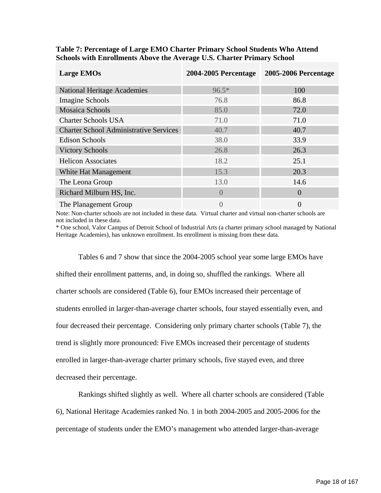| <b>Large EMOs</b>                             | <b>2004-2005 Percentage</b> | 2005-2006 Percentage |
|-----------------------------------------------|-----------------------------|----------------------|
| <b>National Heritage Academies</b>            | $96.5*$                     | 100                  |
| <b>Imagine Schools</b>                        | 76.8                        | 86.8                 |
| <b>Mosaica Schools</b>                        | 85.0                        | 72.0                 |
| <b>Charter Schools USA</b>                    | 71.0                        | 71.0                 |
| <b>Charter School Administrative Services</b> | 40.7                        | 40.7                 |
| <b>Edison Schools</b>                         | 38.0                        | 33.9                 |
| <b>Victory Schools</b>                        | 26.8                        | 26.3                 |
| <b>Helicon Associates</b>                     | 18.2                        | 25.1                 |
| White Hat Management                          | 15.3                        | 20.3                 |
| The Leona Group                               | 13.0                        | 14.6                 |
| Richard Milburn HS, Inc.                      | $\Omega$                    | $\overline{0}$       |
| The Planagement Group                         | $\overline{0}$              | $\overline{0}$       |

#### **Table 7: Percentage of Large EMO Charter Primary School Students Who Attend Schools with Enrollments Above the Average U.S. Charter Primary School**

Note: Non-charter schools are not included in these data. Virtual charter and virtual non-charter schools are not included in these data.

\* One school, Valor Campus of Detroit School of Industrial Arts (a charter primary school managed by National Heritage Academies), has unknown enrollment. Its enrollment is missing from these data.

Tables 6 and 7 show that since the 2004-2005 school year some large EMOs have shifted their enrollment patterns, and, in doing so, shuffled the rankings. Where all charter schools are considered (Table 6), four EMOs increased their percentage of students enrolled in larger-than-average charter schools, four stayed essentially even, and four decreased their percentage. Considering only primary charter schools (Table 7), the trend is slightly more pronounced: Five EMOs increased their percentage of students enrolled in larger-than-average charter primary schools, five stayed even, and three decreased their percentage.

Rankings shifted slightly as well. Where all charter schools are considered (Table 6), National Heritage Academies ranked No. 1 in both 2004-2005 and 2005-2006 for the percentage of students under the EMO's management who attended larger-than-average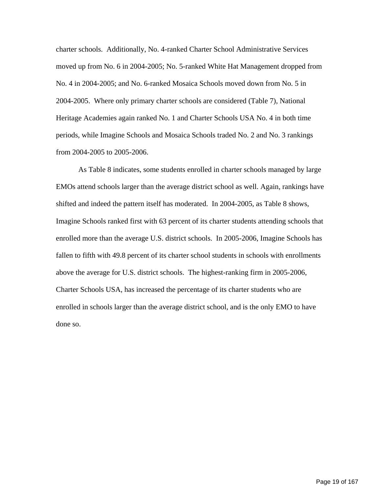charter schools. Additionally, No. 4-ranked Charter School Administrative Services moved up from No. 6 in 2004-2005; No. 5-ranked White Hat Management dropped from No. 4 in 2004-2005; and No. 6-ranked Mosaica Schools moved down from No. 5 in 2004-2005. Where only primary charter schools are considered (Table 7), National Heritage Academies again ranked No. 1 and Charter Schools USA No. 4 in both time periods, while Imagine Schools and Mosaica Schools traded No. 2 and No. 3 rankings from 2004-2005 to 2005-2006.

As Table 8 indicates, some students enrolled in charter schools managed by large EMOs attend schools larger than the average district school as well. Again, rankings have shifted and indeed the pattern itself has moderated. In 2004-2005, as Table 8 shows, Imagine Schools ranked first with 63 percent of its charter students attending schools that enrolled more than the average U.S. district schools. In 2005-2006, Imagine Schools has fallen to fifth with 49.8 percent of its charter school students in schools with enrollments above the average for U.S. district schools. The highest-ranking firm in 2005-2006, Charter Schools USA, has increased the percentage of its charter students who are enrolled in schools larger than the average district school, and is the only EMO to have done so.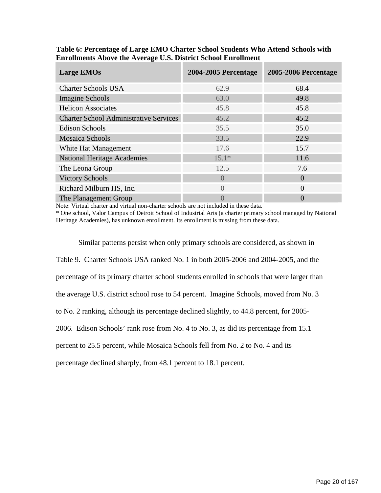| <b>Large EMOs</b>                             | <b>2004-2005 Percentage</b> | <b>2005-2006 Percentage</b> |
|-----------------------------------------------|-----------------------------|-----------------------------|
| <b>Charter Schools USA</b>                    | 62.9                        | 68.4                        |
| Imagine Schools                               | 63.0                        | 49.8                        |
| <b>Helicon Associates</b>                     | 45.8                        | 45.8                        |
| <b>Charter School Administrative Services</b> | 45.2                        | 45.2                        |
| <b>Edison Schools</b>                         | 35.5                        | 35.0                        |
| <b>Mosaica Schools</b>                        | 33.5                        | 22.9                        |
| White Hat Management                          | 17.6                        | 15.7                        |
| <b>National Heritage Academies</b>            | $15.1*$                     | 11.6                        |
| The Leona Group                               | 12.5                        | 7.6                         |
| <b>Victory Schools</b>                        | $\Omega$                    | $\Omega$                    |
| Richard Milburn HS, Inc.                      | $\left( \right)$            | $\Omega$                    |
| The Planagement Group                         |                             | $\left($                    |

**Table 6: Percentage of Large EMO Charter School Students Who Attend Schools with Enrollments Above the Average U.S. District School Enrollment** 

Note: Virtual charter and virtual non-charter schools are not included in these data.

\* One school, Valor Campus of Detroit School of Industrial Arts (a charter primary school managed by National Heritage Academies), has unknown enrollment. Its enrollment is missing from these data.

Similar patterns persist when only primary schools are considered, as shown in Table 9. Charter Schools USA ranked No. 1 in both 2005-2006 and 2004-2005, and the percentage of its primary charter school students enrolled in schools that were larger than the average U.S. district school rose to 54 percent. Imagine Schools, moved from No. 3 to No. 2 ranking, although its percentage declined slightly, to 44.8 percent, for 2005- 2006. Edison Schools' rank rose from No. 4 to No. 3, as did its percentage from 15.1 percent to 25.5 percent, while Mosaica Schools fell from No. 2 to No. 4 and its percentage declined sharply, from 48.1 percent to 18.1 percent.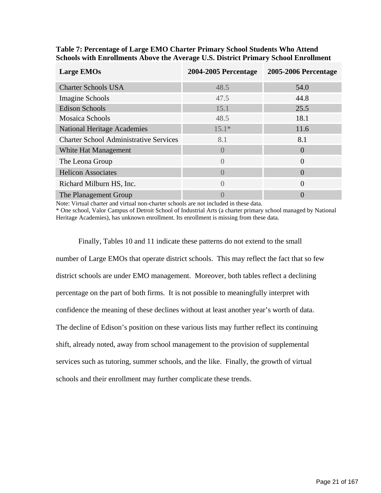| <b>Large EMOs</b>                             | <b>2004-2005 Percentage</b> | <b>2005-2006 Percentage</b> |
|-----------------------------------------------|-----------------------------|-----------------------------|
| <b>Charter Schools USA</b>                    | 48.5                        | 54.0                        |
| Imagine Schools                               | 47.5                        | 44.8                        |
| <b>Edison Schools</b>                         | 15.1                        | 25.5                        |
| <b>Mosaica Schools</b>                        | 48.5                        | 18.1                        |
| <b>National Heritage Academies</b>            | $15.1*$                     | 11.6                        |
| <b>Charter School Administrative Services</b> | 8.1                         | 8.1                         |
| White Hat Management                          | $\Omega$                    | $\Omega$                    |
| The Leona Group                               | $\Omega$                    | $\overline{0}$              |
| <b>Helicon Associates</b>                     | $\left( \right)$            | $\Omega$                    |
| Richard Milburn HS, Inc.                      | $\Omega$                    | $\Omega$                    |
| The Planagement Group                         |                             | $\left($                    |

**Table 7: Percentage of Large EMO Charter Primary School Students Who Attend Schools with Enrollments Above the Average U.S. District Primary School Enrollment** 

Note: Virtual charter and virtual non-charter schools are not included in these data.

\* One school, Valor Campus of Detroit School of Industrial Arts (a charter primary school managed by National Heritage Academies), has unknown enrollment. Its enrollment is missing from these data.

Finally, Tables 10 and 11 indicate these patterns do not extend to the small number of Large EMOs that operate district schools. This may reflect the fact that so few district schools are under EMO management. Moreover, both tables reflect a declining percentage on the part of both firms. It is not possible to meaningfully interpret with confidence the meaning of these declines without at least another year's worth of data. The decline of Edison's position on these various lists may further reflect its continuing shift, already noted, away from school management to the provision of supplemental services such as tutoring, summer schools, and the like. Finally, the growth of virtual schools and their enrollment may further complicate these trends.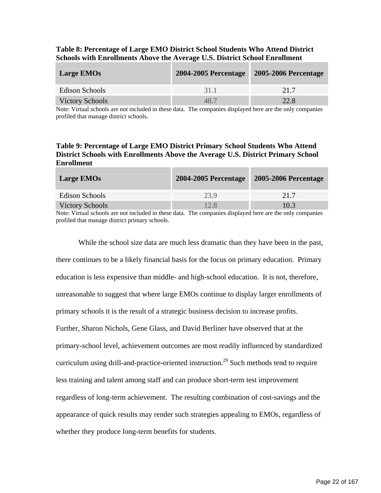| Table 8: Percentage of Large EMO District School Students Who Attend District     |
|-----------------------------------------------------------------------------------|
| <b>Schools with Enrollments Above the Average U.S. District School Enrollment</b> |

| <b>Large EMOs</b>      | <b>2004-2005 Percentage</b> | <b>2005-2006 Percentage</b> |
|------------------------|-----------------------------|-----------------------------|
| Edison Schools         | 31.1                        | 21.7                        |
| <b>Victory Schools</b> | 48.7                        | 22.8                        |

Note: Virtual schools are not included in these data. The companies displayed here are the only companies profiled that manage district schools.

#### **Table 9: Percentage of Large EMO District Primary School Students Who Attend District Schools with Enrollments Above the Average U.S. District Primary School Enrollment**

| <b>Large EMOs</b>      | <b>2004-2005 Percentage</b> | <b>2005-2006 Percentage</b> |
|------------------------|-----------------------------|-----------------------------|
| Edison Schools         | 23.9                        | 21.7                        |
| <b>Victory Schools</b> | 12.8                        | 10.3                        |

Note: Virtual schools are not included in these data. The companies displayed here are the only companies profiled that manage district primary schools.

While the school size data are much less dramatic than they have been in the past, there continues to be a likely financial basis for the focus on primary education. Primary education is less expensive than middle- and high-school education. It is not, therefore, unreasonable to suggest that where large EMOs continue to display larger enrollments of primary schools it is the result of a strategic business decision to increase profits. Further, Sharon Nichols, Gene Glass, and David Berliner have observed that at the primary-school level, achievement outcomes are most readily influenced by standardized curriculum using drill-and-practice-oriented instruction.<sup>29</sup> Such methods tend to require less training and talent among staff and can produce short-term test improvement regardless of long-term achievement. The resulting combination of cost-savings and the appearance of quick results may render such strategies appealing to EMOs, regardless of whether they produce long-term benefits for students.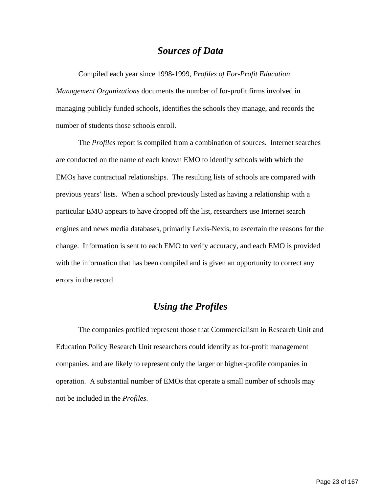## *Sources of Data*

Compiled each year since 1998-1999, *Profiles of For-Profit Education Management Organizations* documents the number of for-profit firms involved in managing publicly funded schools, identifies the schools they manage, and records the number of students those schools enroll.

The *Profiles* report is compiled from a combination of sources. Internet searches are conducted on the name of each known EMO to identify schools with which the EMOs have contractual relationships. The resulting lists of schools are compared with previous years' lists. When a school previously listed as having a relationship with a particular EMO appears to have dropped off the list, researchers use Internet search engines and news media databases, primarily Lexis-Nexis, to ascertain the reasons for the change. Information is sent to each EMO to verify accuracy, and each EMO is provided with the information that has been compiled and is given an opportunity to correct any errors in the record.

## *Using the Profiles*

The companies profiled represent those that Commercialism in Research Unit and Education Policy Research Unit researchers could identify as for-profit management companies, and are likely to represent only the larger or higher-profile companies in operation. A substantial number of EMOs that operate a small number of schools may not be included in the *Profiles*.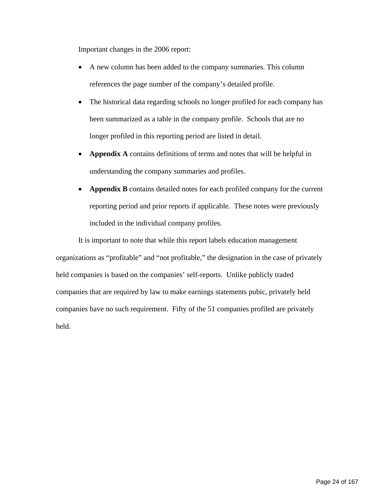Important changes in the 2006 report:

- A new column has been added to the company summaries. This column references the page number of the company's detailed profile.
- The historical data regarding schools no longer profiled for each company has been summarized as a table in the company profile. Schools that are no longer profiled in this reporting period are listed in detail.
- **Appendix A** contains definitions of terms and notes that will be helpful in understanding the company summaries and profiles.
- **Appendix B** contains detailed notes for each profiled company for the current reporting period and prior reports if applicable. These notes were previously included in the individual company profiles.

It is important to note that while this report labels education management organizations as "profitable" and "not profitable," the designation in the case of privately held companies is based on the companies' self-reports. Unlike publicly traded companies that are required by law to make earnings statements pubic, privately held companies have no such requirement. Fifty of the 51 companies profiled are privately held.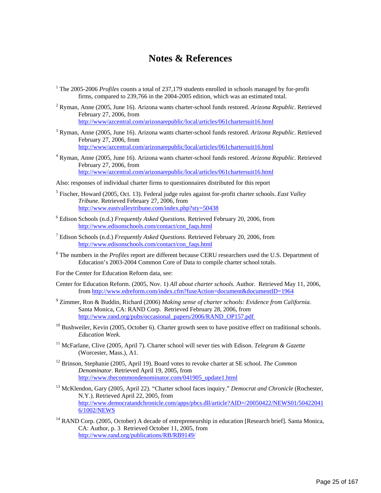## **Notes & References**

- <sup>1</sup> The 2005-2006 *Profiles* counts a total of 237,179 students enrolled in schools managed by for-profit firms, compared to 239,766 in the 2004-2005 edition, which was an estimated total.
- 2 Ryman, Anne (2005, June 16). Arizona wants charter-school funds restored. *Arizona Republic*. Retrieved February 27, 2006, from <http://www/azcentral.com/arizonarepublic/local/articles/061chartersuit16.html>
- 3 Ryman, Anne (2005, June 16). Arizona wants charter-school funds restored. *Arizona Republic*. Retrieved February 27, 2006, from <http://www/azcentral.com/arizonarepublic/local/articles/061chartersuit16.html>
- 4 Ryman, Anne (2005, June 16). Arizona wants charter-school funds restored. *Arizona Republic*. Retrieved February 27, 2006, from <http://www/azcentral.com/arizonarepublic/local/articles/061chartersuit16.html>
- Also: responses of individual charter firms to questionnaires distributed for this report
- 5 Fischer, Howard (2005, Oct. 13). Federal judge rules against for-profit charter schools. *East Valley Tribune*. Retrieved February 27, 2006, from <http://www.eastvalleytribune.com/index.php?sty=50438>
- 6 Edison Schools (n.d.) *Frequently Asked Questions*. Retrieved February 20, 2006, from [http://www.edisonschools.com/contact/con\\_faqs.html](http://www.edisonschools.com/contact/con_faqs.html)
- 7 Edison Schools (n.d.) *Frequently Asked Questions*. Retrieved February 20, 2006, from [http://www.edisonschools.com/contact/con\\_faqs.html](http://www.edisonschools.com/contact/con_faqs.html)
- 8 The numbers in the *Profiles* report are different because CERU researchers used the U.S. Department of Education's 2003-2004 Common Core of Data to compile charter school totals.
- For the Center for Education Reform data, see:
- Center for Education Reform. (2005, Nov. 1) *All about charter schools*. Author. Retrieved May 11, 2006, from <http://www.edreform.com/index.cfm?fuseAction=document&documentID=1964>
- 9 Zimmer, Ron & Buddin, Richard (2006) *Making sense of charter schools: Evidence from California.* Santa Monica, CA: RAND Corp. Retrieved February 28, 2006, from [http://www.rand.org/pubs/occasional\\_papers/2006/RAND\\_OP157.pdf](http://www.rand.org/pubs/occasional_papers/2006/RAND_OP157.pdf)
- $10$  Bushweiler, Kevin (2005, October 6). Charter growth seen to have positive effect on traditional schools. *Education Week*.
- 11 McFarlane, Clive (2005, April 7). Charter school will sever ties with Edison. *Telegram & Gazette* (Worcester, Mass.), A1.
- 12 Brinson, Stephanie (2005, April 19). Board votes to revoke charter at SE school. *The Common Denominator*. Retrieved April 19, 2005, from [http://www.thecommondenominator.com/041905\\_update1.html](http://www.thecommondenominator.com/041905_update1.html)
- 13 McKlendon, Gary (2005, April 22). "Charter school faces inquiry." *Democrat and Chronicle* (Rochester, N.Y.). Retrieved April 22, 2005, from [http://www.democratandchronicle.com/apps/pbcs.dll/article?AID=/20050422/NEWS01/50422041](http://www.democratandchronicle.com/apps/pbcs.dll/article?AID=/20050422/NEWS01/504220416/1002/NEWS) [6/1002/NEWS](http://www.democratandchronicle.com/apps/pbcs.dll/article?AID=/20050422/NEWS01/504220416/1002/NEWS)
- <sup>14</sup> RAND Corp. (2005, October) A decade of entrepreneurship in education [Research brief]. Santa Monica, CA: Author, p. 3 Retrieved October 11, 2005, from <http://www.rand.org/publications/RB/RB9149/>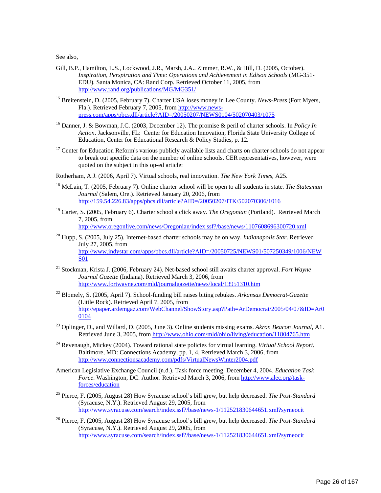See also,

- Gill, B.P., Hamilton, L.S., Lockwood, J.R., Marsh, J.A.. Zimmer, R.W., & Hill, D. (2005, October). *Inspiration, Perspiration and Time: Operations and Achievement in Edison Schools* (MG-351- EDU)*.* Santa Monica, CA: Rand Corp. Retrieved October 11, 2005, from <http://www.rand.org/publications/MG/MG351/>
- 15 Breitenstein, D. (2005, February 7). Charter USA loses money in Lee County. *News-Press* (Fort Myers, Fla.). Retrieved February 7, 2005, from [http://www.news](http://www.news-press.com/apps/pbcs.dll/article?AID=/20050207/NEWS0104/502070403/1075)[press.com/apps/pbcs.dll/article?AID=/20050207/NEWS0104/502070403/1075](http://www.news-press.com/apps/pbcs.dll/article?AID=/20050207/NEWS0104/502070403/1075)
- 16 Danner, J. & Bowman, J.C. (2003, December 12). The promise & peril of charter schools. In *Policy In Action*. Jacksonville, FL: Center for Education Innovation, Florida State University College of Education, Center for Educational Research & Policy Studies, p. 12.
- <sup>17</sup> Center for Education Reform's various publicly available lists and charts on charter schools do not appear to break out specific data on the number of online schools. CER representatives, however, were quoted on the subject in this op-ed article:
- Rotherham, A.J. (2006, April 7). Virtual schools, real innovation. *The New York Times*, A25.
- 18 McLain, T. (2005, February 7). Online charter school will be open to all students in state. *The Statesman Journal* (Salem, Ore.). Retrieved January 20, 2006, from <http://159.54.226.83/apps/pbcs.dll/article?AID=/20050207/ITK/502070306/1016>
- 19 Carter, S. (2005, February 6). Charter school a click away. *The Oregonian* (Portland). Retrieved March 7, 2005, from <http://www.oregonlive.com/news/Oregonian/index.ssf?/base/news/1107608696300720.xml>
- 20 Hupp, S. (2005, July 25). Internet-based charter schools may be on way. *Indianapolis Star*. Retrieved July 27, 2005, from [http://www.indystar.com/apps/pbcs.dll/article?AID=/20050725/NEWS01/507250349/1006/NEW](http://www.indystar.com/apps/pbcs.dll/article?AID=/20050725/NEWS01/507250349/1006/NEWS01) [S01](http://www.indystar.com/apps/pbcs.dll/article?AID=/20050725/NEWS01/507250349/1006/NEWS01)
- 21 Stockman, Krista J. (2006, February 24). Net-based school still awaits charter approval. *Fort Wayne Journal Gazette* (Indiana). Retrieved March 3, 2006, from <http://www.fortwayne.com/mld/journalgazette/news/local/13951310.htm>
- 22 Blomely, S. (2005, April 7). School-funding bill raises biting rebukes. *Arkansas Democrat-Gazette* (Little Rock). Retrieved April 7, 2005, from [http://epaper.ardemgaz.com/WebChannel/ShowStory.asp?Path=ArDemocrat/2005/04/07&ID=Ar0](http://epaper.ardemgaz.com/WebChannel/ShowStory.asp?Path=ArDemocrat/2005/04/07&ID=Ar00104) [0104](http://epaper.ardemgaz.com/WebChannel/ShowStory.asp?Path=ArDemocrat/2005/04/07&ID=Ar00104)
- 23 Oplinger, D., and Willard, D. (2005, June 3). Online students missing exams. *Akron Beacon Journal*, A1. Retrieved June 3, 2005, from<http://www.ohio.com/mld/ohio/living/education/11804765.htm>
- 24 Revenaugh, Mickey (2004). Toward rational state policies for virtual learning. *Virtual School Report.*  Baltimore, MD: Connections Academy, pp. 1, 4. Retrieved March 3, 2006, from <http://www.connectionsacademy.com/pdfs/VirtualNewsWinter2004.pdf>
- American Legislative Exchange Council (n.d.). Task force meeting, December 4, 2004. *Education Task Force*. Washington, DC: Author. Retrieved March 3, 2006, from [http://www.alec.org/task](http://www.alec.org/task-forces/education)[forces/education](http://www.alec.org/task-forces/education)
- 25 Pierce, F. (2005, August 28) How Syracuse school's bill grew, but help decreased. *The Post-Standard*  (Syracuse, N.Y.). Retrieved August 29, 2005, from <http://www.syracuse.com/search/index.ssf?/base/news-1/112521830644651.xml?syrneocit>
- 26 Pierce, F. (2005, August 28) How Syracuse school's bill grew, but help decreased. *The Post-Standard*  (Syracuse, N.Y.). Retrieved August 29, 2005, from <http://www.syracuse.com/search/index.ssf?/base/news-1/112521830644651.xml?syrneocit>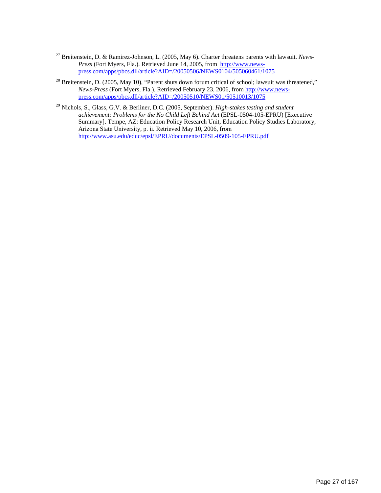- <span id="page-28-23"></span>27 Breitenstein, D. & Ramirez-Johnson, L. (2005, May 6). Charter threatens parents with lawsuit. *News-Press* (Fort Myers, Fla.). Retrieved June 14, 2005, from [http://www.news](http://www.news-press.com/apps/pbcs.dll/article?AID=/20050506/NEWS0104/505060461/1075)[press.com/apps/pbcs.dll/article?AID=/20050506/NEWS0104/505060461/1075](http://www.news-press.com/apps/pbcs.dll/article?AID=/20050506/NEWS0104/505060461/1075)
- <span id="page-28-24"></span><span id="page-28-0"></span><sup>28</sup> Breitenstein, D. (2005, May 10), "Parent shuts down forum critical of school; lawsuit was threatened," *News-Press* (Fort Myers, Fla.). Retrieved February 23, 2006, from [http://www.news](http://www.news-press.com/apps/pbcs.dll/article?AID=/20050510/NEWS01/50510013/1075)[press.com/apps/pbcs.dll/article?AID=/20050510/NEWS01/50510013/1075](http://www.news-press.com/apps/pbcs.dll/article?AID=/20050510/NEWS01/50510013/1075)
- <span id="page-28-25"></span><span id="page-28-22"></span><span id="page-28-21"></span><span id="page-28-20"></span><span id="page-28-19"></span><span id="page-28-18"></span><span id="page-28-17"></span><span id="page-28-16"></span><span id="page-28-15"></span><span id="page-28-14"></span><span id="page-28-13"></span><span id="page-28-12"></span><span id="page-28-11"></span><span id="page-28-10"></span><span id="page-28-9"></span><span id="page-28-8"></span><span id="page-28-7"></span><span id="page-28-6"></span><span id="page-28-5"></span><span id="page-28-4"></span><span id="page-28-3"></span><span id="page-28-2"></span><span id="page-28-1"></span>29 Nichols, S., Glass, G.V. & Berliner, D.C. (2005, September). *High-stakes testing and student achievement: Problems for the No Child Left Behind Act* (EPSL-0504-105-EPRU) [Executive Summary]. Tempe, AZ: Education Policy Research Unit, Education Policy Studies Laboratory, Arizona State University, p. ii. Retrieved May 10, 2006, from <http://www.asu.edu/educ/epsl/EPRU/documents/EPSL-0509-105-EPRU.pdf>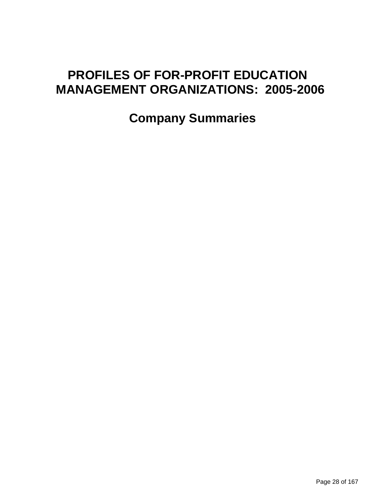# **PROFILES OF FOR-PROFIT EDUCATION MANAGEMENT ORGANIZATIONS: 2005-2006**

 **Company Summaries**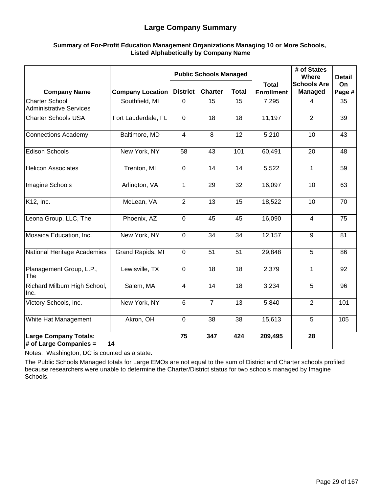#### **Large Company Summary**

#### **Summary of For-Profit Education Management Organizations Managing 10 or More Schools, Listed Alphabetically by Company Name**

|                                                         |                         |                 | <b>Public Schools Managed</b> |              |                                   | # of States<br>Where                 | <b>Detail</b> |
|---------------------------------------------------------|-------------------------|-----------------|-------------------------------|--------------|-----------------------------------|--------------------------------------|---------------|
| <b>Company Name</b>                                     | <b>Company Location</b> | <b>District</b> | <b>Charter</b>                | <b>Total</b> | <b>Total</b><br><b>Enrollment</b> | <b>Schools Are</b><br><b>Managed</b> | On<br>Page #  |
| <b>Charter School</b><br><b>Administrative Services</b> | Southfield, MI          | $\mathbf 0$     | 15                            | 15           | 7,295                             | 4                                    | 35            |
| <b>Charter Schools USA</b>                              | Fort Lauderdale, FL     | $\mathbf 0$     | 18                            | 18           | 11,197                            | 2                                    | 39            |
| <b>Connections Academy</b>                              | Baltimore, MD           | $\overline{4}$  | 8                             | 12           | 5,210                             | 10                                   | 43            |
| <b>Edison Schools</b>                                   | New York, NY            | 58              | 43                            | 101          | 60,491                            | 20                                   | 48            |
| <b>Helicon Associates</b>                               | Trenton, MI             | $\mathbf 0$     | 14                            | 14           | 5,522                             | 1                                    | 59            |
| Imagine Schools                                         | Arlington, VA           | $\mathbf{1}$    | 29                            | 32           | 16,097                            | 10                                   | 63            |
| K12, Inc.                                               | McLean, VA              | 2               | 13                            | 15           | 18,522                            | 10                                   | 70            |
| Leona Group, LLC, The                                   | Phoenix, AZ             | $\mathbf 0$     | 45                            | 45           | 16,090                            | $\overline{4}$                       | 75            |
| Mosaica Education, Inc.                                 | New York, NY            | $\mathbf{0}$    | 34                            | 34           | 12,157                            | 9                                    | 81            |
| National Heritage Academies                             | Grand Rapids, MI        | $\mathbf 0$     | 51                            | 51           | 29,848                            | 5                                    | 86            |
| Planagement Group, L.P.,<br>The                         | Lewisville, TX          | $\mathbf 0$     | 18                            | 18           | 2,379                             | 1                                    | 92            |
| Richard Milburn High School,<br>Inc.                    | Salem, MA               | 4               | 14                            | 18           | 3,234                             | 5                                    | 96            |
| Victory Schools, Inc.                                   | New York, NY            | 6               | $\overline{7}$                | 13           | 5,840                             | $\overline{2}$                       | 101           |
| White Hat Management                                    | Akron, OH               | $\mathbf{0}$    | 38                            | 38           | 15,613                            | 5                                    | 105           |
| <b>Large Company Totals:</b><br># of Large Companies =  | 14                      | 75              | 347                           | 424          | 209,495                           | 28                                   |               |

Notes: Washington, DC is counted as a state.

The Public Schools Managed totals for Large EMOs are not equal to the sum of District and Charter schools profiled because researchers were unable to determine the Charter/District status for two schools managed by Imagine Schools.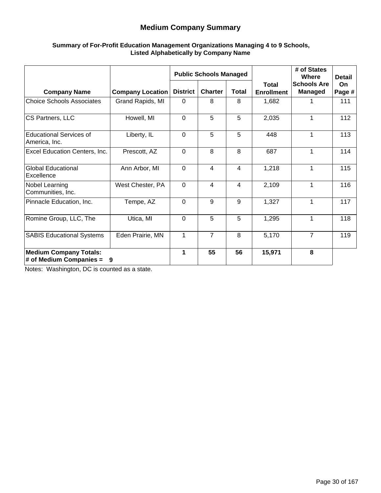#### **Medium Company Summary**

#### **Summary of For-Profit Education Management Organizations Managing 4 to 9 Schools, Listed Alphabetically by Company Name**

|                                                            |                         |                 | <b>Public Schools Managed</b> |                |                                   | # of States<br>Where                 | <b>Detail</b> |
|------------------------------------------------------------|-------------------------|-----------------|-------------------------------|----------------|-----------------------------------|--------------------------------------|---------------|
| <b>Company Name</b>                                        | <b>Company Location</b> | <b>District</b> | <b>Charter</b>                | <b>Total</b>   | <b>Total</b><br><b>Enrollment</b> | <b>Schools Are</b><br><b>Managed</b> | On.<br>Page # |
| <b>Choice Schools Associates</b>                           | Grand Rapids, MI        | $\Omega$        | 8                             | 8              | 1,682                             |                                      | 111           |
| CS Partners, LLC                                           | Howell, MI              | $\Omega$        | 5                             | 5              | 2,035                             | 1                                    | 112           |
| <b>Educational Services of</b><br>America, Inc.            | Liberty, IL             | $\Omega$        | 5                             | 5              | 448                               | 1                                    | 113           |
| Excel Education Centers, Inc.                              | Prescott, AZ            | $\mathbf 0$     | 8                             | 8              | 687                               | 1                                    | 114           |
| <b>Global Educational</b><br>Excellence                    | Ann Arbor, MI           | $\mathbf 0$     | 4                             | $\overline{4}$ | 1,218                             | 1                                    | 115           |
| Nobel Learning<br>Communities, Inc.                        | West Chester, PA        | $\Omega$        | $\overline{4}$                | 4              | 2,109                             | 1                                    | 116           |
| Pinnacle Education, Inc.                                   | Tempe, AZ               | $\Omega$        | 9                             | 9              | 1,327                             | 1                                    | 117           |
| Romine Group, LLC, The                                     | Utica, MI               | $\Omega$        | 5                             | 5              | 1,295                             | 1                                    | 118           |
| <b>SABIS Educational Systems</b>                           | Eden Prairie, MN        | 1               | $\overline{7}$                | 8              | 5,170                             | $\overline{7}$                       | 119           |
| <b>Medium Company Totals:</b><br>$#$ of Medium Companies = | 9                       | 1               | 55                            | 56             | 15,971                            | 8                                    |               |

Notes: Washington, DC is counted as a state.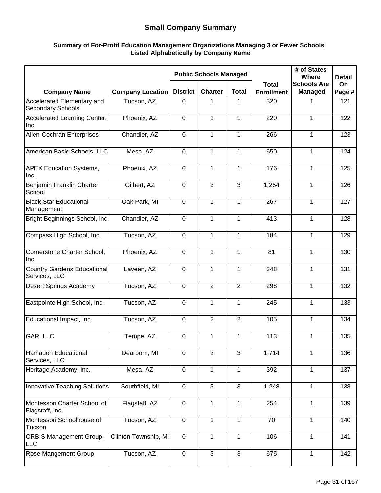#### **Small Company Summary**

#### **Summary of For-Profit Education Management Organizations Managing 3 or Fewer Schools, Listed Alphabetically by Company Name**

|                                                     |                         |                 | <b>Public Schools Managed</b> |                |                                   | # of States<br>Where          | <b>Detail</b> |
|-----------------------------------------------------|-------------------------|-----------------|-------------------------------|----------------|-----------------------------------|-------------------------------|---------------|
| <b>Company Name</b>                                 | <b>Company Location</b> | <b>District</b> | <b>Charter</b>                | <b>Total</b>   | <b>Total</b><br><b>Enrollment</b> | <b>Schools Are</b><br>Managed | On<br>Page #  |
| Accelerated Elementary and<br>Secondary Schools     | Tucson, AZ              | 0               | 1                             | 1              | 320                               | 1                             | 121           |
| Accelerated Learning Center,<br>Inc.                | Phoenix, AZ             | $\mathbf 0$     | 1                             | 1              | 220                               | 1                             | 122           |
| Allen-Cochran Enterprises                           | Chandler, AZ            | $\mathbf 0$     | $\mathbf{1}$                  | $\mathbf{1}$   | 266                               | $\mathbf{1}$                  | 123           |
| American Basic Schools, LLC                         | Mesa, AZ                | 0               | 1                             | 1              | 650                               | 1                             | 124           |
| <b>APEX Education Systems,</b><br>Inc.              | Phoenix, AZ             | $\mathbf 0$     | $\mathbf{1}$                  | $\mathbf{1}$   | 176                               | $\mathbf{1}$                  | 125           |
| Benjamin Franklin Charter<br>School                 | Gilbert, AZ             | $\mathbf 0$     | 3                             | 3              | 1,254                             | 1                             | 126           |
| <b>Black Star Educational</b><br>Management         | Oak Park, MI            | $\overline{0}$  | $\mathbf{1}$                  | $\mathbf{1}$   | 267                               | $\mathbf 1$                   | 127           |
| Bright Beginnings School, Inc.                      | Chandler, AZ            | $\mathbf 0$     | 1                             | $\mathbf{1}$   | 413                               | 1                             | 128           |
| Compass High School, Inc.                           | Tucson, AZ              | 0               | $\mathbf{1}$                  | $\mathbf{1}$   | 184                               | 1                             | 129           |
| Cornerstone Charter School,<br>Inc.                 | Phoenix, AZ             | $\mathbf 0$     | 1                             | $\mathbf{1}$   | 81                                | 1                             | 130           |
| <b>Country Gardens Educational</b><br>Services, LLC | Laveen, AZ              | $\overline{0}$  | $\mathbf 1$                   | $\mathbf{1}$   | 348                               | $\mathbf 1$                   | 131           |
| <b>Desert Springs Academy</b>                       | Tucson, AZ              | 0               | $\overline{2}$                | $\overline{2}$ | 298                               | $\mathbf{1}$                  | 132           |
| Eastpointe High School, Inc.                        | Tucson, AZ              | 0               | $\mathbf{1}$                  | $\mathbf{1}$   | 245                               | $\mathbf{1}$                  | 133           |
| Educational Impact, Inc.                            | Tucson, AZ              | $\mathbf 0$     | $\overline{2}$                | $\overline{2}$ | 105                               | 1                             | 134           |
| GAR, LLC                                            | Tempe, AZ               | $\mathbf 0$     | 1                             | 1              | 113                               | 1                             | 135           |
| Hamadeh Educational<br>Services, LLC                | Dearborn, MI            | $\mathbf 0$     | $\mathbf{3}$                  | $\mathbf{3}$   | 1,714                             | 1                             | 136           |
| Heritage Academy, Inc.                              | Mesa, AZ                | $\mathbf 0$     | 1                             | $\mathbf{1}$   | 392                               | 1                             | 137           |
| Innovative Teaching Solutions                       | Southfield, MI          | 0               | $\mathbf{3}$                  | $\mathbf{3}$   | 1,248                             | 1                             | 138           |
| Montessori Charter School of<br>Flagstaff, Inc.     | Flagstaff, AZ           | $\mathbf 0$     | 1                             | 1              | 254                               | 1                             | 139           |
| Montessori Schoolhouse of<br>Tucson                 | Tucson, AZ              | $\mathbf 0$     | 1                             | 1              | 70                                | 1                             | 140           |
| <b>ORBIS Management Group,</b><br><b>LLC</b>        | Clinton Township, MI    | $\mathbf 0$     | $\mathbf{1}$                  | $\mathbf{1}$   | 106                               | $\mathbf{1}$                  | 141           |
| Rose Mangement Group                                | Tucson, AZ              | $\mathbf 0$     | 3                             | $\mathbf{3}$   | 675                               | 1                             | 142           |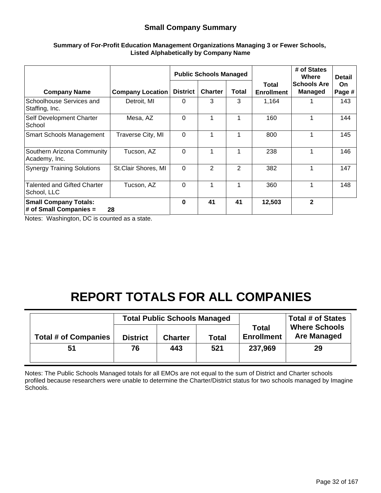#### **Small Company Summary**

|                                                           |                         |                 | <b>Public Schools Managed</b> |                | <b>Total</b><br><b>Enrollment</b> | # of States<br>Where<br><b>Schools Are</b><br>Managed | <b>Detail</b><br><b>On</b><br>Page # |
|-----------------------------------------------------------|-------------------------|-----------------|-------------------------------|----------------|-----------------------------------|-------------------------------------------------------|--------------------------------------|
| <b>Company Name</b>                                       | <b>Company Location</b> | <b>District</b> | <b>Charter</b>                | Total          |                                   |                                                       |                                      |
| Schoolhouse Services and<br>Staffing, Inc.                | Detroit, MI             | 0               | 3                             | 3              | 1,164                             |                                                       | 143                                  |
| Self Development Charter<br>School                        | Mesa, AZ                | $\Omega$        | 1                             | 1              | 160                               | 1                                                     | 144                                  |
| <b>Smart Schools Management</b>                           | Traverse City, MI       | $\mathbf 0$     | 1                             | 1              | 800                               | 1                                                     | 145                                  |
| Southern Arizona Community<br>Academy, Inc.               | Tucson, AZ              | 0               | 1                             | 1              | 238                               |                                                       | 146                                  |
| <b>Synergy Training Solutions</b>                         | St.Clair Shores, MI     | $\mathbf 0$     | $\overline{2}$                | $\overline{2}$ | 382                               |                                                       | 147                                  |
| Talented and Gifted Charter<br>School, LLC                | Tucson, AZ              | $\Omega$        | 1                             | 1              | 360                               | 1                                                     | 148                                  |
| <b>Small Company Totals:</b><br>$\#$ of Small Companies = | 28                      | $\bf{0}$        | 41                            | 41             | 12,503                            | $\overline{2}$                                        |                                      |

#### **Summary of For-Profit Education Management Organizations Managing 3 or Fewer Schools, Listed Alphabetically by Company Name**

Notes: Washington, DC is counted as a state.

# **REPORT TOTALS FOR ALL COMPANIES**

|                             |                 | <b>Total Public Schools Managed</b> |              |                                   | <b>Total # of States</b>                   |
|-----------------------------|-----------------|-------------------------------------|--------------|-----------------------------------|--------------------------------------------|
| <b>Total # of Companies</b> | <b>District</b> | <b>Charter</b>                      | <b>Total</b> | <b>Total</b><br><b>Enrollment</b> | <b>Where Schools</b><br><b>Are Managed</b> |
| 51                          | 76              | 443                                 | 521          | 237,969                           | 29                                         |

Notes: The Public Schools Managed totals for all EMOs are not equal to the sum of District and Charter schools profiled because researchers were unable to determine the Charter/District status for two schools managed by Imagine Schools.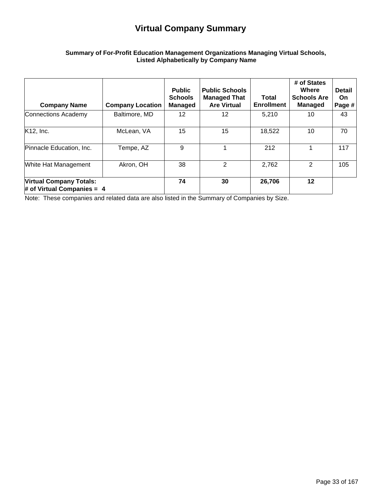## **Virtual Company Summary**

#### **Summary of For-Profit Education Management Organizations Managing Virtual Schools, Listed Alphabetically by Company Name**

| <b>Company Name</b>                                            | <b>Company Location</b> | <b>Public</b><br><b>Schools</b><br>Managed | <b>Public Schools</b><br><b>Managed That</b><br><b>Are Virtual</b> | Total<br><b>Enrollment</b> | # of States<br>Where<br><b>Schools Are</b><br><b>Managed</b> | <b>Detail</b><br><b>On</b><br>Page # |
|----------------------------------------------------------------|-------------------------|--------------------------------------------|--------------------------------------------------------------------|----------------------------|--------------------------------------------------------------|--------------------------------------|
| Connections Academy                                            | Baltimore, MD           | 12 <sup>2</sup>                            | 12                                                                 | 5,210                      | 10                                                           | 43                                   |
| $K12$ , Inc.                                                   | McLean, VA              | 15                                         | 15                                                                 | 18,522                     | 10                                                           | 70                                   |
| Pinnacle Education, Inc.                                       | Tempe, AZ               | 9                                          |                                                                    | 212                        |                                                              | 117                                  |
| White Hat Management                                           | Akron, OH               | 38                                         | 2                                                                  | 2,762                      | 2                                                            | 105                                  |
| <b>Virtual Company Totals:</b><br># of Virtual Companies = $4$ |                         | 74                                         | 30                                                                 | 26,706                     | $12 \,$                                                      |                                      |

Note: These companies and related data are also listed in the Summary of Companies by Size.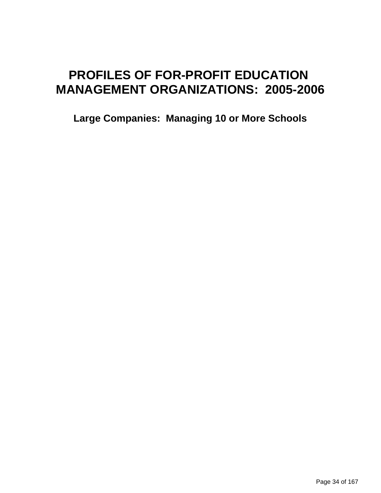# **PROFILES OF FOR-PROFIT EDUCATION MANAGEMENT ORGANIZATIONS: 2005-2006**

**Large Companies: Managing 10 or More Schools**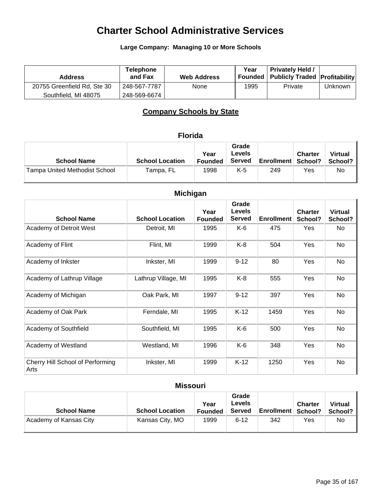### **Large Company: Managing 10 or More Schools**

| <b>Address</b>              | <b>Telephone</b><br>and Fax | <b>Web Address</b> | Year | <b>Privately Held /</b><br><b>Founded Publicly Traded Profitability</b> |         |
|-----------------------------|-----------------------------|--------------------|------|-------------------------------------------------------------------------|---------|
| 20755 Greenfield Rd, Ste 30 | 248-567-7787                | None               | 1995 | Private                                                                 | Unknown |
| Southfield, MI 48075        | 248-569-6674                |                    |      |                                                                         |         |

## **Company Schools by State**

### **Florida**

| <b>School Name</b>                   | <b>School Location</b> | Year<br>Founded | Grade<br>Levels<br><b>Served</b> | <b>Enrollment School?</b> | <b>Charter</b> | <b>Virtual</b><br>School? |
|--------------------------------------|------------------------|-----------------|----------------------------------|---------------------------|----------------|---------------------------|
| <b>Tampa United Methodist School</b> | Tampa, FL              | 1998            | K-5                              | 249                       | Yes            | No                        |

| <b>Michigan</b>                          |                        |                        |                                         |                   |                           |                           |
|------------------------------------------|------------------------|------------------------|-----------------------------------------|-------------------|---------------------------|---------------------------|
| <b>School Name</b>                       | <b>School Location</b> | Year<br><b>Founded</b> | Grade<br><b>Levels</b><br><b>Served</b> | <b>Enrollment</b> | <b>Charter</b><br>School? | <b>Virtual</b><br>School? |
| Academy of Detroit West                  | Detroit, MI            | 1995                   | K-6                                     | 475               | Yes                       | No                        |
| Academy of Flint                         | Flint, MI              | 1999                   | K-8                                     | 504               | Yes                       | No                        |
| Academy of Inkster                       | Inkster, MI            | 1999                   | $9 - 12$                                | 80                | Yes                       | No                        |
| Academy of Lathrup Village               | Lathrup Village, MI    | 1995                   | K-8                                     | 555               | Yes                       | No                        |
| Academy of Michigan                      | Oak Park, MI           | 1997                   | $9 - 12$                                | 397               | Yes                       | No                        |
| Academy of Oak Park                      | Ferndale, MI           | 1995                   | $K-12$                                  | 1459              | Yes                       | No                        |
| Academy of Southfield                    | Southfield, MI         | 1995                   | K-6                                     | 500               | Yes                       | No                        |
| Academy of Westland                      | Westland, MI           | 1996                   | K-6                                     | 348               | Yes                       | No                        |
| Cherry Hill School of Performing<br>Arts | Inkster, MI            | 1999                   | $K-12$                                  | 1250              | Yes                       | No                        |

### **Missouri**

| <b>School Name</b>     | <b>School Location</b> | Year<br><b>Founded</b> | Grade<br>Levels<br>Served | <b>Enrollment School?</b> | <b>Charter</b> | <b>Virtual</b><br>School? |
|------------------------|------------------------|------------------------|---------------------------|---------------------------|----------------|---------------------------|
| Academy of Kansas City | Kansas City, MO        | 1999                   | $6 - 12$                  | 342                       | Yes            | No                        |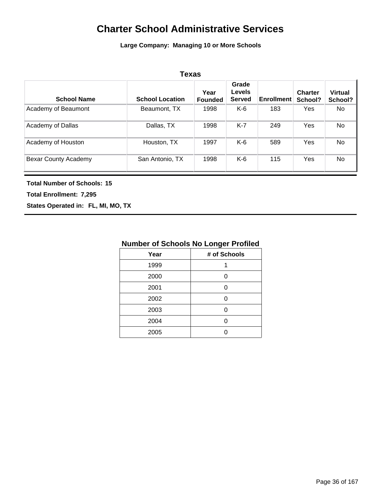**Large Company: Managing 10 or More Schools**

| <b>Texas</b>         |                        |                        |                                         |                   |                           |                           |
|----------------------|------------------------|------------------------|-----------------------------------------|-------------------|---------------------------|---------------------------|
| <b>School Name</b>   | <b>School Location</b> | Year<br><b>Founded</b> | Grade<br><b>Levels</b><br><b>Served</b> | <b>Enrollment</b> | <b>Charter</b><br>School? | <b>Virtual</b><br>School? |
| Academy of Beaumont  | Beaumont, TX           | 1998                   | K-6                                     | 183               | <b>Yes</b>                | <b>No</b>                 |
| Academy of Dallas    | Dallas, TX             | 1998                   | $K-7$                                   | 249               | <b>Yes</b>                | <b>No</b>                 |
| Academy of Houston   | Houston, TX            | 1997                   | K-6                                     | 589               | Yes                       | <b>No</b>                 |
| Bexar County Academy | San Antonio, TX        | 1998                   | K-6                                     | 115               | Yes                       | No                        |

#### **Total Number of Schools: 15**

**Total Enrollment: 7,295**

**States Operated in: FL, MI, MO, TX**

| <b>Number of Schools No Longer Profiled</b> |  |
|---------------------------------------------|--|
|                                             |  |

| Year | # of Schools |
|------|--------------|
| 1999 | 1            |
| 2000 | n            |
| 2001 | ი            |
| 2002 | ი            |
| 2003 | n            |
| 2004 | U            |
| 2005 |              |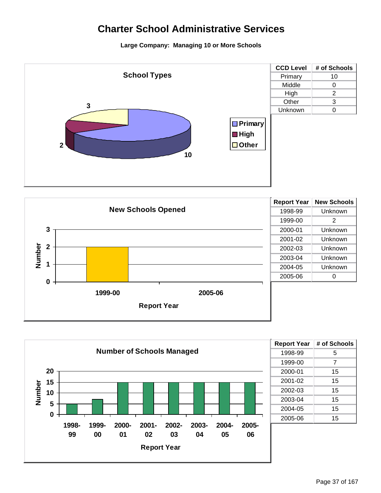





| <b>Report Year</b> | # of Schools |
|--------------------|--------------|
| 1998-99            | 5            |
| 1999-00            | 7            |
| 2000-01            | 15           |
| 2001-02            | 15           |
| 2002-03            | 15           |
| 2003-04            | 15           |
| 2004-05            | 15           |
| 2005-06            | 15           |
|                    |              |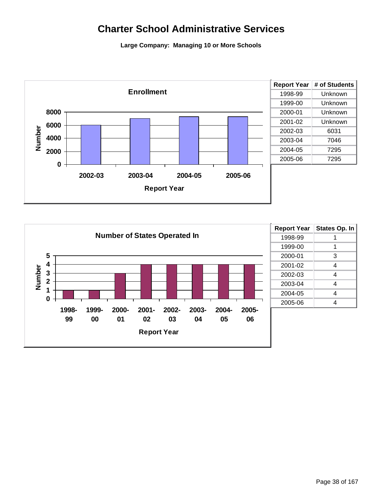

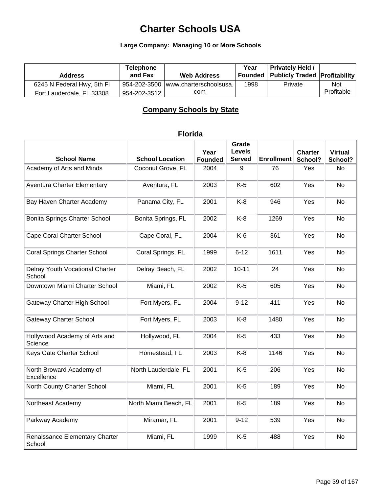### **Large Company: Managing 10 or More Schools**

| <b>Address</b>             | Telephone<br>and Fax | <b>Web Address</b>                  | Year | <b>Privately Held /</b><br><b>Founded Publicly Traded Profitability</b> |            |
|----------------------------|----------------------|-------------------------------------|------|-------------------------------------------------------------------------|------------|
| 6245 N Federal Hwy, 5th Fl |                      | 954-202-3500 www.charterschoolsusa. | 1998 | Private                                                                 | <b>Not</b> |
| Fort Lauderdale, FL 33308  | 954-202-3512丨        | com                                 |      |                                                                         | Profitable |

### **Company Schools by State**

| <b>School Name</b>                        | <b>School Location</b> | Year<br><b>Founded</b> | Grade<br><b>Levels</b><br><b>Served</b> | Enrollment | <b>Charter</b><br>School? | <b>Virtual</b><br>School? |
|-------------------------------------------|------------------------|------------------------|-----------------------------------------|------------|---------------------------|---------------------------|
| Academy of Arts and Minds                 | Coconut Grove, FL      | 2004                   | 9                                       | 76         | Yes                       | No                        |
| <b>Aventura Charter Elementary</b>        | Aventura, FL           | 2003                   | $K-5$                                   | 602        | Yes                       | No                        |
| Bay Haven Charter Academy                 | Panama City, FL        | 2001                   | $K-8$                                   | 946        | Yes                       | <b>No</b>                 |
| <b>Bonita Springs Charter School</b>      | Bonita Springs, FL     | 2002                   | $K-8$                                   | 1269       | Yes                       | <b>No</b>                 |
| Cape Coral Charter School                 | Cape Coral, FL         | 2004                   | $K-6$                                   | 361        | Yes                       | <b>No</b>                 |
| <b>Coral Springs Charter School</b>       | Coral Springs, FL      | 1999                   | $6 - 12$                                | 1611       | Yes                       | <b>No</b>                 |
| Delray Youth Vocational Charter<br>School | Delray Beach, FL       | 2002                   | $10 - 11$                               | 24         | Yes                       | <b>No</b>                 |
| Downtown Miami Charter School             | Miami, FL              | 2002                   | $K-5$                                   | 605        | Yes                       | <b>No</b>                 |
| <b>Gateway Charter High School</b>        | Fort Myers, FL         | 2004                   | $9 - 12$                                | 411        | Yes                       | No                        |
| <b>Gateway Charter School</b>             | Fort Myers, FL         | 2003                   | $K-8$                                   | 1480       | Yes                       | No                        |
| Hollywood Academy of Arts and<br>Science  | Hollywood, FL          | 2004                   | $K-5$                                   | 433        | Yes                       | No                        |
| Keys Gate Charter School                  | Homestead, FL          | 2003                   | $K-8$                                   | 1146       | Yes                       | No                        |
| North Broward Academy of<br>Excellence    | North Lauderdale, FL   | 2001                   | $K-5$                                   | 206        | Yes                       | <b>No</b>                 |
| North County Charter School               | Miami, FL              | 2001                   | $K-5$                                   | 189        | Yes                       | <b>No</b>                 |
| Northeast Academy                         | North Miami Beach, FL  | 2001                   | $K-5$                                   | 189        | Yes                       | <b>No</b>                 |
| Parkway Academy                           | Miramar, FL            | 2001                   | $9 - 12$                                | 539        | Yes                       | <b>No</b>                 |
| Renaissance Elementary Charter<br>School  | Miami, FL              | 1999                   | $K-5$                                   | 488        | Yes                       | No                        |

### **Florida**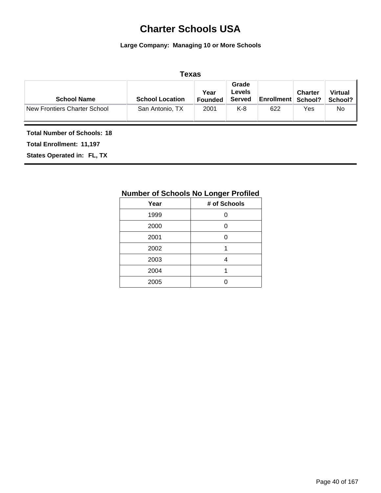#### **Large Company: Managing 10 or More Schools**

|                                    |                        | Texas                  |                                         |                             |                |                           |
|------------------------------------|------------------------|------------------------|-----------------------------------------|-----------------------------|----------------|---------------------------|
| <b>School Name</b>                 | <b>School Location</b> | Year<br><b>Founded</b> | Grade<br><b>Levels</b><br><b>Served</b> | <b>Enrollment   School?</b> | <b>Charter</b> | <b>Virtual</b><br>School? |
| New Frontiers Charter School       | San Antonio, TX        | 2001                   | K-8                                     | 622                         | Yes            | No.                       |
| <b>Total Number of Schools: 18</b> |                        |                        |                                         |                             |                |                           |

**Total Enrollment: 11,197**

#### **States Operated in: FL, TX**

### **Number of Schools No Longer Profiled Year # of Schools**

| Year | # of Schools |
|------|--------------|
| 1999 | n            |
| 2000 | 0            |
| 2001 | 0            |
| 2002 | 1            |
| 2003 |              |
| 2004 |              |
| 2005 |              |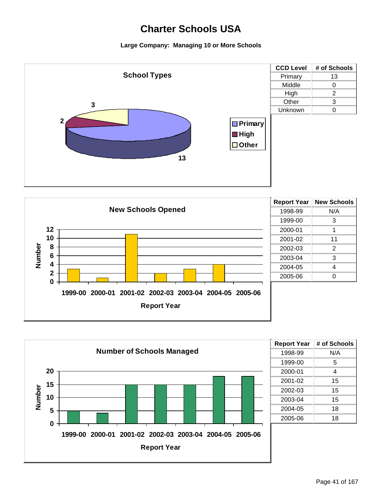





| <b>Report Year</b> | # of Schools |
|--------------------|--------------|
| 1998-99            | N/A          |
| 1999-00            | 5            |
| 2000-01            | 4            |
| 2001-02            | 15           |
| 2002-03            | 15           |
| 2003-04            | 15           |
| 2004-05            | 18           |
| 2005-06            | 18           |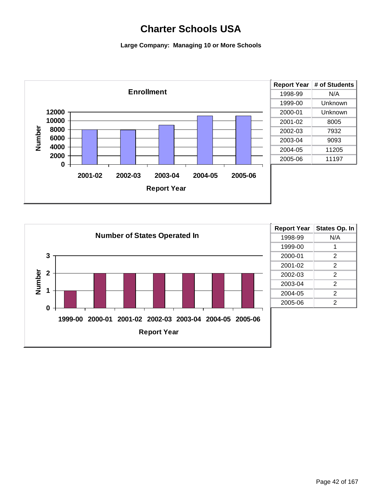

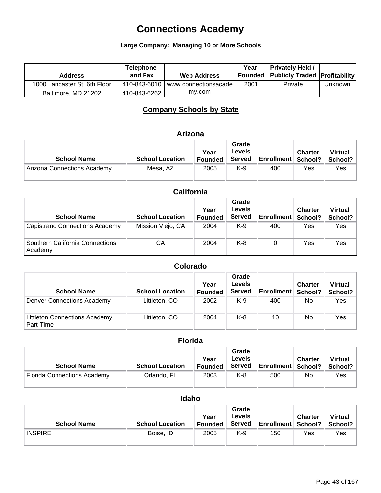#### **Large Company: Managing 10 or More Schools**

| <b>Address</b>               | <b>Telephone</b><br>and Fax | <b>Web Address</b>   | Year | <b>Privately Held /</b><br>  Founded   Publicly Traded   Profitability |         |
|------------------------------|-----------------------------|----------------------|------|------------------------------------------------------------------------|---------|
| 1000 Lancaster St, 6th Floor | 410-843-6010                | www.connectionsacade | 2001 | Private                                                                | Unknown |
| Baltimore, MD 21202          | 410-843-6262                | mv.com               |      |                                                                        |         |

### **Company Schools by State**

#### **Arizona**

| <b>School Name</b>          | <b>School Location</b> | Year<br><b>Founded</b> | Grade<br>Levels<br><b>Served</b> | <b>Enrollment School?</b> | <b>Charter</b> | <b>Virtual</b><br>School? |
|-----------------------------|------------------------|------------------------|----------------------------------|---------------------------|----------------|---------------------------|
| Arizona Connections Academy | Mesa, AZ               | 2005                   | K-9                              | 400                       | Yes            | Yes                       |

### **California**

| <b>School Name</b>                         | <b>School Location</b> | Year<br><b>Founded</b> | Grade<br>Levels<br><b>Served</b> | Enrollment | <b>Charter</b><br>School? | <b>Virtual</b><br>School? |
|--------------------------------------------|------------------------|------------------------|----------------------------------|------------|---------------------------|---------------------------|
| Capistrano Connections Academy             | Mission Viejo, CA      | 2004                   | $K-9$                            | 400        | Yes                       | Yes                       |
| Southern California Connections<br>Academy | СA                     | 2004                   | $K-8$                            | 0          | Yes                       | Yes                       |

#### **School Name School Location Year Founded Grade Levels Served Enrollment Charter School? Colorado Virtual School?** Denver Connections Academy Littleton, CO 2002 K-9 400 No Yes Littleton Connections Academy Part-Time Littleton, CO 2004 K-8 10 No Yes

| <b>Florida</b>                     |                        |                        |                                  |                           |                |                           |  |
|------------------------------------|------------------------|------------------------|----------------------------------|---------------------------|----------------|---------------------------|--|
| <b>School Name</b>                 | <b>School Location</b> | Year<br><b>Founded</b> | Grade<br>Levels<br><b>Served</b> | <b>Enrollment School?</b> | <b>Charter</b> | <b>Virtual</b><br>School? |  |
| <b>Florida Connections Academy</b> | Orlando, FL            | 2003                   | K-8                              | 500                       | No             | Yes                       |  |

#### **Idaho**

| <b>School Name</b> | <b>School Location</b> | Year<br><b>Founded</b> | Grade<br>Levels<br>Served | <b>Enrollment School?</b> | <b>Charter</b> | <b>Virtual</b><br>School? |
|--------------------|------------------------|------------------------|---------------------------|---------------------------|----------------|---------------------------|
| <b>INSPIRE</b>     | Boise, ID              | 2005                   | K-9                       | 150                       | Yes            | Yes                       |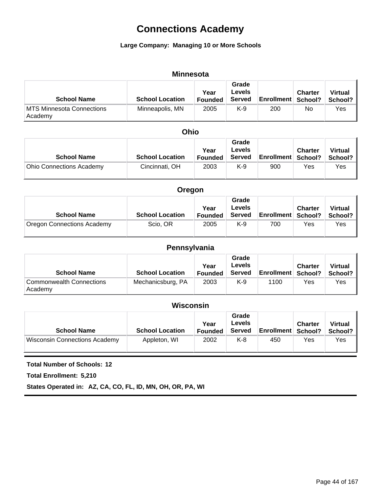#### **Large Company: Managing 10 or More Schools**

#### **Minnesota**

| <b>School Name</b>                   | <b>School Location</b> | Year<br><b>Founded</b> | Grade<br>Levels<br><b>Served</b> | <b>Enrollment School?</b> | <b>Charter</b> | <b>Virtual</b><br>School? |
|--------------------------------------|------------------------|------------------------|----------------------------------|---------------------------|----------------|---------------------------|
| MTS Minnesota Connections<br>Academy | Minneapolis, MN        | 2005                   | K-9                              | 200                       | No             | Yes                       |

#### **Ohio**

| <b>School Name</b>              | <b>School Location</b> | Year<br><b>Founded</b> | Grade<br><b>Levels</b><br><b>Served</b> | <b>Enrollment School?</b> | <b>Charter</b> | <b>Virtual</b><br>School? |
|---------------------------------|------------------------|------------------------|-----------------------------------------|---------------------------|----------------|---------------------------|
| <b>Ohio Connections Academy</b> | Cincinnati, OH         | 2003                   | K-9                                     | 900                       | Yes            | Yes                       |

| Oregon                            |                        |                        |                                  |                             |                |                           |  |
|-----------------------------------|------------------------|------------------------|----------------------------------|-----------------------------|----------------|---------------------------|--|
| <b>School Name</b>                | <b>School Location</b> | Year<br><b>Founded</b> | Grade<br>Levels<br><b>Served</b> | <b>Enrollment   School?</b> | <b>Charter</b> | <b>Virtual</b><br>School? |  |
| <b>Oregon Connections Academy</b> | Scio, OR               | 2005                   | K-9                              | 700                         | Yes            | Yes                       |  |

### **Pennsylvania**

| <b>School Name</b>                  | <b>School Location</b> | Year<br><b>Founded</b> | Grade<br>Levels<br><b>Served</b> | <b>Enrollment School?</b> | <b>Charter</b> | <b>Virtual</b><br>School? |
|-------------------------------------|------------------------|------------------------|----------------------------------|---------------------------|----------------|---------------------------|
| Commonwealth Connections<br>Academy | Mechanicsburg, PA      | 2003                   | K-9                              | 1100                      | Yes            | Yes                       |

### **Wisconsin**

| <b>School Name</b>            | <b>School Location</b> | Year<br>Founded | Grade<br>Levels<br><b>Served</b> | <b>Enrollment School?</b> | <b>Charter</b> | <b>Virtual</b><br>School? |
|-------------------------------|------------------------|-----------------|----------------------------------|---------------------------|----------------|---------------------------|
| Wisconsin Connections Academy | Appleton, WI           | 2002            | K-8                              | 450                       | Yes            | Yes                       |

#### **Total Number of Schools: 12**

**Total Enrollment: 5,210**

**States Operated in: AZ, CA, CO, FL, ID, MN, OH, OR, PA, WI**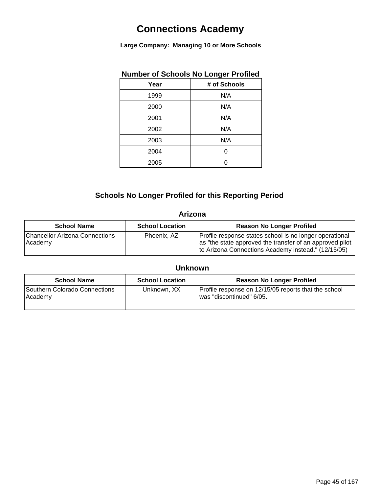**Large Company: Managing 10 or More Schools**

| Number of Schools No Longer Profiled |              |
|--------------------------------------|--------------|
| Year                                 | # of Schools |
| 1999                                 | N/A          |
| 2000                                 | N/A          |
| 2001                                 | N/A          |
| 2002                                 | N/A          |
| 2003                                 | N/A          |
| 2004                                 | O            |
| 2005                                 |              |
|                                      |              |

## **Number of Schools No Longer Profiled**

### **Schools No Longer Profiled for this Reporting Period**

### **Arizona**

| <b>School Name</b>                               | <b>School Location</b> | <b>Reason No Longer Profiled</b>                                                                                                                                           |
|--------------------------------------------------|------------------------|----------------------------------------------------------------------------------------------------------------------------------------------------------------------------|
| <b>Chancellor Arizona Connections</b><br>Academy | Phoenix, AZ            | Profile response states school is no longer operational<br>as "the state approved the transfer of an approved pilot<br>to Arizona Connections Academy instead." (12/15/05) |

### **Unknown**

| <b>School Name</b>                       | <b>School Location</b> | <b>Reason No Longer Profiled</b>                                                 |
|------------------------------------------|------------------------|----------------------------------------------------------------------------------|
| Southern Colorado Connections<br>Academy | Unknown, XX            | Profile response on 12/15/05 reports that the school<br>was "discontinued" 6/05. |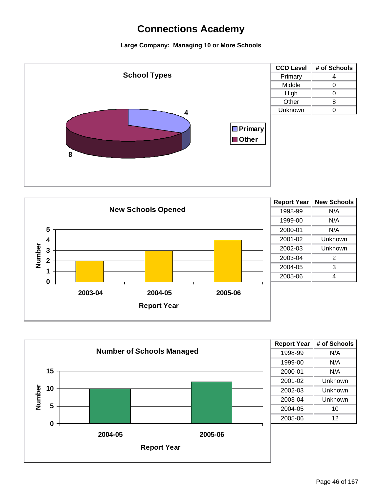



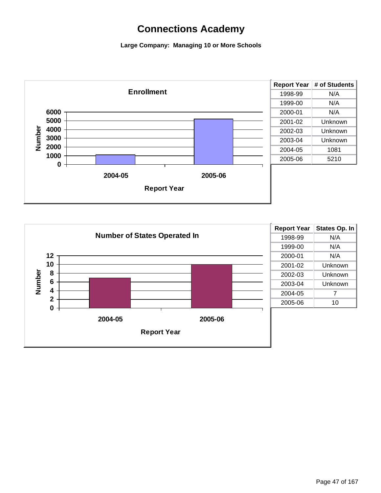

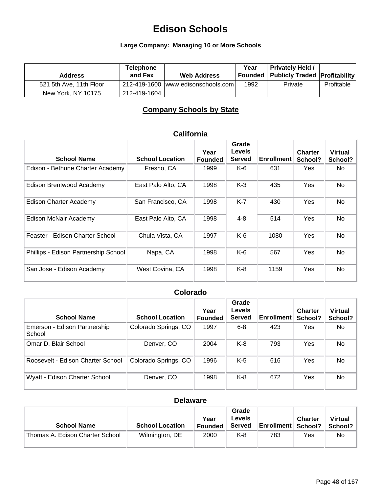### **Large Company: Managing 10 or More Schools**

| <b>Address</b>          | <b>Telephone</b><br>and Fax | <b>Web Address</b>                 | Year | <b>Privately Held /</b><br>  Founded   Publicly Traded   Profitability |            |
|-------------------------|-----------------------------|------------------------------------|------|------------------------------------------------------------------------|------------|
| 521 5th Ave, 11th Floor |                             | 212-419-1600 www.edisonschools.com | 1992 | Private                                                                | Profitable |
| New York, NY 10175      | 212-419-1604                |                                    |      |                                                                        |            |

### **Company Schools by State**

| <b>School Name</b>                   | <b>School Location</b> | Year<br><b>Founded</b> | Grade<br><b>Levels</b><br><b>Served</b> | <b>Enrollment</b> | <b>Charter</b><br>School? | <b>Virtual</b><br>School? |
|--------------------------------------|------------------------|------------------------|-----------------------------------------|-------------------|---------------------------|---------------------------|
| Edison - Bethune Charter Academy     | Fresno, CA             | 1999                   | $K-6$                                   | 631               | Yes                       | No.                       |
| Edison Brentwood Academy             | East Palo Alto, CA     | 1998                   | $K-3$                                   | 435               | Yes                       | <b>No</b>                 |
| Edison Charter Academy               | San Francisco, CA      | 1998                   | $K-7$                                   | 430               | Yes                       | <b>No</b>                 |
| Edison McNair Academy                | East Palo Alto, CA     | 1998                   | $4 - 8$                                 | 514               | Yes                       | No.                       |
| Feaster - Edison Charter School      | Chula Vista, CA        | 1997                   | $K-6$                                   | 1080              | Yes                       | <b>No</b>                 |
| Phillips - Edison Partnership School | Napa, CA               | 1998                   | $K-6$                                   | 567               | Yes                       | No.                       |
| San Jose - Edison Academy            | West Covina, CA        | 1998                   | $K-8$                                   | 1159              | Yes                       | <b>No</b>                 |

### **California**

### **Colorado**

| <b>School Name</b>                     | <b>School Location</b> | Year<br><b>Founded</b> | Grade<br>Levels<br><b>Served</b> | <b>Enrollment</b> | <b>Charter</b><br>School? | <b>Virtual</b><br>School? |
|----------------------------------------|------------------------|------------------------|----------------------------------|-------------------|---------------------------|---------------------------|
| Emerson - Edison Partnership<br>School | Colorado Springs, CO   | 1997                   | $6 - 8$                          | 423               | Yes                       | No.                       |
| Omar D. Blair School                   | Denver, CO             | 2004                   | K-8                              | 793               | Yes                       | No                        |
| Roosevelt - Edison Charter School      | Colorado Springs, CO   | 1996                   | K-5                              | 616               | Yes                       | No                        |
| Wyatt - Edison Charter School          | Denver, CO             | 1998                   | K-8                              | 672               | Yes                       | No                        |

#### **Delaware**

| <b>School Name</b>              | <b>School Location</b> | Year<br><b>Founded</b> | Grade<br>Levels<br><b>Served</b> | <b>Enrollment School?</b> | <b>Charter</b> | <b>Virtual</b><br>School? |
|---------------------------------|------------------------|------------------------|----------------------------------|---------------------------|----------------|---------------------------|
| Thomas A. Edison Charter School | Wilmington, DE         | 2000                   | K-8                              | 783                       | Yes            | No                        |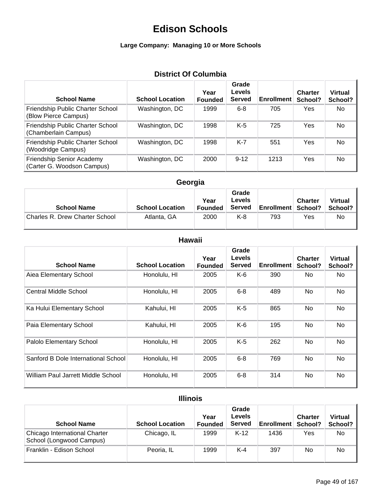### **Large Company: Managing 10 or More Schools**

## **District Of Columbia**

| <b>School Name</b>                                       | <b>School Location</b> | Year<br><b>Founded</b> | Grade<br><b>Levels</b><br><b>Served</b> | <b>Enrollment</b> | <b>Charter</b><br>School? | <b>Virtual</b><br>School? |
|----------------------------------------------------------|------------------------|------------------------|-----------------------------------------|-------------------|---------------------------|---------------------------|
| Friendship Public Charter School<br>(Blow Pierce Campus) | Washington, DC         | 1999                   | $6 - 8$                                 | 705               | Yes                       | No.                       |
| Friendship Public Charter School<br>(Chamberlain Campus) | Washington, DC         | 1998                   | $K-5$                                   | 725               | Yes                       | No                        |
| Friendship Public Charter School<br>(Woodridge Campus)   | Washington, DC         | 1998                   | K-7                                     | 551               | Yes                       | No.                       |
| Friendship Senior Academy<br>(Carter G. Woodson Campus)  | Washington, DC         | 2000                   | $9 - 12$                                | 1213              | Yes                       | <b>No</b>                 |

## **Georgia**

| <b>School Name</b>             | <b>School Location</b> | Year<br><b>Founded</b> | Grade<br>Levels<br><b>Served</b> | <b>Enrollment School?</b> | <b>Charter</b> | <b>Virtual</b><br>School? |
|--------------------------------|------------------------|------------------------|----------------------------------|---------------------------|----------------|---------------------------|
| Charles R. Drew Charter School | Atlanta, GA            | 2000                   | K-8                              | 793                       | Yes            | No                        |

### **Hawaii**

| <b>School Name</b>                  | <b>School Location</b> | Year<br><b>Founded</b> | Grade<br><b>Levels</b><br><b>Served</b> | <b>Enrollment</b> | <b>Charter</b><br>School? | Virtual<br>School? |
|-------------------------------------|------------------------|------------------------|-----------------------------------------|-------------------|---------------------------|--------------------|
| Aiea Elementary School              | Honolulu, HI           | 2005                   | K-6                                     | 390               | No.                       | No.                |
| Central Middle School               | Honolulu, HI           | 2005                   | $6 - 8$                                 | 489               | No.                       | No                 |
| Ka Hului Elementary School          | Kahului, HI            | 2005                   | $K-5$                                   | 865               | No                        | No                 |
| Paia Elementary School              | Kahului, HI            | 2005                   | K-6                                     | 195               | No                        | No                 |
| Palolo Elementary School            | Honolulu, HI           | 2005                   | K-5                                     | 262               | No                        | No                 |
| Sanford B Dole International School | Honolulu, HI           | 2005                   | $6 - 8$                                 | 769               | No.                       | No                 |
| William Paul Jarrett Middle School  | Honolulu, HI           | 2005                   | $6 - 8$                                 | 314               | No.                       | No                 |

### **Illinois**

| <b>School Name</b>                                        | <b>School Location</b> | Year<br><b>Founded</b> | Grade<br>Levels<br><b>Served</b> | <b>Enrollment</b> | <b>Charter</b><br>School? | <b>Virtual</b><br>School? |
|-----------------------------------------------------------|------------------------|------------------------|----------------------------------|-------------------|---------------------------|---------------------------|
| Chicago International Charter<br>School (Longwood Campus) | Chicago, IL            | 1999                   | $K-12$                           | 1436              | Yes                       | No                        |
| Franklin - Edison School                                  | Peoria, IL             | 1999                   | $K-4$                            | 397               | No                        | No                        |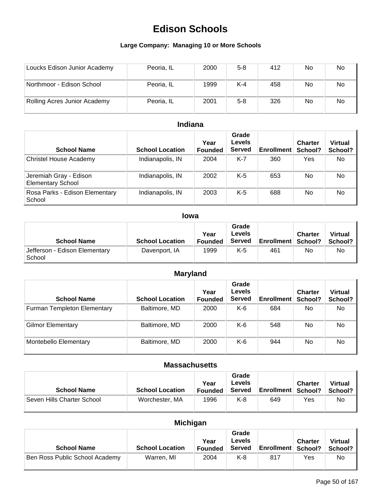### **Large Company: Managing 10 or More Schools**

| Loucks Edison Junior Academy | Peoria, IL | 2000 | $5 - 8$ | 412 | No | No        |
|------------------------------|------------|------|---------|-----|----|-----------|
| Northmoor - Edison School    | Peoria, IL | 1999 | $K-4$   | 458 | No | No        |
| Rolling Acres Junior Academy | Peoria, IL | 2001 | $5 - 8$ | 326 | No | <b>No</b> |

### **Indiana**

| <b>School Name</b>                                 | <b>School Location</b> | Year<br><b>Founded</b> | Grade<br>Levels<br><b>Served</b> | <b>Enrollment</b> | <b>Charter</b><br>School? | <b>Virtual</b><br>School? |
|----------------------------------------------------|------------------------|------------------------|----------------------------------|-------------------|---------------------------|---------------------------|
| Christel House Academy                             | Indianapolis, IN       | 2004                   | K-7                              | 360               | Yes                       | No.                       |
| Jeremiah Gray - Edison<br><b>Elementary School</b> | Indianapolis, IN       | 2002                   | K-5                              | 653               | No.                       | No.                       |
| Rosa Parks - Edison Elementary<br>School           | Indianapolis, IN       | 2003                   | K-5                              | 688               | No.                       | No                        |

### **Iowa**

| <b>School Name</b>                      | <b>School Location</b> | Year<br><b>Founded</b> | Grade<br>Levels<br><b>Served</b> | <b>Enrollment   School?</b> | <b>Charter</b> | <b>Virtual</b><br>School? |
|-----------------------------------------|------------------------|------------------------|----------------------------------|-----------------------------|----------------|---------------------------|
| Jefferson - Edison Elementary<br>School | Davenport, IA          | 1999                   | K-5                              | 461                         | No             | No.                       |

## **Maryland**

| <b>School Name</b>          | <b>School Location</b> | Year<br><b>Founded</b> | Grade<br><b>Levels</b><br><b>Served</b> | <b>Enrollment</b> | <b>Charter</b><br>School? | <b>Virtual</b><br>School? |
|-----------------------------|------------------------|------------------------|-----------------------------------------|-------------------|---------------------------|---------------------------|
| Furman Templeton Elementary | Baltimore, MD          | 2000                   | K-6                                     | 684               | No.                       | No                        |
| <b>Gilmor Elementary</b>    | Baltimore, MD          | 2000                   | K-6                                     | 548               | No.                       | No                        |
| Montebello Elementary       | Baltimore, MD          | 2000                   | K-6                                     | 944               | No.                       | No                        |

### **Massachusetts**

| <b>School Name</b>         | <b>School Location</b> | Year<br><b>Founded</b> | Grade<br>Levels<br><b>Served</b> | <b>Enrollment School?</b> | <b>Charter</b> | <b>Virtual</b><br>School? |
|----------------------------|------------------------|------------------------|----------------------------------|---------------------------|----------------|---------------------------|
| Seven Hills Charter School | Worchester, MA         | 1996                   | K-8                              | 649                       | Yes            | No                        |

## **Michigan**

| <b>School Name</b>             | <b>School Location</b> | Year<br><b>Founded</b> | Grade<br>Levels<br><b>Served</b> | <b>Enrollment School?</b> | <b>Charter</b> | <b>Virtual</b><br>School? |
|--------------------------------|------------------------|------------------------|----------------------------------|---------------------------|----------------|---------------------------|
| Ben Ross Public School Academy | Warren, MI             | 2004                   | K-8                              | 817                       | Yes            | No                        |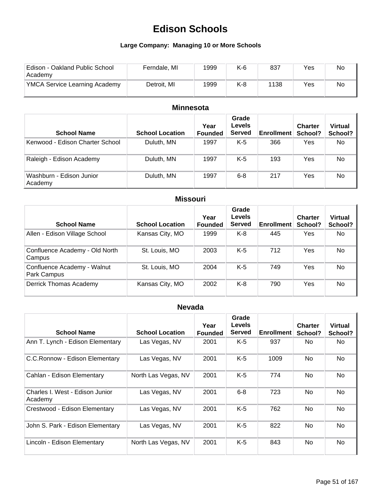### **Large Company: Managing 10 or More Schools**

| Edison - Oakland Public School<br>Academy | Ferndale, MI | 1999 | K-6 | 837  | Yes | No |
|-------------------------------------------|--------------|------|-----|------|-----|----|
| <b>YMCA Service Learning Academy</b>      | Detroit, MI  | 1999 | K-8 | 1138 | Yes | No |

### **Minnesota**

| <b>School Name</b>                  | <b>School Location</b> | Year<br><b>Founded</b> | Grade<br><b>Levels</b><br><b>Served</b> | <b>Enrollment</b> | <b>Charter</b><br>School? | <b>Virtual</b><br>School? |
|-------------------------------------|------------------------|------------------------|-----------------------------------------|-------------------|---------------------------|---------------------------|
| Kenwood - Edison Charter School     | Duluth, MN             | 1997                   | K-5                                     | 366               | Yes                       | No                        |
| Raleigh - Edison Academy            | Duluth, MN             | 1997                   | K-5                                     | 193               | Yes                       | No                        |
| Washburn - Edison Junior<br>Academy | Duluth, MN             | 1997                   | $6 - 8$                                 | 217               | Yes                       | No                        |

### **Missouri**

| <b>School Name</b>                         | <b>School Location</b> | Year<br><b>Founded</b> | Grade<br>Levels<br><b>Served</b> | <b>Enrollment</b> | <b>Charter</b><br>School? | <b>Virtual</b><br>School? |
|--------------------------------------------|------------------------|------------------------|----------------------------------|-------------------|---------------------------|---------------------------|
| Allen - Edison Village School              | Kansas City, MO        | 1999                   | $K-8$                            | 445               | Yes                       | No                        |
| Confluence Academy - Old North<br>Campus   | St. Louis, MO          | 2003                   | $K-5$                            | 712               | <b>Yes</b>                | <b>No</b>                 |
| Confluence Academy - Walnut<br>Park Campus | St. Louis, MO          | 2004                   | $K-5$                            | 749               | Yes                       | No                        |
| Derrick Thomas Academy                     | Kansas City, MO        | 2002                   | $K-8$                            | 790               | Yes                       | <b>No</b>                 |

## **Nevada**

| <b>School Name</b>                         | <b>School Location</b> | Year<br><b>Founded</b> | Grade<br><b>Levels</b><br><b>Served</b> | <b>Enrollment</b> | <b>Charter</b><br>School? | <b>Virtual</b><br>School? |
|--------------------------------------------|------------------------|------------------------|-----------------------------------------|-------------------|---------------------------|---------------------------|
| Ann T. Lynch - Edison Elementary           | Las Vegas, NV          | 2001                   | $K-5$                                   | 937               | No.                       | No.                       |
| C.C.Ronnow - Edison Elementary             | Las Vegas, NV          | 2001                   | $K-5$                                   | 1009              | No                        | <b>No</b>                 |
| Cahlan - Edison Elementary                 | North Las Vegas, NV    | 2001                   | $K-5$                                   | 774               | No.                       | No.                       |
| Charles I. West - Edison Junior<br>Academy | Las Vegas, NV          | 2001                   | $6 - 8$                                 | 723               | <b>No</b>                 | <b>No</b>                 |
| Crestwood - Edison Elementary              | Las Vegas, NV          | 2001                   | $K-5$                                   | 762               | <b>No</b>                 | <b>No</b>                 |
| John S. Park - Edison Elementary           | Las Vegas, NV          | 2001                   | $K-5$                                   | 822               | <b>No</b>                 | <b>No</b>                 |
| Lincoln - Edison Elementary                | North Las Vegas, NV    | 2001                   | K-5                                     | 843               | No                        | <b>No</b>                 |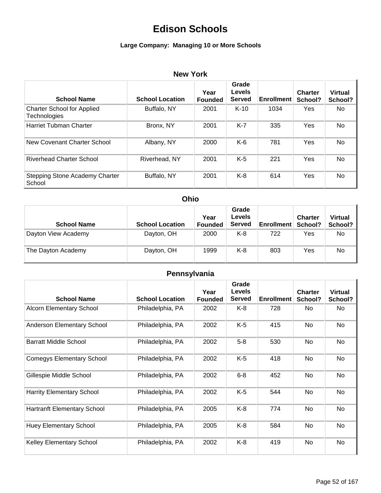### **Large Company: Managing 10 or More Schools**

### **New York**

| <b>School Name</b>                                       | <b>School Location</b> | Year<br><b>Founded</b> | Grade<br><b>Levels</b><br><b>Served</b> | <b>Enrollment</b> | <b>Charter</b><br>School? | <b>Virtual</b><br>School? |
|----------------------------------------------------------|------------------------|------------------------|-----------------------------------------|-------------------|---------------------------|---------------------------|
| <b>Charter School for Applied</b><br><b>Technologies</b> | Buffalo, NY            | 2001                   | $K-10$                                  | 1034              | Yes                       | No.                       |
| Harriet Tubman Charter                                   | Bronx, NY              | 2001                   | $K-7$                                   | 335               | Yes                       | No                        |
| New Covenant Charter School                              | Albany, NY             | 2000                   | K-6                                     | 781               | Yes                       | No.                       |
| <b>Riverhead Charter School</b>                          | Riverhead, NY          | 2001                   | $K-5$                                   | 221               | Yes                       | No                        |
| Stepping Stone Academy Charter<br>School                 | Buffalo, NY            | 2001                   | $K-8$                                   | 614               | Yes                       | No.                       |

### **Ohio**

| <b>School Name</b>  | <b>School Location</b> | Year<br><b>Founded</b> | Grade<br><b>Levels</b><br><b>Served</b> | <b>Enrollment</b> | <b>Charter</b><br>School? | <b>Virtual</b><br>School? |
|---------------------|------------------------|------------------------|-----------------------------------------|-------------------|---------------------------|---------------------------|
| Dayton View Academy | Dayton, OH             | 2000                   | K-8                                     | 722               | Yes                       | No.                       |
| The Dayton Academy  | Dayton, OH             | 1999                   | K-8                                     | 803               | Yes                       | No                        |

## **Pennsylvania**

| <b>School Name</b>                 | <b>School Location</b> | Year<br><b>Founded</b> | Grade<br><b>Levels</b><br><b>Served</b> | <b>Enrollment</b> | <b>Charter</b><br>School? | <b>Virtual</b><br>School? |
|------------------------------------|------------------------|------------------------|-----------------------------------------|-------------------|---------------------------|---------------------------|
| <b>Alcorn Elementary School</b>    | Philadelphia, PA       | 2002                   | K-8                                     | 728               | No.                       | No                        |
| Anderson Elementary School         | Philadelphia, PA       | 2002                   | $K-5$                                   | 415               | No                        | <b>No</b>                 |
| <b>Barratt Middle School</b>       | Philadelphia, PA       | 2002                   | $5 - 8$                                 | 530               | No                        | <b>No</b>                 |
| <b>Comegys Elementary School</b>   | Philadelphia, PA       | 2002                   | $K-5$                                   | 418               | No                        | No                        |
| Gillespie Middle School            | Philadelphia, PA       | 2002                   | $6 - 8$                                 | 452               | No                        | No                        |
| <b>Harrity Elementary School</b>   | Philadelphia, PA       | 2002                   | K-5                                     | 544               | No                        | <b>No</b>                 |
| <b>Hartranft Elementary School</b> | Philadelphia, PA       | 2005                   | $K-8$                                   | 774               | No                        | <b>No</b>                 |
| <b>Huey Elementary School</b>      | Philadelphia, PA       | 2005                   | $K-8$                                   | 584               | No                        | <b>No</b>                 |
| <b>Kelley Elementary School</b>    | Philadelphia, PA       | 2002                   | $K-8$                                   | 419               | No                        | No                        |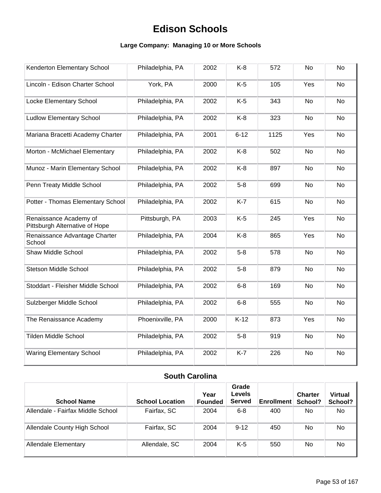### **Large Company: Managing 10 or More Schools**

| Kenderton Elementary School                              | Philadelphia, PA | 2002 | $K-8$    | 572  | <b>No</b> | <b>No</b> |
|----------------------------------------------------------|------------------|------|----------|------|-----------|-----------|
| Lincoln - Edison Charter School                          | York, PA         | 2000 | $K-5$    | 105  | Yes       | <b>No</b> |
| Locke Elementary School                                  | Philadelphia, PA | 2002 | $K-5$    | 343  | <b>No</b> | <b>No</b> |
| <b>Ludlow Elementary School</b>                          | Philadelphia, PA | 2002 | $K-8$    | 323  | No        | <b>No</b> |
| Mariana Bracetti Academy Charter                         | Philadelphia, PA | 2001 | $6 - 12$ | 1125 | Yes       | No        |
| Morton - McMichael Elementary                            | Philadelphia, PA | 2002 | $K-8$    | 502  | <b>No</b> | <b>No</b> |
| Munoz - Marin Elementary School                          | Philadelphia, PA | 2002 | $K-8$    | 897  | <b>No</b> | <b>No</b> |
| Penn Treaty Middle School                                | Philadelphia, PA | 2002 | $5-8$    | 699  | <b>No</b> | No        |
| Potter - Thomas Elementary School                        | Philadelphia, PA | 2002 | $K-7$    | 615  | No        | No        |
| Renaissance Academy of<br>Pittsburgh Alternative of Hope | Pittsburgh, PA   | 2003 | $K-5$    | 245  | Yes       | <b>No</b> |
| Renaissance Advantage Charter<br>School                  | Philadelphia, PA | 2004 | $K-8$    | 865  | Yes       | No        |
| Shaw Middle School                                       | Philadelphia, PA | 2002 | $5-8$    | 578  | <b>No</b> | <b>No</b> |
| <b>Stetson Middle School</b>                             | Philadelphia, PA | 2002 | $5-8$    | 879  | No        | No        |
| Stoddart - Fleisher Middle School                        | Philadelphia, PA | 2002 | $6 - 8$  | 169  | No        | No        |
| Sulzberger Middle School                                 | Philadelphia, PA | 2002 | $6 - 8$  | 555  | <b>No</b> | <b>No</b> |
| The Renaissance Academy                                  | Phoenixville, PA | 2000 | $K-12$   | 873  | Yes       | <b>No</b> |
| <b>Tilden Middle School</b>                              | Philadelphia, PA | 2002 | $5-8$    | 919  | <b>No</b> | <b>No</b> |
| <b>Waring Elementary School</b>                          | Philadelphia, PA | 2002 | $K-7$    | 226  | No        | <b>No</b> |

### **South Carolina**

| <b>School Name</b>                | <b>School Location</b> | Year<br><b>Founded</b> | Grade<br>Levels<br>Served | <b>Enrollment</b> | <b>Charter</b><br>School? | <b>Virtual</b><br>School? |
|-----------------------------------|------------------------|------------------------|---------------------------|-------------------|---------------------------|---------------------------|
| Allendale - Fairfax Middle School | Fairfax, SC            | 2004                   | $6 - 8$                   | 400               | No.                       | No.                       |
| Allendale County High School      | Fairfax, SC            | 2004                   | $9 - 12$                  | 450               | No.                       | No.                       |
| <b>Allendale Elementary</b>       | Allendale, SC          | 2004                   | K-5                       | 550               | No                        | No                        |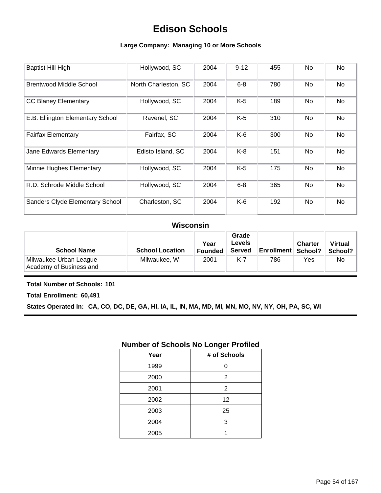### **Large Company: Managing 10 or More Schools**

| <b>Baptist Hill High</b>         | Hollywood, SC        | 2004 | $9 - 12$ | 455 | No | No |
|----------------------------------|----------------------|------|----------|-----|----|----|
| <b>Brentwood Middle School</b>   | North Charleston, SC | 2004 | $6 - 8$  | 780 | No | No |
| <b>CC Blaney Elementary</b>      | Hollywood, SC        | 2004 | $K-5$    | 189 | No | No |
| E.B. Ellington Elementary School | Ravenel, SC          | 2004 | $K-5$    | 310 | No | No |
| <b>Fairfax Elementary</b>        | Fairfax, SC          | 2004 | $K-6$    | 300 | No | No |
| Jane Edwards Elementary          | Edisto Island, SC    | 2004 | $K-8$    | 151 | No | No |
| Minnie Hughes Elementary         | Hollywood, SC        | 2004 | $K-5$    | 175 | No | No |
| R.D. Schrode Middle School       | Hollywood, SC        | 2004 | $6 - 8$  | 365 | No | No |
| Sanders Clyde Elementary School  | Charleston, SC       | 2004 | K-6      | 192 | No | No |

### **Wisconsin**

| <b>School Name</b>                                | <b>School Location</b> | Year<br><b>Founded</b> | Grade<br><b>Levels</b><br>Served | Enrollment   School? | <b>Charter</b> | <b>Virtual</b><br>School? |
|---------------------------------------------------|------------------------|------------------------|----------------------------------|----------------------|----------------|---------------------------|
| Milwaukee Urban League<br>Academy of Business and | Milwaukee, WI          | 2001                   | K-7                              | 786                  | Yes            | No.                       |

#### **Total Number of Schools: 101**

**Total Enrollment: 60,491**

**States Operated in: CA, CO, DC, DE, GA, HI, IA, IL, IN, MA, MD, MI, MN, MO, NV, NY, OH, PA, SC, WI**

### **Number of Schools No Longer Profiled**

| Year | # of Schools |
|------|--------------|
| 1999 | 0            |
| 2000 | 2            |
| 2001 | 2            |
| 2002 | 12           |
| 2003 | 25           |
| 2004 | 3            |
| 2005 |              |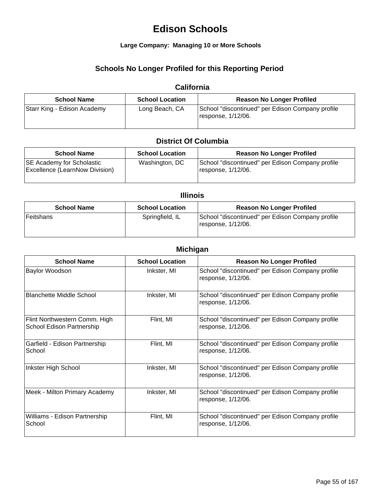#### **Large Company: Managing 10 or More Schools**

### **Schools No Longer Profiled for this Reporting Period**

### **California**

| <b>School Name</b>          | <b>School Location</b> | <b>Reason No Longer Profiled</b>                                       |
|-----------------------------|------------------------|------------------------------------------------------------------------|
| Starr King - Edison Academy | Long Beach, CA         | School "discontinued" per Edison Company profile<br>response, 1/12/06. |

### **District Of Columbia**

| <b>School Name</b>                                                        | <b>School Location</b> | <b>Reason No Longer Profiled</b>                                       |
|---------------------------------------------------------------------------|------------------------|------------------------------------------------------------------------|
| <b>SE Academy for Scholastic</b><br><b>Excellence (LearnNow Division)</b> | Washington, DC         | School "discontinued" per Edison Company profile<br>response, 1/12/06. |

#### **Illinois**

| <b>School Name</b> | <b>School Location</b> | <b>Reason No Longer Profiled</b>                                       |
|--------------------|------------------------|------------------------------------------------------------------------|
| Feitshans          | Springfield, IL        | School "discontinued" per Edison Company profile<br>response, 1/12/06. |

### **Michigan**

| <b>School Name</b>                                         | <b>School Location</b> | <b>Reason No Longer Profiled</b>                                       |
|------------------------------------------------------------|------------------------|------------------------------------------------------------------------|
| <b>Baylor Woodson</b>                                      | Inkster, MI            | School "discontinued" per Edison Company profile<br>response, 1/12/06. |
| <b>Blanchette Middle School</b>                            | Inkster, MI            | School "discontinued" per Edison Company profile<br>response, 1/12/06. |
| Flint Northwestern Comm. High<br>School Edison Partnership | Flint, MI              | School "discontinued" per Edison Company profile<br>response, 1/12/06. |
| Garfield - Edison Partnership<br>School                    | Flint, MI              | School "discontinued" per Edison Company profile<br>response, 1/12/06. |
| Inkster High School                                        | Inkster, MI            | School "discontinued" per Edison Company profile<br>response, 1/12/06. |
| Meek - Milton Primary Academy                              | Inkster, MI            | School "discontinued" per Edison Company profile<br>response, 1/12/06. |
| Williams - Edison Partnership<br>School                    | Flint, MI              | School "discontinued" per Edison Company profile<br>response, 1/12/06. |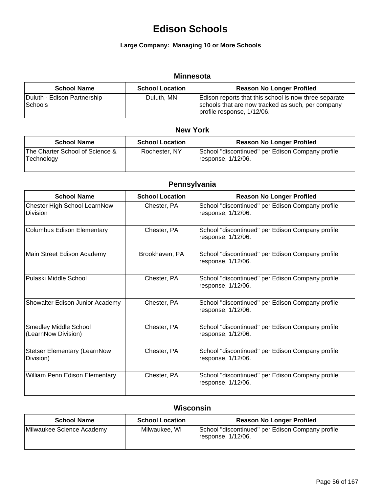### **Large Company: Managing 10 or More Schools**

### **Minnesota**

| <b>School Name</b>                     | <b>School Location</b> | <b>Reason No Longer Profiled</b>                                                                                                         |
|----------------------------------------|------------------------|------------------------------------------------------------------------------------------------------------------------------------------|
| Duluth - Edison Partnership<br>Schools | Duluth, MN             | Edison reports that this school is now three separate<br>schools that are now tracked as such, per company<br>profile response, 1/12/06. |

### **New York**

| <b>School Name</b>                            | <b>School Location</b> | <b>Reason No Longer Profiled</b>                                        |
|-----------------------------------------------|------------------------|-------------------------------------------------------------------------|
| The Charter School of Science &<br>Technology | Rochester, NY          | School "discontinued" per Edison Company profile<br>Iresponse, 1/12/06. |

### **Pennsylvania**

| <b>School Name</b>                                  | <b>School Location</b> | <b>Reason No Longer Profiled</b>                                       |
|-----------------------------------------------------|------------------------|------------------------------------------------------------------------|
| Chester High School LearnNow<br><b>Division</b>     | Chester, PA            | School "discontinued" per Edison Company profile<br>response, 1/12/06. |
| <b>Columbus Edison Elementary</b>                   | Chester, PA            | School "discontinued" per Edison Company profile<br>response, 1/12/06. |
| Main Street Edison Academy                          | Brookhaven, PA         | School "discontinued" per Edison Company profile<br>response, 1/12/06. |
| Pulaski Middle School                               | Chester, PA            | School "discontinued" per Edison Company profile<br>response, 1/12/06. |
| Showalter Edison Junior Academy                     | Chester, PA            | School "discontinued" per Edison Company profile<br>response, 1/12/06. |
| <b>Smedley Middle School</b><br>(LearnNow Division) | Chester, PA            | School "discontinued" per Edison Company profile<br>response, 1/12/06. |
| <b>Stetser Elementary (LearnNow</b><br>Division)    | Chester, PA            | School "discontinued" per Edison Company profile<br>response, 1/12/06. |
| William Penn Edison Elementary                      | Chester, PA            | School "discontinued" per Edison Company profile<br>response, 1/12/06. |

### **Wisconsin**

| <b>School Name</b>        | <b>School Location</b> | <b>Reason No Longer Profiled</b>                                       |
|---------------------------|------------------------|------------------------------------------------------------------------|
| Milwaukee Science Academy | Milwaukee, WI          | School "discontinued" per Edison Company profile<br>response, 1/12/06. |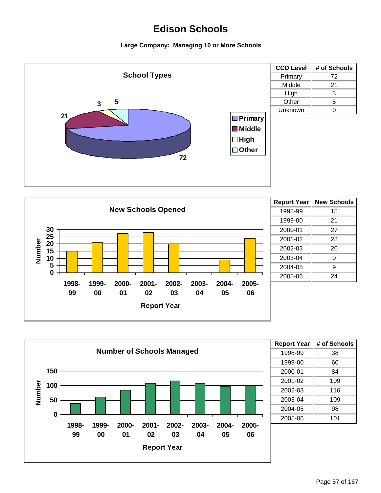



| <b>Report Year</b> | <b>New Schools</b> |
|--------------------|--------------------|
| 1998-99            | 15                 |
| 1999-00            | 21                 |
| 2000-01            | 27                 |
| 2001-02            | 28                 |
| 2002-03            | 20                 |
| 2003-04            | 0                  |
| 2004-05            | 9                  |
| 2005-06            | 24                 |
|                    |                    |



| <b>Report Year</b> | # of Schools |
|--------------------|--------------|
| 1998-99            | 38           |
| 1999-00            | 60           |
| 2000-01            | 84           |
| 2001-02            | 109          |
| 2002-03            | 116          |
| 2003-04            | 109          |
| 2004-05            | 98           |
| 2005-06            | 101          |
|                    |              |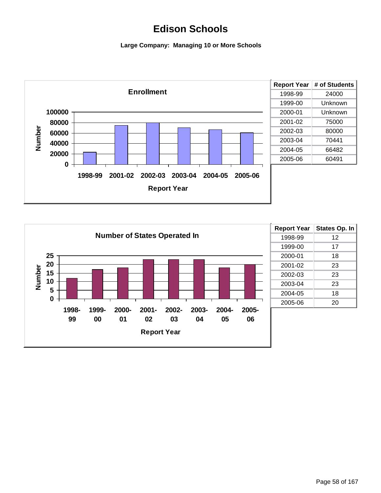

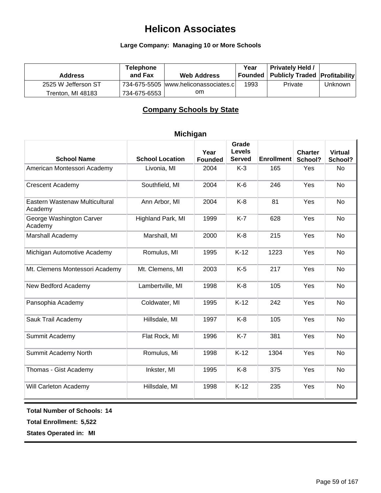#### **Large Company: Managing 10 or More Schools**

| <b>Address</b>      | <b>Telephone</b><br>and Fax | <b>Web Address</b>                   | Year | <b>Privately Held /</b><br>  Founded   Publicly Traded   Profitability |         |
|---------------------|-----------------------------|--------------------------------------|------|------------------------------------------------------------------------|---------|
| 2525 W Jefferson ST |                             | 734-675-5505 www.heliconassociates.c | 1993 | Private                                                                | Unknown |
| Trenton, MI 48183   | 734-675-6553                | om.                                  |      |                                                                        |         |

### **Company Schools by State**

| <b>School Location</b> | Year<br><b>Founded</b> | Grade<br><b>Levels</b><br><b>Served</b> | <b>Enrollment</b> | <b>Charter</b><br>School? | <b>Virtual</b><br>School? |
|------------------------|------------------------|-----------------------------------------|-------------------|---------------------------|---------------------------|
| Livonia, MI            | 2004                   | $K-3$                                   | 165               | Yes                       | <b>No</b>                 |
| Southfield, MI         | 2004                   | $K-6$                                   | 246               | Yes                       | <b>No</b>                 |
| Ann Arbor, MI          | 2004                   | $K-8$                                   | 81                | Yes                       | No                        |
| Highland Park, MI      | 1999                   | $K-7$                                   | 628               | Yes                       | <b>No</b>                 |
| Marshall, MI           | 2000                   | $K-8$                                   | 215               | Yes                       | <b>No</b>                 |
| Romulus, MI            | 1995                   | $K-12$                                  | 1223              | Yes                       | No                        |
| Mt. Clemens, MI        | 2003                   | $K-5$                                   | 217               | Yes                       | <b>No</b>                 |
| Lambertville, MI       | 1998                   | $K-8$                                   | 105               | Yes                       | No                        |
| Coldwater, MI          | 1995                   | $K-12$                                  | 242               | Yes                       | No                        |
| Hillsdale, MI          | 1997                   | $K-8$                                   | 105               | Yes                       | <b>No</b>                 |
| Flat Rock, MI          | 1996                   | $K-7$                                   | 381               | Yes                       | <b>No</b>                 |
| Romulus, Mi            | 1998                   | $K-12$                                  | 1304              | Yes                       | No                        |
| Inkster, MI            | 1995                   | $K-8$                                   | 375               | Yes                       | No                        |
| Hillsdale, MI          | 1998                   | $K-12$                                  | 235               | Yes                       | <b>No</b>                 |
|                        |                        |                                         |                   |                           |                           |

#### **Michigan**

**Total Number of Schools: 14**

**Total Enrollment: 5,522**

**States Operated in: MI**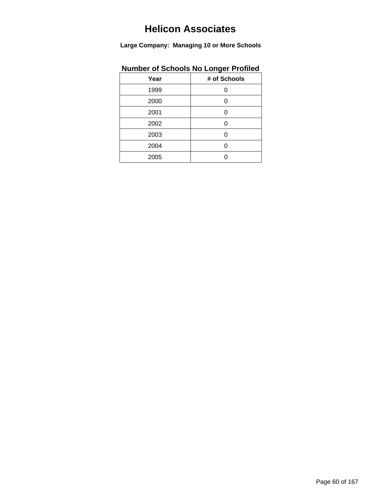**Large Company: Managing 10 or More Schools**

| namber of concels no Longer riomea |              |
|------------------------------------|--------------|
| Year                               | # of Schools |
| 1999                               |              |
| 2000                               | 0            |
| 2001                               | ∩            |
| 2002                               | Ω            |
| 2003                               | Ω            |
| 2004                               | O            |
| 2005                               |              |
|                                    |              |

### **Number of Schools No Longer Profiled**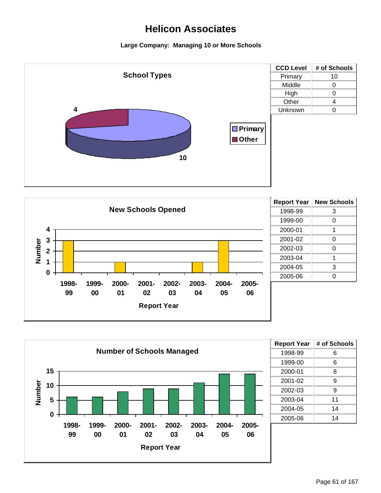





| <b>Report Year</b> | # of Schools |
|--------------------|--------------|
| 1998-99            | 6            |
| 1999-00            | 6            |
| 2000-01            | 8            |
| 2001-02            | 9            |
| 2002-03            | 9            |
| 2003-04            | 11           |
| 2004-05            | 14           |
| 2005-06            | 14           |
|                    |              |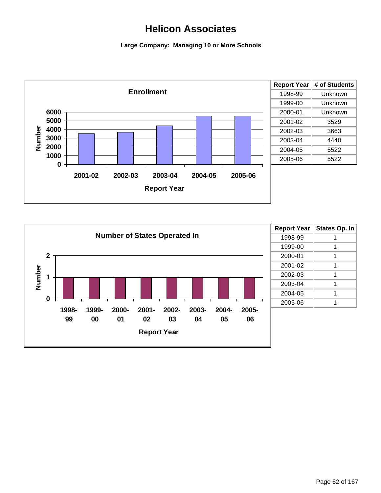

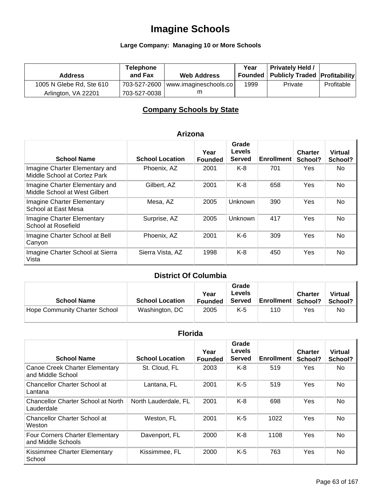## **Large Company: Managing 10 or More Schools**

| <b>Address</b>           | <b>Telephone</b><br>and Fax | <b>Web Address</b>                   | Year | <b>Privately Held /</b><br>Founded   Publicly Traded   Profitability |            |
|--------------------------|-----------------------------|--------------------------------------|------|----------------------------------------------------------------------|------------|
| 1005 N Glebe Rd, Ste 610 |                             | 703-527-2600   www.imagineschools.co | 1999 | Private                                                              | Profitable |
| Arlington, VA 22201      | 703-527-0038                |                                      |      |                                                                      |            |

### **Company Schools by State**

| <b>School Name</b>                                              | <b>School Location</b> | Year<br><b>Founded</b> | Grade<br>Levels<br><b>Served</b> | <b>Enrollment</b> | <b>Charter</b><br>School? | <b>Virtual</b><br>School? |
|-----------------------------------------------------------------|------------------------|------------------------|----------------------------------|-------------------|---------------------------|---------------------------|
| Imagine Charter Elementary and<br>Middle School at Cortez Park  | Phoenix, AZ            | 2001                   | $K-8$                            | 701               | Yes                       | No.                       |
| Imagine Charter Elementary and<br>Middle School at West Gilbert | Gilbert, AZ            | 2001                   | $K-8$                            | 658               | Yes                       | No                        |
| <b>Imagine Charter Elementary</b><br>School at East Mesa        | Mesa, AZ               | 2005                   | <b>Unknown</b>                   | 390               | <b>Yes</b>                | No                        |
| <b>Imagine Charter Elementary</b><br>School at Rosefield        | Surprise, AZ           | 2005                   | Unknown                          | 417               | <b>Yes</b>                | No                        |
| Imagine Charter School at Bell<br>Canyon                        | Phoenix, AZ            | 2001                   | $K-6$                            | 309               | Yes                       | No                        |
| Imagine Charter School at Sierra<br>Vista                       | Sierra Vista, AZ       | 1998                   | $K-8$                            | 450               | Yes                       | No                        |

#### **Arizona**

### **District Of Columbia**

| <b>School Name</b>            | <b>School Location</b> | Year<br><b>Founded</b> | Grade<br>Levels<br><b>Served</b> | <b>Enrollment School?</b> | <b>Charter</b> | <b>Virtual</b><br>School? |
|-------------------------------|------------------------|------------------------|----------------------------------|---------------------------|----------------|---------------------------|
| Hope Community Charter School | Washington, DC         | 2005                   | K-5                              | 110                       | Yes            | No                        |

### **Florida**

| <b>School Name</b>                                    | <b>School Location</b> | Year<br><b>Founded</b> | Grade<br>Levels<br><b>Served</b> | <b>Enrollment</b> | <b>Charter</b><br>School? | <b>Virtual</b><br>School? |
|-------------------------------------------------------|------------------------|------------------------|----------------------------------|-------------------|---------------------------|---------------------------|
| Canoe Creek Charter Elementary<br>and Middle School   | St. Cloud, FL          | 2003                   | $K-8$                            | 519               | Yes                       | No.                       |
| <b>Chancellor Charter School at</b><br>Lantana        | Lantana, FL            | 2001                   | $K-5$                            | 519               | Yes                       | No.                       |
| Chancellor Charter School at North<br>Lauderdale      | North Lauderdale, FL   | 2001                   | $K-8$                            | 698               | Yes                       | No.                       |
| <b>Chancellor Charter School at</b><br>Weston         | Weston, FL             | 2001                   | $K-5$                            | 1022              | Yes                       | No.                       |
| Four Corners Charter Elementary<br>and Middle Schools | Davenport, FL          | 2000                   | $K-8$                            | 1108              | Yes                       | <b>No</b>                 |
| Kissimmee Charter Elementary<br>School                | Kissimmee, FL          | 2000                   | $K-5$                            | 763               | Yes                       | <b>No</b>                 |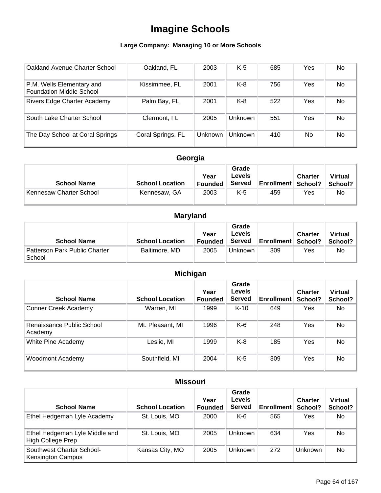### **Large Company: Managing 10 or More Schools**

| Oakland Avenue Charter School                                | Oakland, FL       | 2003    | $K-5$   | 685 | Yes | No        |
|--------------------------------------------------------------|-------------------|---------|---------|-----|-----|-----------|
| P.M. Wells Elementary and<br><b>Foundation Middle School</b> | Kissimmee, FL     | 2001    | $K-8$   | 756 | Yes | <b>No</b> |
| Rivers Edge Charter Academy                                  | Palm Bay, FL      | 2001    | K-8     | 522 | Yes | No.       |
| South Lake Charter School                                    | Clermont, FL      | 2005    | Unknown | 551 | Yes | <b>No</b> |
| The Day School at Coral Springs                              | Coral Springs, FL | Unknown | Unknown | 410 | No. | <b>No</b> |

## **Georgia**

| <b>School Name</b>      | <b>School Location</b> | Year<br>Founded | Grade<br><b>Levels</b><br><b>Served</b> | <b>Enrollment School?</b> | <b>Charter</b> | <b>Virtual</b><br>School? |
|-------------------------|------------------------|-----------------|-----------------------------------------|---------------------------|----------------|---------------------------|
| Kennesaw Charter School | Kennesaw, GA           | 2003            | K-5                                     | 459                       | Yes            | No.                       |

## **Maryland**

| <b>School Name</b>                      | <b>School Location</b> | Year<br><b>Founded</b> | Grade<br>Levels<br><b>Served</b> | <b>Enrollment School?</b> | <b>Charter</b> | <b>Virtual</b><br>School? |
|-----------------------------------------|------------------------|------------------------|----------------------------------|---------------------------|----------------|---------------------------|
| Patterson Park Public Charter<br>School | Baltimore, MD          | 2005                   | Unknown                          | 309                       | Yes            | No                        |

## **Michigan**

| <b>School Name</b>                   | <b>School Location</b> | Year<br><b>Founded</b> | Grade<br>Levels<br><b>Served</b> | <b>Enrollment</b> | <b>Charter</b><br>School? | <b>Virtual</b><br>School? |
|--------------------------------------|------------------------|------------------------|----------------------------------|-------------------|---------------------------|---------------------------|
| Conner Creek Academy                 | Warren, MI             | 1999                   | $K-10$                           | 649               | Yes                       | No.                       |
| Renaissance Public School<br>Academy | Mt. Pleasant, MI       | 1996                   | $K-6$                            | 248               | Yes                       | <b>No</b>                 |
| White Pine Academy                   | Leslie, MI             | 1999                   | $K-8$                            | 185               | Yes                       | <b>No</b>                 |
| <b>Woodmont Academy</b>              | Southfield, MI         | 2004                   | K-5                              | 309               | Yes                       | <b>No</b>                 |

### **Missouri**

| <b>School Name</b>                                         | <b>School Location</b> | Year<br><b>Founded</b> | Grade<br>Levels<br><b>Served</b> | <b>Enrollment</b> | <b>Charter</b><br>School? | <b>Virtual</b><br>School? |
|------------------------------------------------------------|------------------------|------------------------|----------------------------------|-------------------|---------------------------|---------------------------|
| Ethel Hedgeman Lyle Academy                                | St. Louis, MO          | 2000                   | $K-6$                            | 565               | Yes                       | No                        |
| Ethel Hedgeman Lyle Middle and<br><b>High College Prep</b> | St. Louis, MO          | 2005                   | Unknown                          | 634               | Yes                       | No                        |
| Southwest Charter School-<br><b>Kensington Campus</b>      | Kansas City, MO        | 2005                   | Unknown                          | 272               | <b>Unknown</b>            | No                        |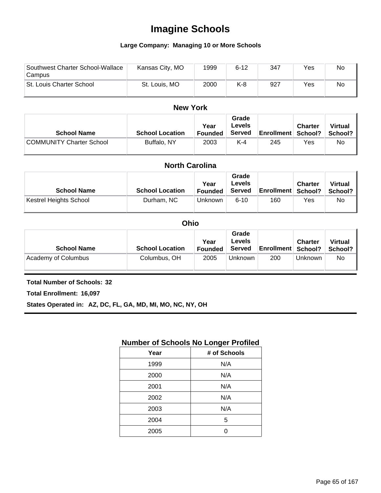#### **Large Company: Managing 10 or More Schools**

| Southwest Charter School-Wallace<br>Campus | Kansas City, MO | 1999 | $6 - 12$ | 347 | Yes | No |
|--------------------------------------------|-----------------|------|----------|-----|-----|----|
| St. Louis Charter School                   | St. Louis, MO   | 2000 | K-8      | 927 | Yes | No |

#### **New York**

| <b>School Name</b>              | <b>School Location</b> | Year<br><b>Founded</b> | Grade<br>Levels<br><b>Served</b> | <b>Enrollment School?</b> | <b>Charter</b> | <b>Virtual</b><br>School? |
|---------------------------------|------------------------|------------------------|----------------------------------|---------------------------|----------------|---------------------------|
| <b>COMMUNITY Charter School</b> | Buffalo, NY            | 2003                   | $K-4$                            | 245                       | Yes            | No                        |

| <b>North Carolina</b>         |                        |                        |                                         |                           |                |                           |
|-------------------------------|------------------------|------------------------|-----------------------------------------|---------------------------|----------------|---------------------------|
| <b>School Name</b>            | <b>School Location</b> | Year<br><b>Founded</b> | Grade<br><b>Levels</b><br><b>Served</b> | <b>Enrollment School?</b> | <b>Charter</b> | <b>Virtual</b><br>School? |
| <b>Kestrel Heights School</b> | Durham, NC             | <b>Unknown</b>         | $6 - 10$                                | 160                       | Yes            | No.                       |

| <b>Ohio</b>         |                        |                        |                                         |                           |                |                           |
|---------------------|------------------------|------------------------|-----------------------------------------|---------------------------|----------------|---------------------------|
| <b>School Name</b>  | <b>School Location</b> | Year<br><b>Founded</b> | Grade<br><b>Levels</b><br><b>Served</b> | <b>Enrollment School?</b> | <b>Charter</b> | <b>Virtual</b><br>School? |
| Academy of Columbus | Columbus, OH           | 2005                   | <b>Unknown</b>                          | 200                       | <b>Unknown</b> | <b>No</b>                 |

#### **Total Number of Schools: 32**

**Total Enrollment: 16,097**

**States Operated in: AZ, DC, FL, GA, MD, MI, MO, NC, NY, OH**

### **Number of Schools No Longer Profiled**

| Year | # of Schools |
|------|--------------|
| 1999 | N/A          |
| 2000 | N/A          |
| 2001 | N/A          |
| 2002 | N/A          |
| 2003 | N/A          |
| 2004 | 5            |
| 2005 |              |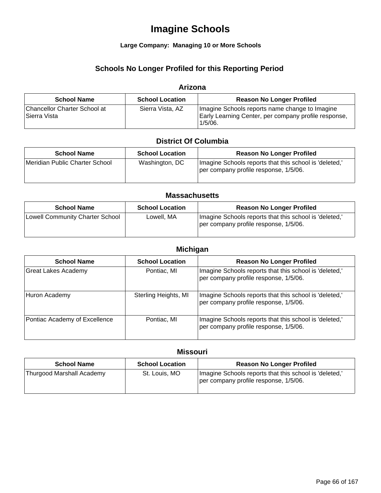#### **Large Company: Managing 10 or More Schools**

### **Schools No Longer Profiled for this Reporting Period**

#### **Arizona**

| <b>School Name</b>                           | <b>School Location</b> | <b>Reason No Longer Profiled</b>                                                                                     |
|----------------------------------------------|------------------------|----------------------------------------------------------------------------------------------------------------------|
| Chancellor Charter School at<br>Sierra Vista | Sierra Vista, AZ       | Imagine Schools reports name change to Imagine<br>Early Learning Center, per company profile response,<br>$1/5/06$ . |

#### **District Of Columbia**

| <b>School Name</b>             | <b>School Location</b> | <b>Reason No Longer Profiled</b>                                                                |
|--------------------------------|------------------------|-------------------------------------------------------------------------------------------------|
| Meridian Public Charter School | Washington, DC         | Imagine Schools reports that this school is 'deleted,'<br>per company profile response, 1/5/06. |

#### **Massachusetts**

| <b>School Name</b>              | <b>School Location</b> | <b>Reason No Longer Profiled</b>                                                               |
|---------------------------------|------------------------|------------------------------------------------------------------------------------------------|
| Lowell Community Charter School | Lowell, MA             | Imagine Schools reports that this school is 'deleted,<br>per company profile response, 1/5/06. |

#### **Michigan**

| <b>School Name</b>            | <b>School Location</b> | <b>Reason No Longer Profiled</b>                                                                |
|-------------------------------|------------------------|-------------------------------------------------------------------------------------------------|
| Great Lakes Academy           | Pontiac, MI            | Imagine Schools reports that this school is 'deleted,'<br>per company profile response, 1/5/06. |
| Huron Academy                 | Sterling Heights, MI   | Imagine Schools reports that this school is 'deleted,'<br>per company profile response, 1/5/06. |
| Pontiac Academy of Excellence | Pontiac, MI            | Imagine Schools reports that this school is 'deleted,'<br>per company profile response, 1/5/06. |

### **Missouri**

| <b>School Name</b>        | <b>School Location</b> | <b>Reason No Longer Profiled</b>                                                                |
|---------------------------|------------------------|-------------------------------------------------------------------------------------------------|
| Thurgood Marshall Academy | St. Louis, MO          | Imagine Schools reports that this school is 'deleted,'<br>per company profile response, 1/5/06. |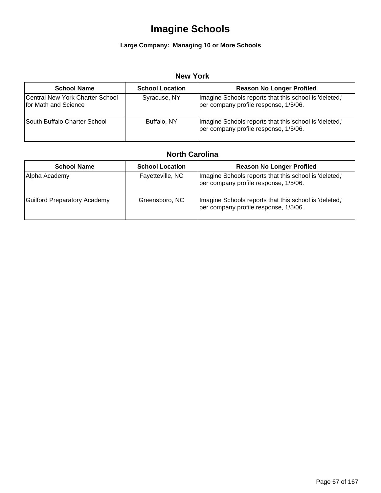### **Large Company: Managing 10 or More Schools**

#### **New York**

| <b>School Name</b>                                      | <b>School Location</b> | <b>Reason No Longer Profiled</b>                                                                |
|---------------------------------------------------------|------------------------|-------------------------------------------------------------------------------------------------|
| Central New York Charter School<br>for Math and Science | Syracuse, NY           | Imagine Schools reports that this school is 'deleted,'<br>per company profile response, 1/5/06. |
| ISouth Buffalo Charter School                           | Buffalo, NY            | Imagine Schools reports that this school is 'deleted,'<br>per company profile response, 1/5/06. |

### **North Carolina**

| <b>School Name</b>                  | <b>School Location</b> | <b>Reason No Longer Profiled</b>                                                                |
|-------------------------------------|------------------------|-------------------------------------------------------------------------------------------------|
| Alpha Academy                       | Fayetteville, NC       | Imagine Schools reports that this school is 'deleted,'<br>per company profile response, 1/5/06. |
| <b>Guilford Preparatory Academy</b> | Greensboro, NC         | Imagine Schools reports that this school is 'deleted,'<br>per company profile response, 1/5/06. |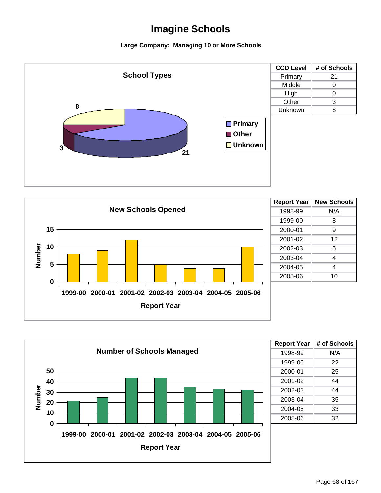





| <b>Report Year</b> | # of Schools |
|--------------------|--------------|
| 1998-99            | N/A          |
| 1999-00            | 22           |
| 2000-01            | 25           |
| 2001-02            | 44           |
| 2002-03            | 44           |
| 2003-04            | 35           |
| 2004-05            | 33           |
| 2005-06            | 32           |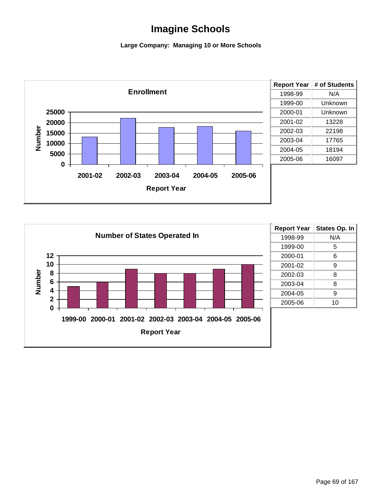

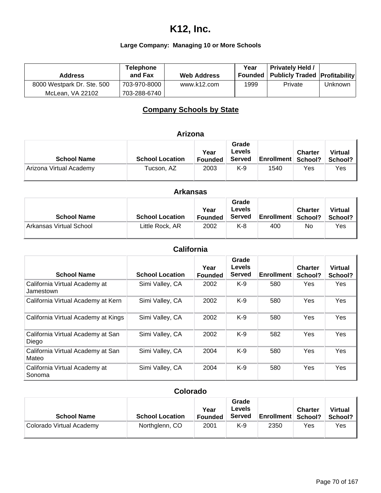## **K12, Inc.**

## **Large Company: Managing 10 or More Schools**

| <b>Address</b>             | <b>Telephone</b><br>and Fax | <b>Web Address</b> | Year | <b>Privately Held /</b><br>Founded   Publicly Traded   Profitability |         |
|----------------------------|-----------------------------|--------------------|------|----------------------------------------------------------------------|---------|
| 8000 Westpark Dr. Ste. 500 | 703-970-8000                | www.k12.com        | 1999 | Private                                                              | Unknown |
| McLean. VA 22102           | 703-288-6740                |                    |      |                                                                      |         |

### **Company Schools by State**

## **Arizona**

| <b>School Name</b>      | <b>School Location</b> | Year<br><b>Founded</b> | Grade<br>Levels<br><b>Served</b> | <b>Enrollment School?</b> | <b>Charter</b> | <b>Virtual</b><br>School? |
|-------------------------|------------------------|------------------------|----------------------------------|---------------------------|----------------|---------------------------|
| Arizona Virtual Academy | Tucson, AZ             | 2003                   | K-9                              | 1540                      | Yes            | Yes                       |

| <b>Arkansas</b>         |                        |                        |                                  |                           |                |                           |  |
|-------------------------|------------------------|------------------------|----------------------------------|---------------------------|----------------|---------------------------|--|
| <b>School Name</b>      | <b>School Location</b> | Year<br><b>Founded</b> | Grade<br>Levels<br><b>Served</b> | <b>Enrollment School?</b> | <b>Charter</b> | <b>Virtual</b><br>School? |  |
| Arkansas Virtual School | Little Rock, AR        | 2002                   | K-8                              | 400                       | No             | Yes                       |  |

### **California**

| <b>School Name</b>                         | <b>School Location</b> | Year<br><b>Founded</b> | Grade<br>Levels<br><b>Served</b> | <b>Enrollment</b> | <b>Charter</b><br>School? | <b>Virtual</b><br>School? |
|--------------------------------------------|------------------------|------------------------|----------------------------------|-------------------|---------------------------|---------------------------|
| California Virtual Academy at<br>Jamestown | Simi Valley, CA        | 2002                   | $K-9$                            | 580               | Yes                       | Yes                       |
| California Virtual Academy at Kern         | Simi Valley, CA        | 2002                   | $K-9$                            | 580               | Yes                       | Yes                       |
| California Virtual Academy at Kings        | Simi Valley, CA        | 2002                   | $K-9$                            | 580               | Yes                       | <b>Yes</b>                |
| California Virtual Academy at San<br>Diego | Simi Valley, CA        | 2002                   | $K-9$                            | 582               | Yes                       | <b>Yes</b>                |
| California Virtual Academy at San<br>Mateo | Simi Valley, CA        | 2004                   | $K-9$                            | 580               | Yes                       | <b>Yes</b>                |
| California Virtual Academy at<br>Sonoma    | Simi Valley, CA        | 2004                   | $K-9$                            | 580               | Yes                       | Yes                       |

### **Colorado**

| <b>School Name</b>       | <b>School Location</b> | Year<br><b>Founded</b> | Grade<br>Levels<br><b>Served</b> | <b>Enrollment School?</b> | <b>Charter</b> | <b>Virtual</b><br>School? |
|--------------------------|------------------------|------------------------|----------------------------------|---------------------------|----------------|---------------------------|
| Colorado Virtual Academy | Northglenn, CO         | 2001                   | K-9                              | 2350                      | Yes            | Yes                       |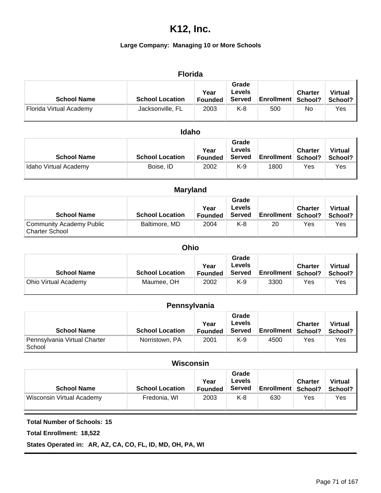### **Large Company: Managing 10 or More Schools**

### **Florida**

| <b>School Name</b>      | <b>School Location</b> | Year<br><b>Founded</b> | Grade<br>Levels<br><b>Served</b> | <b>Enrollment School?</b> | <b>Charter</b> | <b>Virtual</b><br>School? |
|-------------------------|------------------------|------------------------|----------------------------------|---------------------------|----------------|---------------------------|
| Florida Virtual Academy | Jacksonville, FL       | 2003                   | K-8                              | 500                       | No             | Yes                       |

#### **Idaho**

| <b>School Name</b>    | <b>School Location</b> | Year<br><b>Founded</b> | Grade<br>Levels<br><b>Served</b> | <b>Enrollment School?</b> | <b>Charter</b> | <b>Virtual</b><br>School? |
|-----------------------|------------------------|------------------------|----------------------------------|---------------------------|----------------|---------------------------|
| Idaho Virtual Academy | Boise, ID              | 2002                   | K-9                              | 1800                      | Yes            | Yes                       |

| <b>Maryland</b>                                   |                        |                        |                                         |                           |                |                           |  |  |
|---------------------------------------------------|------------------------|------------------------|-----------------------------------------|---------------------------|----------------|---------------------------|--|--|
| <b>School Name</b>                                | <b>School Location</b> | Year<br><b>Founded</b> | Grade<br><b>Levels</b><br><b>Served</b> | <b>Enrollment School?</b> | <b>Charter</b> | <b>Virtual</b><br>School? |  |  |
| Community Academy Public<br><b>Charter School</b> | Baltimore, MD          | 2004                   | $K-8$                                   | 20                        | Yes            | Yes                       |  |  |

#### **Ohio**

| <b>School Name</b>   | <b>School Location</b> | Year<br><b>Founded</b> | Grade<br>Levels<br><b>Served</b> | <b>Enrollment School?</b> | <b>Charter</b> | <b>Virtual</b><br>School? |
|----------------------|------------------------|------------------------|----------------------------------|---------------------------|----------------|---------------------------|
| Ohio Virtual Academy | Maumee, OH             | 2002                   | K-9                              | 3300                      | Yes            | Yes                       |

### **Pennsylvania**

| <b>School Name</b>                     | <b>School Location</b> | Year<br><b>Founded</b> | Grade<br>Levels<br><b>Served</b> | <b>Enrollment School?</b> | <b>Charter</b> | <b>Virtual</b><br>School? |
|----------------------------------------|------------------------|------------------------|----------------------------------|---------------------------|----------------|---------------------------|
| Pennsylvania Virtual Charter<br>School | Norristown, PA         | 2001                   | K-9                              | 4500                      | Yes            | Yes                       |

### **Wisconsin**

| <b>School Name</b>        | <b>School Location</b> | Year<br><b>Founded</b> | Grade<br>Levels<br><b>Served</b> | <b>Enrollment School?</b> | <b>Charter</b> | <b>Virtual</b><br>School? |
|---------------------------|------------------------|------------------------|----------------------------------|---------------------------|----------------|---------------------------|
| Wisconsin Virtual Academy | Fredonia, WI           | 2003                   | K-8                              | 630                       | Yes            | Yes                       |

**Total Number of Schools: 15**

**Total Enrollment: 18,522**

**States Operated in: AR, AZ, CA, CO, FL, ID, MD, OH, PA, WI**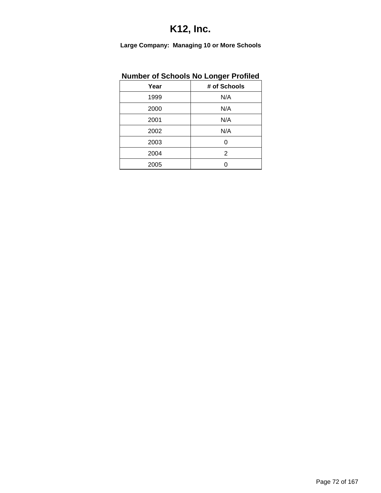|  | <b>Number of Schools No Longer Profiled</b> |  |  |
|--|---------------------------------------------|--|--|
|  |                                             |  |  |

| Year | # of Schools |
|------|--------------|
| 1999 | N/A          |
| 2000 | N/A          |
| 2001 | N/A          |
| 2002 | N/A          |
| 2003 | ი            |
| 2004 | 2            |
| 2005 |              |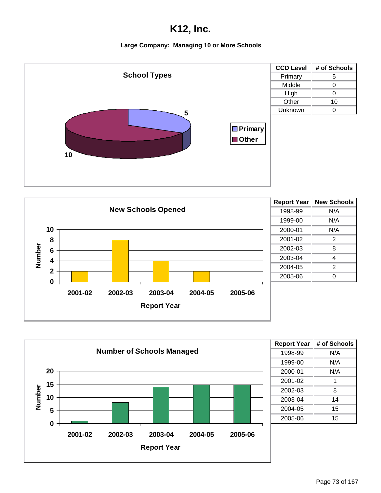





| <b>Report Year</b> | # of Schools |
|--------------------|--------------|
| 1998-99            | N/A          |
| 1999-00            | N/A          |
| 2000-01            | N/A          |
| 2001-02            | 1            |
| 2002-03            | 8            |
| 2003-04            | 14           |
| 2004-05            | 15           |
| 2005-06            | 15           |
|                    |              |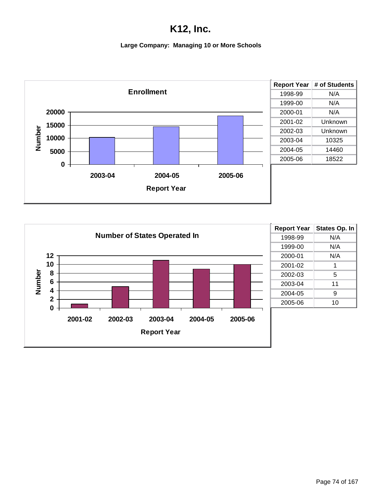

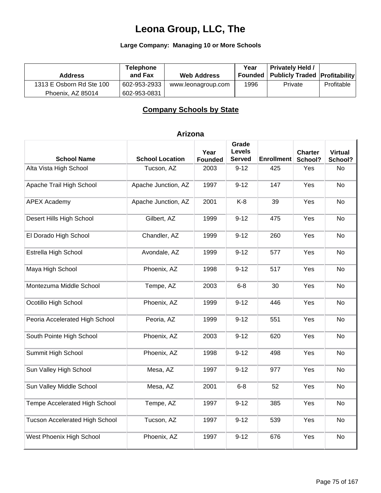### **Large Company: Managing 10 or More Schools**

| <b>Address</b>           | <b>Telephone</b><br>and Fax | <b>Web Address</b> | Year | <b>Privately Held /</b><br>Founded   Publicly Traded   Profitability |            |
|--------------------------|-----------------------------|--------------------|------|----------------------------------------------------------------------|------------|
| 1313 E Osborn Rd Ste 100 | 602-953-2933                | www.leonagroup.com | 1996 | Private                                                              | Profitable |
| Phoenix, AZ 85014        | 602-953-0831                |                    |      |                                                                      |            |

### **Company Schools by State**

| <b>School Name</b>                    | <b>School Location</b> | Year<br><b>Founded</b> | Grade<br><b>Levels</b><br><b>Served</b> | <b>Enrollment</b> | <b>Charter</b><br>School? | <b>Virtual</b><br>School? |
|---------------------------------------|------------------------|------------------------|-----------------------------------------|-------------------|---------------------------|---------------------------|
| Alta Vista High School                | Tucson, AZ             | 2003                   | $9 - 12$                                | 425               | Yes                       | No                        |
| Apache Trail High School              | Apache Junction, AZ    | 1997                   | $9 - 12$                                | 147               | Yes                       | No                        |
| <b>APEX Academy</b>                   | Apache Junction, AZ    | 2001                   | $K-8$                                   | 39                | Yes                       | No                        |
| Desert Hills High School              | Gilbert, AZ            | 1999                   | $9 - 12$                                | 475               | Yes                       | No                        |
| El Dorado High School                 | Chandler, AZ           | 1999                   | $9 - 12$                                | 260               | Yes                       | No                        |
| Estrella High School                  | Avondale, AZ           | 1999                   | $9 - 12$                                | 577               | Yes                       | No                        |
| Maya High School                      | Phoenix, AZ            | 1998                   | $9 - 12$                                | 517               | Yes                       | No                        |
| Montezuma Middle School               | Tempe, AZ              | 2003                   | $6 - 8$                                 | 30                | Yes                       | No                        |
| Ocotillo High School                  | Phoenix, AZ            | 1999                   | $9 - 12$                                | 446               | Yes                       | No                        |
| Peoria Accelerated High School        | Peoria, AZ             | 1999                   | $9 - 12$                                | 551               | Yes                       | No                        |
| South Pointe High School              | Phoenix, AZ            | 2003                   | $9 - 12$                                | 620               | Yes                       | <b>No</b>                 |
| Summit High School                    | Phoenix, AZ            | 1998                   | $9 - 12$                                | 498               | Yes                       | No                        |
| Sun Valley High School                | Mesa, AZ               | 1997                   | $9 - 12$                                | 977               | Yes                       | No                        |
| Sun Valley Middle School              | Mesa, AZ               | 2001                   | $6 - 8$                                 | 52                | Yes                       | No                        |
| Tempe Accelerated High School         | Tempe, AZ              | 1997                   | $9 - 12$                                | 385               | Yes                       | No                        |
| <b>Tucson Accelerated High School</b> | Tucson, AZ             | 1997                   | $9 - 12$                                | 539               | Yes                       | No                        |
| West Phoenix High School              | Phoenix, AZ            | 1997                   | $9 - 12$                                | 676               | Yes                       | No                        |

### **Arizona**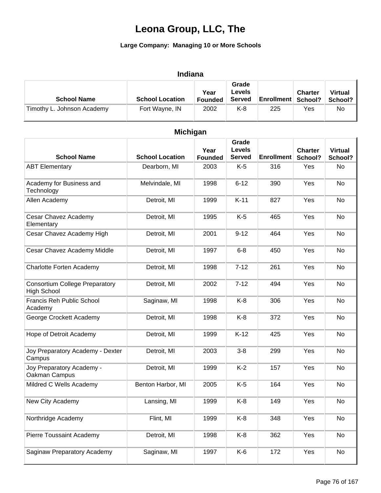| <b>School Name</b>         | <b>School Location</b> | Year<br><b>Founded</b> | Grade<br>Levels<br>Served | <b>Enrollment School?</b> | <b>Charter</b> | <b>Virtual</b><br>School? |
|----------------------------|------------------------|------------------------|---------------------------|---------------------------|----------------|---------------------------|
| Timothy L. Johnson Academy | Fort Wayne, IN         | 2002                   | K-8                       | 225                       | Yes            | No                        |

| <b>Michigan</b>                                             |                        |                        |                                         |                   |                           |                           |  |  |  |
|-------------------------------------------------------------|------------------------|------------------------|-----------------------------------------|-------------------|---------------------------|---------------------------|--|--|--|
| <b>School Name</b>                                          | <b>School Location</b> | Year<br><b>Founded</b> | Grade<br><b>Levels</b><br><b>Served</b> | <b>Enrollment</b> | <b>Charter</b><br>School? | <b>Virtual</b><br>School? |  |  |  |
| <b>ABT Elementary</b>                                       | Dearborn, MI           | 2003                   | $K-5$                                   | 316               | Yes                       | No                        |  |  |  |
| Academy for Business and<br>Technology                      | Melvindale, MI         | 1998                   | $6 - 12$                                | 390               | Yes                       | <b>No</b>                 |  |  |  |
| Allen Academy                                               | Detroit, MI            | 1999                   | $K-11$                                  | 827               | Yes                       | No                        |  |  |  |
| Cesar Chavez Academy<br>Elementary                          | Detroit, MI            | 1995                   | $K-5$                                   | 465               | Yes                       | <b>No</b>                 |  |  |  |
| Cesar Chavez Academy High                                   | Detroit, MI            | 2001                   | $9 - 12$                                | 464               | Yes                       | No                        |  |  |  |
| Cesar Chavez Academy Middle                                 | Detroit, MI            | 1997                   | $6 - 8$                                 | 450               | Yes                       | No                        |  |  |  |
| <b>Charlotte Forten Academy</b>                             | Detroit, MI            | 1998                   | $7 - 12$                                | 261               | Yes                       | <b>No</b>                 |  |  |  |
| <b>Consortium College Preparatory</b><br><b>High School</b> | Detroit, MI            | 2002                   | $7 - 12$                                | 494               | Yes                       | No                        |  |  |  |
| Francis Reh Public School<br>Academy                        | Saginaw, MI            | 1998                   | $K-8$                                   | 306               | Yes                       | No                        |  |  |  |
| George Crockett Academy                                     | Detroit, MI            | 1998                   | $K-8$                                   | 372               | Yes                       | <b>No</b>                 |  |  |  |
| Hope of Detroit Academy                                     | Detroit, MI            | 1999                   | $K-12$                                  | 425               | Yes                       | <b>No</b>                 |  |  |  |
| Joy Preparatory Academy - Dexter<br>Campus                  | Detroit, MI            | 2003                   | $3 - 8$                                 | 299               | Yes                       | No                        |  |  |  |
| Joy Preparatory Academy -<br>Oakman Campus                  | Detroit, MI            | 1999                   | $K-2$                                   | 157               | Yes                       | No                        |  |  |  |
| Mildred C Wells Academy                                     | Benton Harbor, MI      | 2005                   | $K-5$                                   | 164               | Yes                       | No                        |  |  |  |
| New City Academy                                            | Lansing, MI            | 1999                   | $K-8$                                   | 149               | Yes                       | No                        |  |  |  |
| Northridge Academy                                          | Flint, MI              | 1999                   | $K-8$                                   | 348               | Yes                       | No                        |  |  |  |
| Pierre Toussaint Academy                                    | Detroit, MI            | 1998                   | $K-8$                                   | 362               | Yes                       | No                        |  |  |  |
| Saginaw Preparatory Academy                                 | Saginaw, MI            | 1997                   | K-6                                     | 172               | Yes                       | No                        |  |  |  |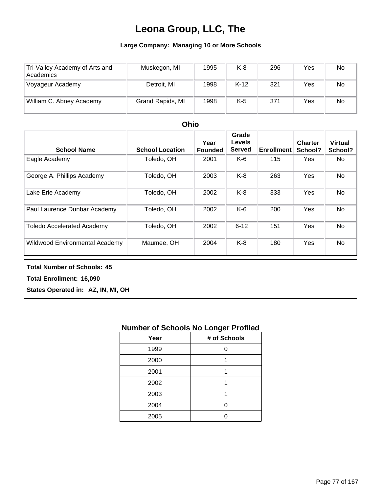### **Large Company: Managing 10 or More Schools**

| Tri-Valley Academy of Arts and<br>Academics | Muskegon, MI     | 1995 | K-8    | 296 | Yes | No |
|---------------------------------------------|------------------|------|--------|-----|-----|----|
| Voyageur Academy                            | Detroit, MI      | 1998 | $K-12$ | 321 | Yes | No |
| William C. Abney Academy                    | Grand Rapids, MI | 1998 | K-5    | 371 | Yes | No |

| ----                              |                        |                        |                                  |                   |                           |                           |  |  |
|-----------------------------------|------------------------|------------------------|----------------------------------|-------------------|---------------------------|---------------------------|--|--|
| <b>School Name</b>                | <b>School Location</b> | Year<br><b>Founded</b> | Grade<br>Levels<br><b>Served</b> | <b>Enrollment</b> | <b>Charter</b><br>School? | <b>Virtual</b><br>School? |  |  |
| Eagle Academy                     | Toledo, OH             | 2001                   | K-6                              | 115               | <b>Yes</b>                | No.                       |  |  |
| George A. Phillips Academy        | Toledo, OH             | 2003                   | $K-8$                            | 263               | Yes                       | No                        |  |  |
| Lake Erie Academy                 | Toledo, OH             | 2002                   | $K-8$                            | 333               | Yes                       | No.                       |  |  |
| Paul Laurence Dunbar Academy      | Toledo, OH             | 2002                   | K-6                              | 200               | <b>Yes</b>                | No                        |  |  |
| <b>Toledo Accelerated Academy</b> | Toledo, OH             | 2002                   | $6 - 12$                         | 151               | <b>Yes</b>                | No                        |  |  |
| Wildwood Environmental Academy    | Maumee, OH             | 2004                   | $K-8$                            | 180               | Yes                       | No                        |  |  |

### **Ohio**

#### **Total Number of Schools: 45**

**Total Enrollment: 16,090**

**States Operated in: AZ, IN, MI, OH**

### **Number of Schools No Longer Profiled**

| Year | # of Schools |
|------|--------------|
| 1999 |              |
| 2000 |              |
| 2001 | 1            |
| 2002 |              |
| 2003 |              |
| 2004 | ი            |
| 2005 |              |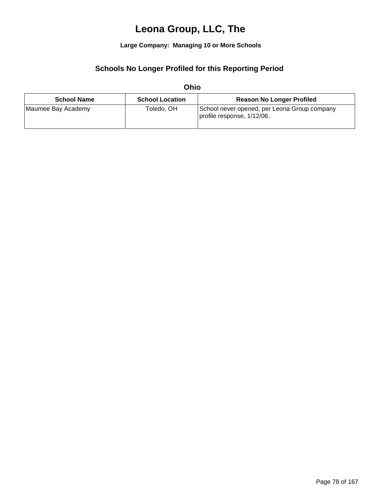**Large Company: Managing 10 or More Schools**

### **Schools No Longer Profiled for this Reporting Period**

|                    | ------                 |                                                                            |
|--------------------|------------------------|----------------------------------------------------------------------------|
| <b>School Name</b> | <b>School Location</b> | <b>Reason No Longer Profiled</b>                                           |
| Maumee Bay Academy | Toledo. OH             | School never opened, per Leona Group company<br>profile response, 1/12/06. |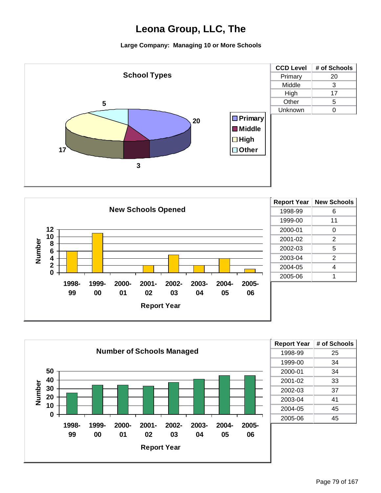





| <b>Report Year</b> | # of Schools |
|--------------------|--------------|
| 1998-99            | 25           |
| 1999-00            | 34           |
| 2000-01            | 34           |
| 2001-02            | 33           |
| 2002-03            | 37           |
| 2003-04            | 41           |
| 2004-05            | 45           |
| 2005-06            | 45           |
|                    |              |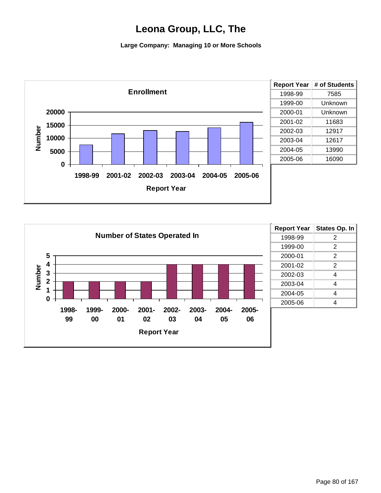

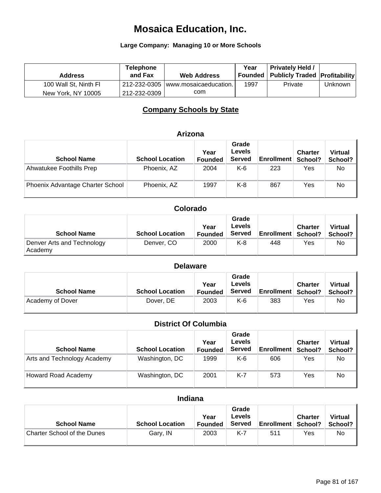#### **Large Company: Managing 10 or More Schools**

| <b>Address</b>        | <b>Telephone</b><br>and Fax | <b>Web Address</b>                 | Year | <b>Privately Held /</b><br>Founded   Publicly Traded   Profitability |         |
|-----------------------|-----------------------------|------------------------------------|------|----------------------------------------------------------------------|---------|
| 100 Wall St, Ninth Fl |                             | 212-232-0305 www.mosaicaeducation. | 1997 | Private                                                              | Unknown |
| New York, NY 10005    | 212-232-0309                | com                                |      |                                                                      |         |

### **Company Schools by State**

#### **Arizona**

| <b>School Name</b>               | <b>School Location</b> | Year<br><b>Founded</b> | Grade<br><b>Levels</b><br><b>Served</b> | <b>Enrollment</b> | <b>Charter</b><br>School? | <b>Virtual</b><br>School? |
|----------------------------------|------------------------|------------------------|-----------------------------------------|-------------------|---------------------------|---------------------------|
| Ahwatukee Foothills Prep         | Phoenix, AZ            | 2004                   | K-6                                     | 223               | Yes                       | No                        |
| Phoenix Advantage Charter School | Phoenix, AZ            | 1997                   | K-8                                     | 867               | Yes                       | No                        |

### **Colorado**

| <b>School Name</b>                    | <b>School Location</b> | Year<br><b>Founded</b> | Grade<br>Levels<br><b>Served</b> | <b>Enrollment School?</b> | <b>Charter</b> | <b>Virtual</b><br>School? |
|---------------------------------------|------------------------|------------------------|----------------------------------|---------------------------|----------------|---------------------------|
| Denver Arts and Technology<br>Academy | Denver, CO             | 2000                   | K-8                              | 448                       | Yes            | No.                       |

### **Delaware**

| <b>School Name</b> | <b>School Location</b> | Year<br>Founded | Grade<br>Levels<br>Served | <b>Enrollment School?</b> | <b>Charter</b> | <b>Virtual</b><br>School? |
|--------------------|------------------------|-----------------|---------------------------|---------------------------|----------------|---------------------------|
| Academy of Dover   | Dover, DE              | 2003            | K-6                       | 383                       | Yes            | No                        |

### **District Of Columbia**

| <b>School Name</b>          | <b>School Location</b> | Year<br><b>Founded</b> | Grade<br><b>Levels</b><br><b>Served</b> | <b>Enrollment</b> | <b>Charter</b><br>School? | <b>Virtual</b><br>School? |
|-----------------------------|------------------------|------------------------|-----------------------------------------|-------------------|---------------------------|---------------------------|
| Arts and Technology Academy | Washington, DC         | 1999                   | K-6                                     | 606               | Yes                       | No                        |
| Howard Road Academy         | Washington, DC         | 2001                   | K-7                                     | 573               | Yes                       | No                        |

### **Indiana**

| <b>School Name</b>                 | <b>School Location</b> | Year<br><b>Founded</b> | Grade<br><b>Levels</b><br><b>Served</b> | <b>Enrollment School?</b> | Charter | <b>Virtual</b><br>School? |
|------------------------------------|------------------------|------------------------|-----------------------------------------|---------------------------|---------|---------------------------|
| <b>Charter School of the Dunes</b> | Gary, IN               | 2003                   | K-7                                     | 511                       | Yes     | No                        |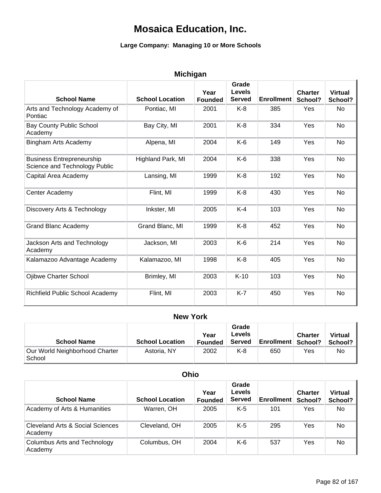#### **Large Company: Managing 10 or More Schools**

| <b>Michigan</b> |  |  |
|-----------------|--|--|
|                 |  |  |

| <b>School Name</b>                                                | <b>School Location</b> | Year<br><b>Founded</b> | Grade<br><b>Levels</b><br><b>Served</b> | <b>Enrollment</b> | <b>Charter</b><br>School? | <b>Virtual</b><br>School? |
|-------------------------------------------------------------------|------------------------|------------------------|-----------------------------------------|-------------------|---------------------------|---------------------------|
| Arts and Technology Academy of<br>Pontiac                         | Pontiac, MI            | 2001                   | $K-8$                                   | 385               | <b>Yes</b>                | <b>No</b>                 |
| <b>Bay County Public School</b><br>Academy                        | Bay City, MI           | 2001                   | $K-8$                                   | 334               | Yes                       | No                        |
| Bingham Arts Academy                                              | Alpena, MI             | 2004                   | $K-6$                                   | 149               | Yes                       | <b>No</b>                 |
| <b>Business Entrepreneurship</b><br>Science and Technology Public | Highland Park, MI      | 2004                   | $K-6$                                   | 338               | Yes                       | No                        |
| Capital Area Academy                                              | Lansing, MI            | 1999                   | $K-8$                                   | 192               | Yes                       | <b>No</b>                 |
| Center Academy                                                    | Flint, MI              | 1999                   | $K-8$                                   | 430               | Yes                       | <b>No</b>                 |
| Discovery Arts & Technology                                       | Inkster, MI            | 2005                   | $K-4$                                   | 103               | Yes                       | No                        |
| <b>Grand Blanc Academy</b>                                        | Grand Blanc, MI        | 1999                   | $K-8$                                   | 452               | Yes                       | <b>No</b>                 |
| Jackson Arts and Technology<br>Academy                            | Jackson, MI            | 2003                   | $K-6$                                   | 214               | Yes                       | No                        |
| Kalamazoo Advantage Academy                                       | Kalamazoo, MI          | 1998                   | $K-8$                                   | 405               | Yes                       | <b>No</b>                 |
| Ojibwe Charter School                                             | Brimley, MI            | 2003                   | $K-10$                                  | 103               | Yes                       | <b>No</b>                 |
| Richfield Public School Academy                                   | Flint, MI              | 2003                   | $K-7$                                   | 450               | Yes                       | No                        |

#### **New York**

| <b>School Name</b>                       | <b>School Location</b> | Year<br><b>Founded</b> | Grade<br>Levels<br><b>Served</b> | <b>Enrollment School?</b> | <b>Charter</b> | <b>Virtual</b><br>School? |
|------------------------------------------|------------------------|------------------------|----------------------------------|---------------------------|----------------|---------------------------|
| Our World Neighborhood Charter<br>School | Astoria, NY            | 2002                   | K-8                              | 650                       | Yes            | No                        |

#### **School Name School Location Year Founded Grade Levels Served Enrollment Charter School? Ohio Virtual School?** Academy of Arts & Humanities Warren, OH 2005 K-5 101 Yes No Cleveland Arts & Social Sciences Academy Cleveland, OH 2005 K-5 295 Yes No Columbus Arts and Technology Academy Columbus, OH 2004 K-6 537 Yes No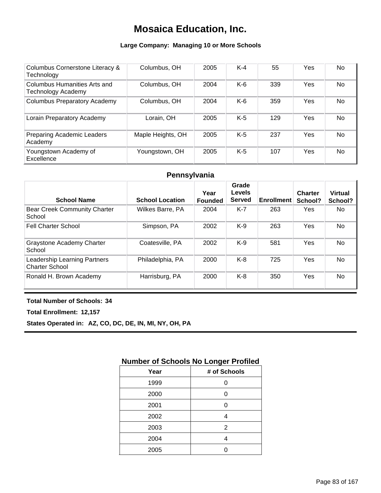### **Large Company: Managing 10 or More Schools**

| Columbus Cornerstone Literacy &<br>Technology             | Columbus, OH      | 2005 | $K-4$ | 55  | Yes | <b>No</b> |
|-----------------------------------------------------------|-------------------|------|-------|-----|-----|-----------|
| Columbus Humanities Arts and<br><b>Technology Academy</b> | Columbus, OH      | 2004 | $K-6$ | 339 | Yes | <b>No</b> |
| <b>Columbus Preparatory Academy</b>                       | Columbus, OH      | 2004 | $K-6$ | 359 | Yes | No        |
| Lorain Preparatory Academy                                | Lorain. OH        | 2005 | $K-5$ | 129 | Yes | <b>No</b> |
| <b>Preparing Academic Leaders</b><br>Academy              | Maple Heights, OH | 2005 | $K-5$ | 237 | Yes | <b>No</b> |
| Youngstown Academy of<br>Excellence                       | Youngstown, OH    | 2005 | $K-5$ | 107 | Yes | <b>No</b> |

### **Pennsylvania**

| <b>School Name</b>                                    | <b>School Location</b> | Year<br><b>Founded</b> | Grade<br><b>Levels</b><br><b>Served</b> | <b>Enrollment</b> | <b>Charter</b><br>School? | <b>Virtual</b><br>School? |
|-------------------------------------------------------|------------------------|------------------------|-----------------------------------------|-------------------|---------------------------|---------------------------|
| <b>Bear Creek Community Charter</b><br>School         | Wilkes Barre, PA       | 2004                   | $K-7$                                   | 263               | Yes                       | No.                       |
| <b>Fell Charter School</b>                            | Simpson, PA            | 2002                   | $K-9$                                   | 263               | Yes                       | No.                       |
| <b>Graystone Academy Charter</b><br>School            | Coatesville, PA        | 2002                   | $K-9$                                   | 581               | Yes                       | No                        |
| Leadership Learning Partners<br><b>Charter School</b> | Philadelphia, PA       | 2000                   | $K-8$                                   | 725               | Yes                       | N <sub>o</sub>            |
| Ronald H. Brown Academy                               | Harrisburg, PA         | 2000                   | K-8                                     | 350               | Yes                       | <b>No</b>                 |

#### **Total Number of Schools: 34**

**Total Enrollment: 12,157**

**States Operated in: AZ, CO, DC, DE, IN, MI, NY, OH, PA**

### **Number of Schools No Longer Profiled**

| Year | # of Schools |
|------|--------------|
| 1999 | ი            |
| 2000 | ი            |
| 2001 | ი            |
| 2002 | 4            |
| 2003 | 2            |
| 2004 | 4            |
| 2005 |              |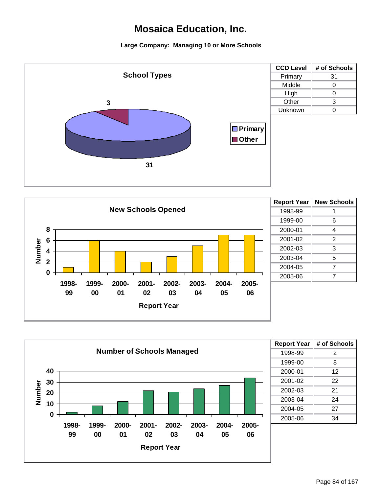



| 6 |
|---|
| 4 |
| 2 |
| 3 |
| 5 |
| 7 |
| 7 |
|   |



| <b>Report Year</b> | # of Schools |
|--------------------|--------------|
| 1998-99            | 2            |
| 1999-00            | 8            |
| 2000-01            | 12           |
| 2001-02            | 22           |
| 2002-03            | 21           |
| 2003-04            | 24           |
| 2004-05            | 27           |
| 2005-06            | 34           |
|                    |              |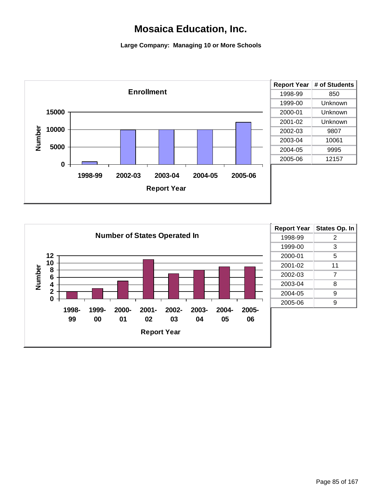

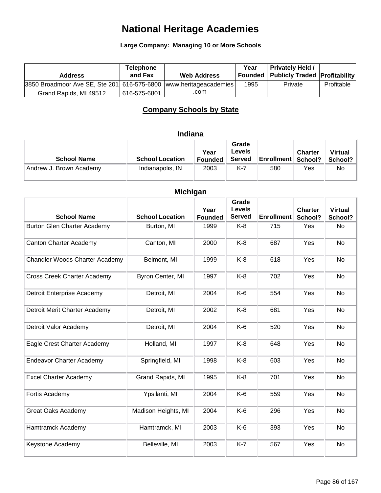**Large Company: Managing 10 or More Schools**

| <b>Address</b>                                                    | <b>Telephone</b><br>and Fax | <b>Web Address</b> | Year | <b>Privately Held /</b><br>Founded   Publicly Traded   Profitability |            |
|-------------------------------------------------------------------|-----------------------------|--------------------|------|----------------------------------------------------------------------|------------|
| 3850 Broadmoor Ave SE, Ste 201 616-575-6800 www.heritageacademies |                             |                    | 1995 | Private                                                              | Profitable |
| Grand Rapids, MI 49512                                            | 616-575-6801                | .com               |      |                                                                      |            |

### **Company Schools by State**

### **Indiana**

| <b>School Name</b>      | <b>School Location</b> | Year<br><b>Founded</b> | Grade<br>Levels<br><b>Served</b> | <b>Enrollment School?</b> | <b>Charter</b> | <b>Virtual</b><br>School? |
|-------------------------|------------------------|------------------------|----------------------------------|---------------------------|----------------|---------------------------|
| Andrew J. Brown Academy | Indianapolis, IN       | 2003                   | K-7                              | 580                       | Yes            | No                        |

| <b>Michigan</b>                    |                        |                        |                                         |                   |                           |                           |  |  |  |
|------------------------------------|------------------------|------------------------|-----------------------------------------|-------------------|---------------------------|---------------------------|--|--|--|
| <b>School Name</b>                 | <b>School Location</b> | Year<br><b>Founded</b> | Grade<br><b>Levels</b><br><b>Served</b> | <b>Enrollment</b> | <b>Charter</b><br>School? | <b>Virtual</b><br>School? |  |  |  |
| <b>Burton Glen Charter Academy</b> | Burton, MI             | 1999                   | $K-8$                                   | 715               | Yes                       | <b>No</b>                 |  |  |  |
| <b>Canton Charter Academy</b>      | Canton, MI             | 2000                   | $K-8$                                   | 687               | Yes                       | <b>No</b>                 |  |  |  |
| Chandler Woods Charter Academy     | Belmont, MI            | 1999                   | $K-8$                                   | 618               | Yes                       | <b>No</b>                 |  |  |  |
| <b>Cross Creek Charter Academy</b> | Byron Center, MI       | 1997                   | $K-8$                                   | 702               | Yes                       | No                        |  |  |  |
| Detroit Enterprise Academy         | Detroit, MI            | 2004                   | $K-6$                                   | 554               | Yes                       | <b>No</b>                 |  |  |  |
| Detroit Merit Charter Academy      | Detroit, MI            | 2002                   | $K-8$                                   | 681               | Yes                       | No                        |  |  |  |
| Detroit Valor Academy              | Detroit, MI            | 2004                   | $K-6$                                   | 520               | Yes                       | <b>No</b>                 |  |  |  |
| Eagle Crest Charter Academy        | Holland, MI            | 1997                   | $K-8$                                   | 648               | Yes                       | <b>No</b>                 |  |  |  |
| <b>Endeavor Charter Academy</b>    | Springfield, MI        | 1998                   | $K-8$                                   | 603               | Yes                       | <b>No</b>                 |  |  |  |
| <b>Excel Charter Academy</b>       | Grand Rapids, MI       | 1995                   | $K-8$                                   | 701               | Yes                       | <b>No</b>                 |  |  |  |
| Fortis Academy                     | Ypsilanti, MI          | 2004                   | $K-6$                                   | 559               | Yes                       | <b>No</b>                 |  |  |  |
| <b>Great Oaks Academy</b>          | Madison Heights, MI    | 2004                   | K-6                                     | 296               | Yes                       | <b>No</b>                 |  |  |  |
| Hamtramck Academy                  | Hamtramck, MI          | 2003                   | $K-6$                                   | 393               | Yes                       | <b>No</b>                 |  |  |  |
| Keystone Academy                   | Belleville, MI         | 2003                   | $K-7$                                   | 567               | Yes                       | No                        |  |  |  |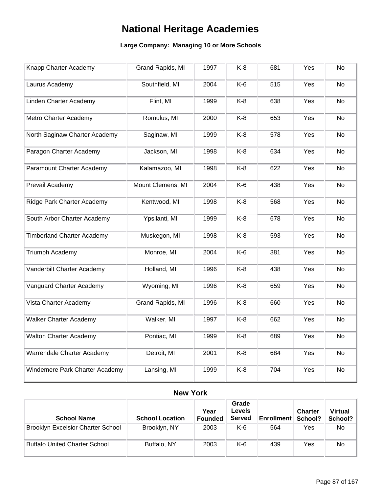### **Large Company: Managing 10 or More Schools**

| Knapp Charter Academy             | Grand Rapids, MI  | 1997 | $K-8$ | 681 | Yes | No        |
|-----------------------------------|-------------------|------|-------|-----|-----|-----------|
| Laurus Academy                    | Southfield, MI    | 2004 | $K-6$ | 515 | Yes | No        |
| Linden Charter Academy            | Flint, MI         | 1999 | $K-8$ | 638 | Yes | <b>No</b> |
| Metro Charter Academy             | Romulus, MI       | 2000 | $K-8$ | 653 | Yes | <b>No</b> |
| North Saginaw Charter Academy     | Saginaw, MI       | 1999 | $K-8$ | 578 | Yes | <b>No</b> |
| Paragon Charter Academy           | Jackson, MI       | 1998 | $K-8$ | 634 | Yes | No        |
| Paramount Charter Academy         | Kalamazoo, MI     | 1998 | $K-8$ | 622 | Yes | <b>No</b> |
| Prevail Academy                   | Mount Clemens, MI | 2004 | $K-6$ | 438 | Yes | <b>No</b> |
| Ridge Park Charter Academy        | Kentwood, MI      | 1998 | $K-8$ | 568 | Yes | <b>No</b> |
| South Arbor Charter Academy       | Ypsilanti, MI     | 1999 | $K-8$ | 678 | Yes | <b>No</b> |
| <b>Timberland Charter Academy</b> | Muskegon, MI      | 1998 | $K-8$ | 593 | Yes | <b>No</b> |
| Triumph Academy                   | Monroe, MI        | 2004 | $K-6$ | 381 | Yes | <b>No</b> |
| Vanderbilt Charter Academy        | Holland, MI       | 1996 | $K-8$ | 438 | Yes | No        |
| Vanguard Charter Academy          | Wyoming, MI       | 1996 | $K-8$ | 659 | Yes | No        |
| Vista Charter Academy             | Grand Rapids, MI  | 1996 | $K-8$ | 660 | Yes | No        |
| <b>Walker Charter Academy</b>     | Walker, MI        | 1997 | $K-8$ | 662 | Yes | <b>No</b> |
| <b>Walton Charter Academy</b>     | Pontiac, MI       | 1999 | $K-8$ | 689 | Yes | No        |
| Warrendale Charter Academy        | Detroit, MI       | 2001 | $K-8$ | 684 | Yes | No        |
| Windemere Park Charter Academy    | Lansing, MI       | 1999 | $K-8$ | 704 | Yes | No        |

### **New York**

| <b>School Name</b>                       | <b>School Location</b> | Year<br><b>Founded</b> | Grade<br>Levels<br><b>Served</b> | <b>Enrollment</b> | <b>Charter</b><br>School? | <b>Virtual</b><br>School? |
|------------------------------------------|------------------------|------------------------|----------------------------------|-------------------|---------------------------|---------------------------|
| <b>Brooklyn Excelsior Charter School</b> | Brooklyn, NY           | 2003                   | K-6                              | 564               | Yes                       | No                        |
| <b>Buffalo United Charter School</b>     | Buffalo, NY            | 2003                   | K-6                              | 439               | Yes                       | No                        |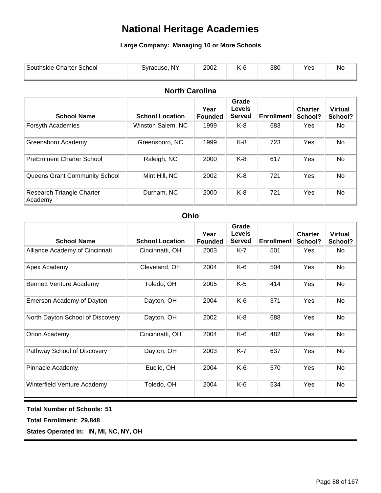### **Large Company: Managing 10 or More Schools**

| Southside Charter School | Syracuse, NY | 2002 | 380 | ರು | Nc. |
|--------------------------|--------------|------|-----|----|-----|
|                          |              |      |     |    |     |

### **North Carolina**

| <b>School Name</b>                   | <b>School Location</b>             | Year<br><b>Founded</b> | Grade<br><b>Levels</b><br><b>Served</b> | <b>Enrollment</b> | <b>Charter</b><br>School? | <b>Virtual</b><br>School? |
|--------------------------------------|------------------------------------|------------------------|-----------------------------------------|-------------------|---------------------------|---------------------------|
| Forsyth Academies                    | Winston Salem, NC<br>1999<br>$K-8$ |                        | 683                                     | <b>Yes</b>        | No.                       |                           |
| Greensboro Academy                   | Greensboro, NC                     | 1999                   | K-8                                     | 723               | Yes                       | No                        |
| <b>PreEminent Charter School</b>     | Raleigh, NC                        | 2000                   | K-8                                     | 617               | Yes                       | No                        |
| Queens Grant Community School        | Mint Hill, NC                      | 2002                   | K-8                                     | 721               | Yes                       | <b>No</b>                 |
| Research Triangle Charter<br>Academy | Durham, NC                         | 2000                   | $K-8$                                   | 721               | Yes                       | <b>No</b>                 |

### **Ohio**

| <b>School Name</b>               | <b>School Location</b> | Year<br><b>Founded</b> | Grade<br><b>Levels</b><br><b>Served</b> | <b>Enrollment</b> | <b>Charter</b><br>School? | <b>Virtual</b><br>School? |
|----------------------------------|------------------------|------------------------|-----------------------------------------|-------------------|---------------------------|---------------------------|
| Alliance Academy of Cincinnati   | Cincinnatti, OH        | 2003                   | K-7                                     | 501               | Yes                       | No                        |
| Apex Academy                     | Cleveland, OH          | 2004                   | K-6                                     | 504               | Yes                       | No                        |
| <b>Bennett Venture Academy</b>   | Toledo, OH             | 2005                   | $K-5$                                   | 414               | Yes                       | No                        |
| Emerson Academy of Dayton        | Dayton, OH             | 2004                   | K-6                                     | 371               | Yes                       | No                        |
| North Dayton School of Discovery | Dayton, OH             | 2002                   | K-8                                     | 688               | Yes                       | No                        |
| Orion Academy                    | Cincinnatti, OH        | 2004                   | K-6                                     | 482               | Yes                       | No                        |
| Pathway School of Discovery      | Dayton, OH             | 2003                   | $K-7$                                   | 637               | Yes                       | No                        |
| Pinnacle Academy                 | Euclid, OH             | 2004                   | K-6                                     | 570               | Yes                       | No                        |
| Winterfield Venture Academy      | Toledo, OH             | 2004                   | K-6                                     | 534               | Yes                       | <b>No</b>                 |

#### **Total Number of Schools: 51**

**Total Enrollment: 29,848**

**States Operated in: IN, MI, NC, NY, OH**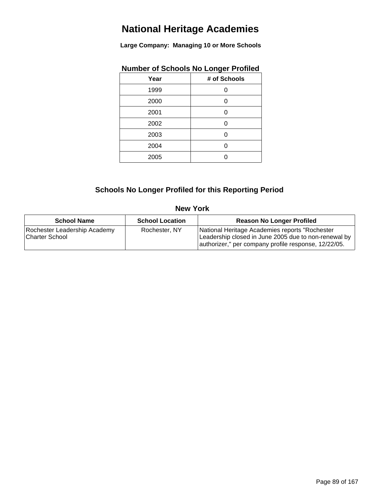**Large Company: Managing 10 or More Schools**

| Year | # of Schools |
|------|--------------|
| 1999 | Ω            |
| 2000 | ი            |
| 2001 | ი            |
| 2002 | Ω            |
| 2003 |              |
| 2004 |              |
| 2005 |              |
|      |              |

### **Number of Schools No Longer Profiled**

### **Schools No Longer Profiled for this Reporting Period**

#### **New York**

| <b>School Name</b>                             | <b>School Location</b> | <b>Reason No Longer Profiled</b>                                                                                                                               |
|------------------------------------------------|------------------------|----------------------------------------------------------------------------------------------------------------------------------------------------------------|
| Rochester Leadership Academy<br>Charter School | Rochester, NY          | National Heritage Academies reports "Rochester<br>Leadership closed in June 2005 due to non-renewal by<br>authorizer," per company profile response, 12/22/05. |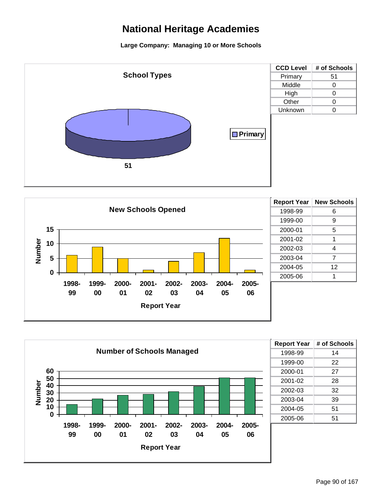



| <b>Report Year</b> | <b>New Schools</b> |
|--------------------|--------------------|
| 1998-99            | 6                  |
| 1999-00            | 9                  |
| 2000-01            | 5                  |
| 2001-02            | 1                  |
| 2002-03            | 4                  |
| 2003-04            | 7                  |
| 2004-05            | 12                 |
| 2005-06            |                    |
|                    |                    |



| <b>Report Year</b> | # of Schools |
|--------------------|--------------|
| 1998-99            | 14           |
| 1999-00            | 22           |
| 2000-01            | 27           |
| 2001-02            | 28           |
| 2002-03            | 32           |
| 2003-04            | 39           |
| 2004-05            | 51           |
| 2005-06            | 51           |
|                    |              |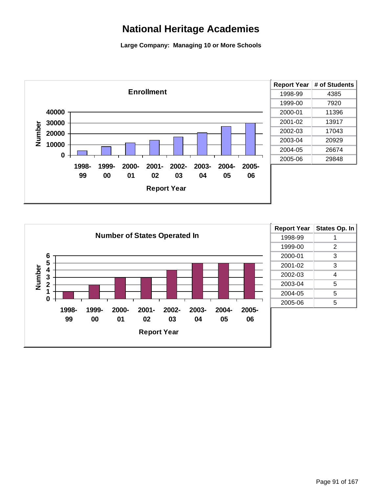

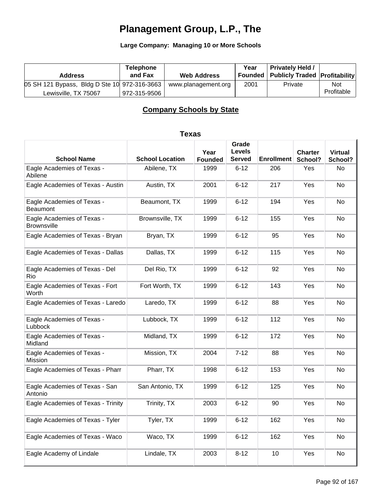**Large Company: Managing 10 or More Schools**

| <b>Address</b>                               | <b>Telephone</b><br>and Fax | <b>Web Address</b>  | Year | <b>Privately Held /</b><br>  Founded   Publicly Traded   Profitability |            |
|----------------------------------------------|-----------------------------|---------------------|------|------------------------------------------------------------------------|------------|
| 05 SH 121 Bypass, Bldg D Ste 10 972-316-3663 |                             | www.planagement.org | 2001 | Private                                                                | <b>Not</b> |
| Lewisville, TX 75067                         | 972-315-9506                |                     |      |                                                                        | Profitable |

### **Company Schools by State**

| <b>School Name</b>                               | <b>School Location</b> | Year<br><b>Founded</b> | Grade<br><b>Levels</b><br><b>Served</b> | <b>Enrollment</b> | <b>Charter</b><br>School? | <b>Virtual</b><br>School? |
|--------------------------------------------------|------------------------|------------------------|-----------------------------------------|-------------------|---------------------------|---------------------------|
| Eagle Academies of Texas -<br>Abilene            | Abilene, TX            | 1999                   | $6 - 12$                                | 206               | Yes                       | No                        |
| Eagle Academies of Texas - Austin                | Austin, TX             | 2001                   | $6 - 12$                                | 217               | Yes                       | No                        |
| Eagle Academies of Texas -<br><b>Beaumont</b>    | Beaumont, TX           | 1999                   | $6 - 12$                                | 194               | Yes                       | No                        |
| Eagle Academies of Texas -<br><b>Brownsville</b> | Brownsville, TX        | 1999                   | $6 - 12$                                | 155               | Yes                       | No                        |
| Eagle Academies of Texas - Bryan                 | Bryan, TX              | 1999                   | $6 - 12$                                | 95                | Yes                       | No                        |
| Eagle Academies of Texas - Dallas                | Dallas, TX             | 1999                   | $6 - 12$                                | 115               | Yes                       | No                        |
| Eagle Academies of Texas - Del<br>Rio            | Del Rio, TX            | 1999                   | $6 - 12$                                | 92                | Yes                       | No                        |
| Eagle Academies of Texas - Fort<br>Worth         | Fort Worth, TX         | 1999                   | $6 - 12$                                | 143               | Yes                       | No                        |
| Eagle Academies of Texas - Laredo                | Laredo, TX             | 1999                   | $6 - 12$                                | 88                | Yes                       | No                        |
| Eagle Academies of Texas -<br>Lubbock            | Lubbock, TX            | 1999                   | $6 - 12$                                | 112               | Yes                       | No                        |
| Eagle Academies of Texas -<br>Midland            | Midland, TX            | 1999                   | $6 - 12$                                | 172               | Yes                       | No                        |
| Eagle Academies of Texas -<br>Mission            | Mission, TX            | 2004                   | $7 - 12$                                | 88                | Yes                       | No                        |
| Eagle Academies of Texas - Pharr                 | Pharr, TX              | 1998                   | $6 - 12$                                | 153               | Yes                       | No                        |
| Eagle Academies of Texas - San<br>Antonio        | San Antonio, TX        | 1999                   | $6 - 12$                                | 125               | Yes                       | No                        |
| Eagle Academies of Texas - Trinity               | Trinity, TX            | 2003                   | $6 - 12$                                | 90                | Yes                       | No                        |
| Eagle Academies of Texas - Tyler                 | Tyler, TX              | 1999                   | $6 - 12$                                | 162               | Yes                       | No                        |
| Eagle Academies of Texas - Waco                  | Waco, TX               | 1999                   | $6 - 12$                                | 162               | Yes                       | No                        |
| Eagle Academy of Lindale                         | Lindale, TX            | 2003                   | $8 - 12$                                | $10$              | Yes                       | No                        |

### **Texas**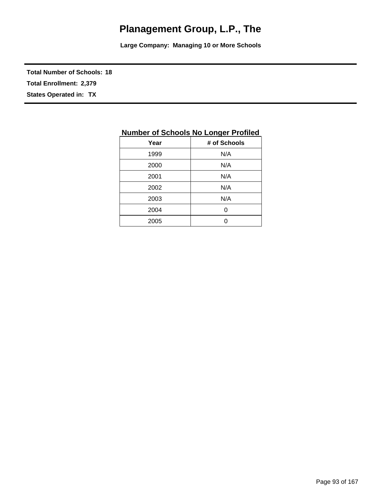**Large Company: Managing 10 or More Schools**

**Total Number of Schools: 18**

**Total Enrollment: 2,379**

**States Operated in: TX**

| Year | # of Schools |
|------|--------------|
| 1999 | N/A          |
| 2000 | N/A          |
| 2001 | N/A          |
| 2002 | N/A          |
| 2003 | N/A          |
| 2004 | 0            |
| 2005 | በ            |

### **Number of Schools No Longer Profiled**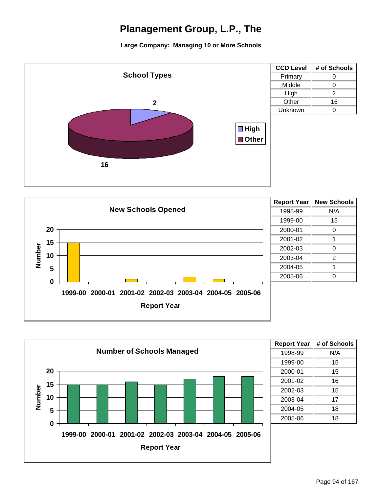





| N/A |
|-----|
| 15  |
| 15  |
| 16  |
| 15  |
| 17  |
| 18  |
| 18  |
|     |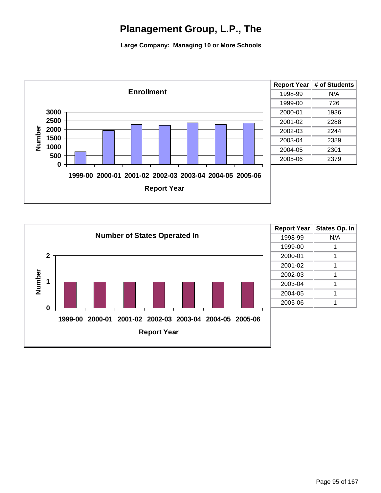

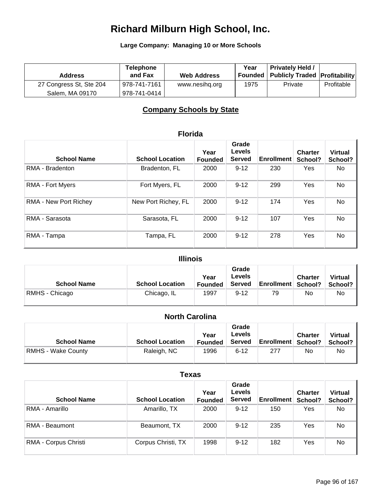**Large Company: Managing 10 or More Schools**

| <b>Address</b>          | <b>Telephone</b><br>and Fax | <b>Web Address</b> | Year | <b>Privately Held /</b><br>Founded   Publicly Traded   Profitability |            |
|-------------------------|-----------------------------|--------------------|------|----------------------------------------------------------------------|------------|
| 27 Congress St, Ste 204 | 978-741-7161                | www.nesihg.org     | 1975 | Private                                                              | Profitable |
| Salem, MA 09170         | 978-741-0414                |                    |      |                                                                      |            |

### **Company Schools by State**

|                              | <b>Florida</b>         |                        |                                         |                   |                           |                           |  |
|------------------------------|------------------------|------------------------|-----------------------------------------|-------------------|---------------------------|---------------------------|--|
| <b>School Name</b>           | <b>School Location</b> | Year<br><b>Founded</b> | Grade<br><b>Levels</b><br><b>Served</b> | <b>Enrollment</b> | <b>Charter</b><br>School? | <b>Virtual</b><br>School? |  |
| RMA - Bradenton              | Bradenton, FL          | 2000                   | $9 - 12$                                | 230               | Yes                       | No.                       |  |
| <b>RMA - Fort Myers</b>      | Fort Myers, FL         | 2000                   | $9 - 12$                                | 299               | Yes                       | No                        |  |
| <b>RMA - New Port Richey</b> | New Port Richey, FL    | 2000                   | $9 - 12$                                | 174               | Yes                       | No                        |  |
| RMA - Sarasota               | Sarasota, FL           | 2000                   | $9 - 12$                                | 107               | Yes                       | No                        |  |
| RMA - Tampa                  | Tampa, FL              | 2000                   | $9 - 12$                                | 278               | Yes                       | No                        |  |

### **Illinois**

| <b>School Name</b> | <b>School Location</b> | Year<br><b>Founded</b> | Grade<br>Levels<br>Served | <b>Enrollment School?</b> | <b>Charter</b> | <b>Virtual</b><br>School? |
|--------------------|------------------------|------------------------|---------------------------|---------------------------|----------------|---------------------------|
| RMHS - Chicago     | Chicago, IL            | 1997                   | $9 - 12$                  | 79                        | No             | No                        |

### **North Carolina**

| <b>School Name</b>        | <b>School Location</b> | Year<br><b>Founded</b> | Grade<br>Levels<br><b>Served</b> | <b>Enrollment School?</b> | <b>Charter</b> | <b>Virtual</b><br>School? |
|---------------------------|------------------------|------------------------|----------------------------------|---------------------------|----------------|---------------------------|
| <b>RMHS - Wake County</b> | Raleigh, NC            | 1996                   | $6 - 12$                         | 277                       | No             | No                        |

### **Texas**

| <b>School Name</b>   | <b>School Location</b> | Year<br><b>Founded</b> | Grade<br>Levels<br><b>Served</b> | <b>Enrollment</b> | <b>Charter</b><br>School? | <b>Virtual</b><br>School? |
|----------------------|------------------------|------------------------|----------------------------------|-------------------|---------------------------|---------------------------|
| RMA - Amarillo       | Amarillo, TX           | 2000                   | $9 - 12$                         | 150               | Yes                       | No.                       |
| RMA - Beaumont       | Beaumont, TX           | 2000                   | $9 - 12$                         | 235               | Yes                       | No                        |
| RMA - Corpus Christi | Corpus Christi, TX     | 1998                   | $9 - 12$                         | 182               | Yes                       | No                        |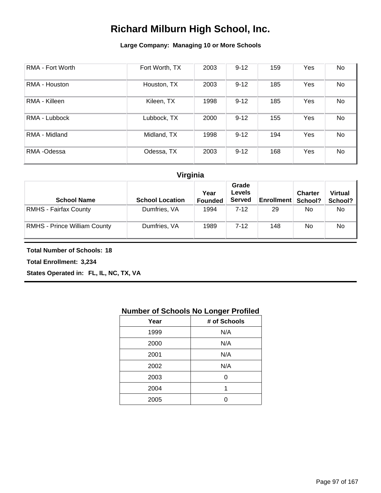### **Large Company: Managing 10 or More Schools**

| RMA - Fort Worth | Fort Worth, TX | 2003 | $9 - 12$ | 159 | Yes | No |
|------------------|----------------|------|----------|-----|-----|----|
| RMA - Houston    | Houston, TX    | 2003 | $9 - 12$ | 185 | Yes | No |
| RMA - Killeen    | Kileen, TX     | 1998 | $9 - 12$ | 185 | Yes | No |
| RMA - Lubbock    | Lubbock, TX    | 2000 | $9 - 12$ | 155 | Yes | No |
| RMA - Midland    | Midland, TX    | 1998 | $9 - 12$ | 194 | Yes | No |
| RMA-Odessa       | Odessa, TX     | 2003 | $9 - 12$ | 168 | Yes | No |

### **Virginia**

| <b>School Name</b>                  | <b>School Location</b> | Year<br><b>Founded</b> | Grade<br>Levels<br><b>Served</b> | Enrollment   School? | <b>Charter</b> | <b>Virtual</b><br>School? |
|-------------------------------------|------------------------|------------------------|----------------------------------|----------------------|----------------|---------------------------|
| <b>RMHS - Fairfax County</b>        | Dumfries, VA           | 1994                   | $7-12$                           | 29                   | No.            | No.                       |
| <b>RMHS</b> - Prince William County | Dumfries, VA           | 1989                   | $7 - 12$                         | 148                  | No.            | No                        |

**Total Number of Schools: 18**

**Total Enrollment: 3,234**

**States Operated in: FL, IL, NC, TX, VA**

### **Number of Schools No Longer Profiled**

| # of Schools |
|--------------|
| N/A          |
| N/A          |
| N/A          |
| N/A          |
| ი            |
| 1            |
|              |
|              |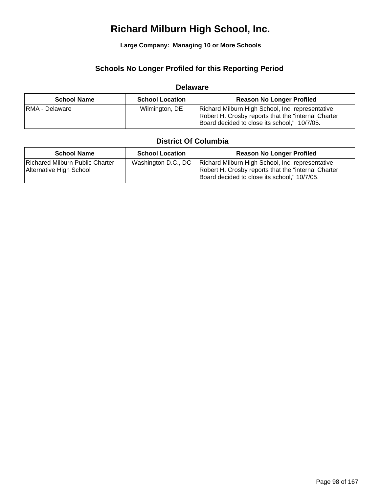**Large Company: Managing 10 or More Schools**

### **Schools No Longer Profiled for this Reporting Period**

### **Delaware**

| <b>School Name</b> | <b>School Location</b> | <b>Reason No Longer Profiled</b>                                                                                                                         |
|--------------------|------------------------|----------------------------------------------------------------------------------------------------------------------------------------------------------|
| RMA - Delaware     | Wilmington, DE         | Richard Milburn High School, Inc. representative<br>Robert H. Crosby reports that the "internal Charter"<br>Board decided to close its school," 10/7/05. |

### **District Of Columbia**

| <b>School Name</b>                                         | <b>School Location</b> | <b>Reason No Longer Profiled</b>                                                                                                                         |
|------------------------------------------------------------|------------------------|----------------------------------------------------------------------------------------------------------------------------------------------------------|
| Richared Milburn Public Charter<br>Alternative High School | Washington D.C., DC    | Richard Milburn High School, Inc. representative<br>Robert H. Crosby reports that the "internal Charter"<br>Board decided to close its school," 10/7/05. |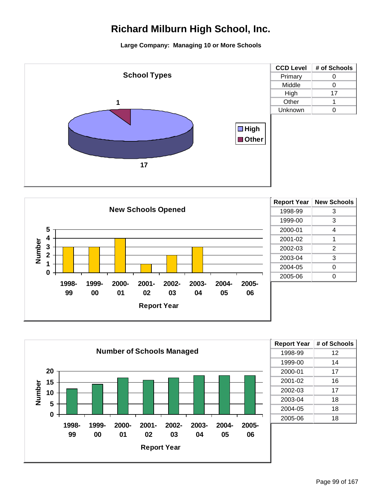





| <b>Report Year</b> | # of Schools |
|--------------------|--------------|
| 1998-99            | 12           |
| 1999-00            | 14           |
| 2000-01            | 17           |
| 2001-02            | 16           |
| 2002-03            | 17           |
| 2003-04            | 18           |
| 2004-05            | 18           |
| 2005-06            | 18           |
|                    |              |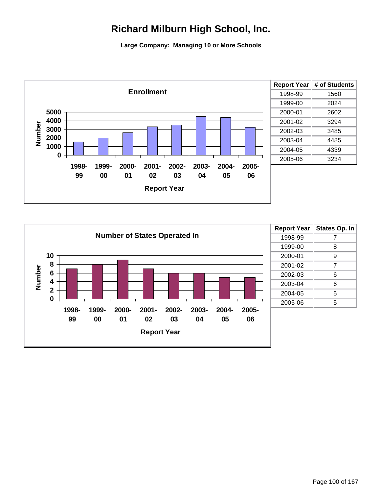

| <b>Report Year</b> | # of Students |
|--------------------|---------------|
| 1998-99            | 1560          |
| 1999-00            | 2024          |
| 2000-01            | 2602          |
| 2001-02            | 3294          |
| 2002-03            | 3485          |
| 2003-04            | 4485          |
| 2004-05            | 4339          |
| 2005-06            | 3234          |
|                    |               |

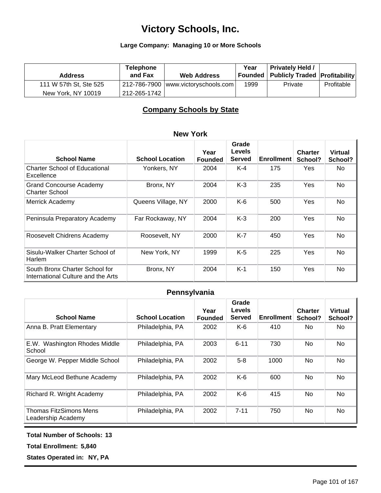#### **Large Company: Managing 10 or More Schools**

| <b>Address</b>         | <b>Telephone</b><br>and Fax | <b>Web Address</b>                    | Year | <b>Privately Held /</b><br>  Founded   Publicly Traded   Profitability |            |
|------------------------|-----------------------------|---------------------------------------|------|------------------------------------------------------------------------|------------|
| 111 W 57th St, Ste 525 |                             | 212-786-7900   www.victoryschools.com | 1999 | Private                                                                | Profitable |
| New York, NY 10019     | 212-265-1742                |                                       |      |                                                                        |            |

### **Company Schools by State**

| <b>New York</b>                                                      |                        |                        |                                         |                   |                           |                           |  |
|----------------------------------------------------------------------|------------------------|------------------------|-----------------------------------------|-------------------|---------------------------|---------------------------|--|
| <b>School Name</b>                                                   | <b>School Location</b> | Year<br><b>Founded</b> | Grade<br><b>Levels</b><br><b>Served</b> | <b>Enrollment</b> | <b>Charter</b><br>School? | <b>Virtual</b><br>School? |  |
| <b>Charter School of Educational</b><br>Excellence                   | Yonkers, NY            | 2004                   | K-4                                     | 175               | Yes                       | No                        |  |
| Grand Concourse Academy<br><b>Charter School</b>                     | Bronx, NY              | 2004                   | $K-3$                                   | 235               | Yes                       | No                        |  |
| Merrick Academy                                                      | Queens Village, NY     | 2000                   | $K-6$                                   | 500               | Yes                       | No                        |  |
| Peninsula Preparatory Academy                                        | Far Rockaway, NY       | 2004                   | $K-3$                                   | 200               | Yes                       | No                        |  |
| Roosevelt Chidrens Academy                                           | Roosevelt, NY          | 2000                   | K-7                                     | 450               | Yes                       | No                        |  |
| Sisulu-Walker Charter School of<br>Harlem                            | New York, NY           | 1999                   | $K-5$                                   | 225               | Yes                       | <b>No</b>                 |  |
| South Bronx Charter School for<br>International Culture and the Arts | Bronx, NY              | 2004                   | $K-1$                                   | 150               | Yes                       | <b>No</b>                 |  |

### **Pennsylvania**

| <b>School Name</b>                                  | <b>School Location</b> | Year<br><b>Founded</b> | Grade<br>Levels<br><b>Served</b> | <b>Enrollment</b> | <b>Charter</b><br>School? | <b>Virtual</b><br>School? |
|-----------------------------------------------------|------------------------|------------------------|----------------------------------|-------------------|---------------------------|---------------------------|
| Anna B. Pratt Elementary                            | Philadelphia, PA       | 2002                   | $K-6$                            | 410               | No.                       | No.                       |
| E.W. Washington Rhodes Middle<br>School             | Philadelphia, PA       | 2003                   | $6 - 11$                         | 730               | No.                       | No.                       |
| George W. Pepper Middle School                      | Philadelphia, PA       | 2002                   | $5-8$                            | 1000              | <b>No</b>                 | No.                       |
| Mary McLeod Bethune Academy                         | Philadelphia, PA       | 2002                   | $K-6$                            | 600               | <b>No</b>                 | No.                       |
| Richard R. Wright Academy                           | Philadelphia, PA       | 2002                   | $K-6$                            | 415               | <b>No</b>                 | No.                       |
| <b>Thomas FitzSimons Mens</b><br>Leadership Academy | Philadelphia, PA       | 2002                   | $7 - 11$                         | 750               | <b>No</b>                 | No.                       |

#### **Total Number of Schools: 13**

**Total Enrollment: 5,840**

**States Operated in: NY, PA**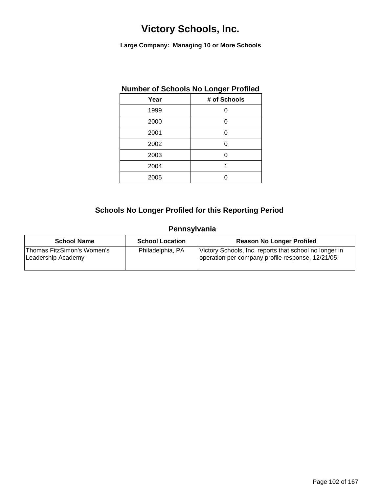**Large Company: Managing 10 or More Schools**

### **Number of Schools No Longer Profiled**

| Year | # of Schools |
|------|--------------|
| 1999 | U            |
| 2000 | 0            |
| 2001 | Ω            |
| 2002 | U            |
| 2003 | ი            |
| 2004 | 1            |
| 2005 |              |

### **Schools No Longer Profiled for this Reporting Period**

### **Pennsylvania**

| <b>School Name</b>                                | <b>School Location</b> | <b>Reason No Longer Profiled</b>                                                                            |
|---------------------------------------------------|------------------------|-------------------------------------------------------------------------------------------------------------|
| 'Thomas FitzSimon's Women's<br>Leadership Academy | Philadelphia, PA       | Victory Schools, Inc. reports that school no longer in<br>operation per company profile response, 12/21/05. |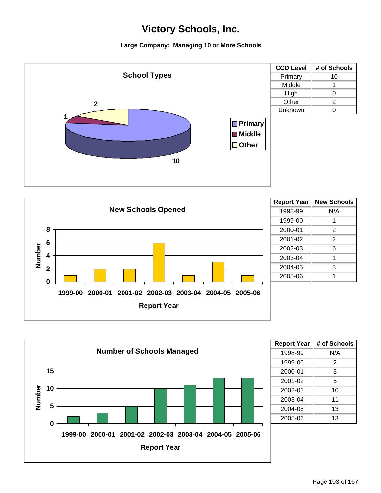





| # of Schools |
|--------------|
| N/A          |
| 2            |
| 3            |
| 5            |
| 10           |
| 11           |
| 13           |
| 13           |
|              |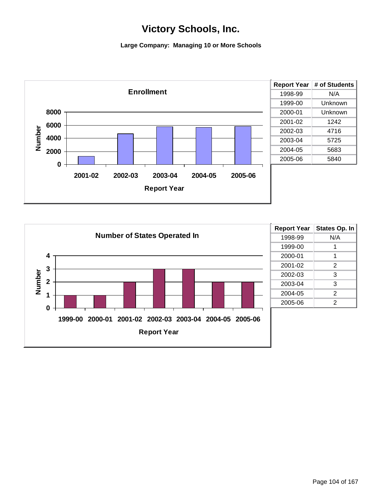

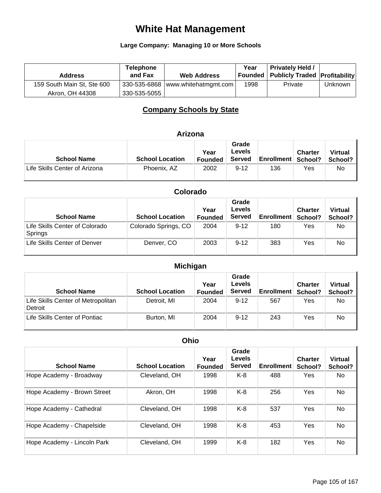## **White Hat Management**

#### **Large Company: Managing 10 or More Schools**

| <b>Address</b>             | <b>Telephone</b><br>and Fax | <b>Web Address</b>                  | Year | <b>Privately Held /</b><br><b>Founded   Publicly Traded   Profitability </b> |         |
|----------------------------|-----------------------------|-------------------------------------|------|------------------------------------------------------------------------------|---------|
| 159 South Main St, Ste 600 |                             | 330-535-6868   www.whitehatmgmt.com | 1998 | Private                                                                      | Unknown |
| Akron, OH 44308            | 330-535-5055                |                                     |      |                                                                              |         |

### **Company Schools by State**

### **Arizona**

| <b>School Name</b>            | <b>School Location</b> | Year<br><b>Founded</b> | Grade<br>Levels<br><b>Served</b> | <b>Enrollment School?</b> | <b>Charter</b> | <b>Virtual</b><br>School? |
|-------------------------------|------------------------|------------------------|----------------------------------|---------------------------|----------------|---------------------------|
| Life Skills Center of Arizona | Phoenix, AZ            | 2002                   | $9 - 12$                         | 136                       | Yes            | No                        |

| Colorado |
|----------|
|----------|

| <b>School Name</b>                        | <b>School Location</b> | Year<br><b>Founded</b> | Grade<br>Levels<br><b>Served</b> | <b>Enrollment</b> | <b>Charter</b><br>School? | <b>Virtual</b><br>School? |
|-------------------------------------------|------------------------|------------------------|----------------------------------|-------------------|---------------------------|---------------------------|
| Life Skills Center of Colorado<br>Springs | Colorado Springs, CO   | 2004                   | $9 - 12$                         | 180               | Yes                       | No                        |
| Life Skills Center of Denver              | Denver, CO             | 2003                   | $9 - 12$                         | 383               | Yes                       | No                        |

| <b>Michigan</b>                               |                        |                 |                                  |                      |                |                           |  |
|-----------------------------------------------|------------------------|-----------------|----------------------------------|----------------------|----------------|---------------------------|--|
| <b>School Name</b>                            | <b>School Location</b> | Year<br>Founded | Grade<br>Levels<br><b>Served</b> | Enrollment   School? | <b>Charter</b> | <b>Virtual</b><br>School? |  |
| Life Skills Center of Metropolitan<br>Detroit | Detroit, MI            | 2004            | $9 - 12$                         | 567                  | Yes            | No                        |  |
| Life Skills Center of Pontiac                 | Burton, MI             | 2004            | $9 - 12$                         | 243                  | Yes            | No                        |  |

| <b>Ohio</b>                 |                        |                        |                                  |                   |                           |                           |  |  |  |  |
|-----------------------------|------------------------|------------------------|----------------------------------|-------------------|---------------------------|---------------------------|--|--|--|--|
| <b>School Name</b>          | <b>School Location</b> | Year<br><b>Founded</b> | Grade<br>Levels<br><b>Served</b> | <b>Enrollment</b> | <b>Charter</b><br>School? | <b>Virtual</b><br>School? |  |  |  |  |
| Hope Academy - Broadway     | Cleveland, OH          | 1998                   | $K-8$                            | 488               | Yes                       | No.                       |  |  |  |  |
| Hope Academy - Brown Street | Akron, OH              | 1998                   | $K-8$                            | 256               | Yes                       | No                        |  |  |  |  |
| Hope Academy - Cathedral    | Cleveland, OH          | 1998                   | $K-8$                            | 537               | Yes                       | No.                       |  |  |  |  |
| Hope Academy - Chapelside   | Cleveland, OH          | 1998                   | $K-8$                            | 453               | Yes                       | No                        |  |  |  |  |
| Hope Academy - Lincoln Park | Cleveland, OH          | 1999                   | $K-8$                            | 182               | Yes                       | No                        |  |  |  |  |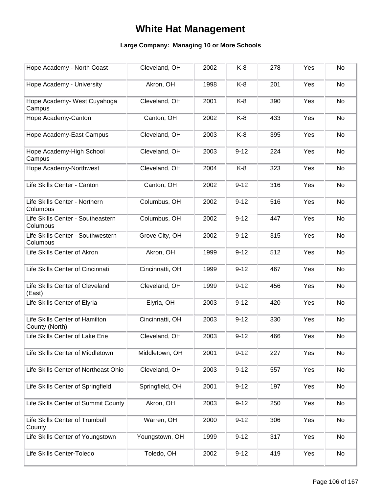## **White Hat Management**

| Hope Academy - North Coast                       | Cleveland, OH   | 2002 | $K-8$    | 278 | Yes | No |
|--------------------------------------------------|-----------------|------|----------|-----|-----|----|
| Hope Academy - University                        | Akron, OH       | 1998 | K-8      | 201 | Yes | No |
| Hope Academy- West Cuyahoga<br>Campus            | Cleveland, OH   | 2001 | $K-8$    | 390 | Yes | No |
| Hope Academy-Canton                              | Canton, OH      | 2002 | $K-8$    | 433 | Yes | No |
| Hope Academy-East Campus                         | Cleveland, OH   | 2003 | $K-8$    | 395 | Yes | No |
| Hope Academy-High School<br>Campus               | Cleveland, OH   | 2003 | $9 - 12$ | 224 | Yes | No |
| Hope Academy-Northwest                           | Cleveland, OH   | 2004 | $K-8$    | 323 | Yes | No |
| Life Skills Center - Canton                      | Canton, OH      | 2002 | $9 - 12$ | 316 | Yes | No |
| Life Skills Center - Northern<br>Columbus        | Columbus, OH    | 2002 | $9 - 12$ | 516 | Yes | No |
| Life Skills Center - Southeastern<br>Columbus    | Columbus, OH    | 2002 | $9 - 12$ | 447 | Yes | No |
| Life Skills Center - Southwestern<br>Columbus    | Grove City, OH  | 2002 | $9 - 12$ | 315 | Yes | No |
| Life Skills Center of Akron                      | Akron, OH       | 1999 | $9 - 12$ | 512 | Yes | No |
| Life Skills Center of Cincinnati                 | Cincinnatti, OH | 1999 | $9 - 12$ | 467 | Yes | No |
| Life Skills Center of Cleveland<br>(East)        | Cleveland, OH   | 1999 | $9 - 12$ | 456 | Yes | No |
| Life Skills Center of Elyria                     | Elyria, OH      | 2003 | $9 - 12$ | 420 | Yes | No |
| Life Skills Center of Hamilton<br>County (North) | Cincinnatti, OH | 2003 | $9 - 12$ | 330 | Yes | No |
| Life Skills Center of Lake Erie                  | Cleveland, OH   | 2003 | $9 - 12$ | 466 | Yes | No |
| Life Skills Center of Middletown                 | Middletown, OH  | 2001 | $9 - 12$ | 227 | Yes | No |
| Life Skills Center of Northeast Ohio             | Cleveland, OH   | 2003 | $9 - 12$ | 557 | Yes | No |
| Life Skills Center of Springfield                | Springfield, OH | 2001 | $9 - 12$ | 197 | Yes | No |
| Life Skills Center of Summit County              | Akron, OH       | 2003 | $9 - 12$ | 250 | Yes | No |
| Life Skills Center of Trumbull<br>County         | Warren, OH      | 2000 | $9 - 12$ | 306 | Yes | No |
| Life Skills Center of Youngstown                 | Youngstown, OH  | 1999 | $9 - 12$ | 317 | Yes | No |
| Life Skills Center-Toledo                        | Toledo, OH      | 2002 | $9 - 12$ | 419 | Yes | No |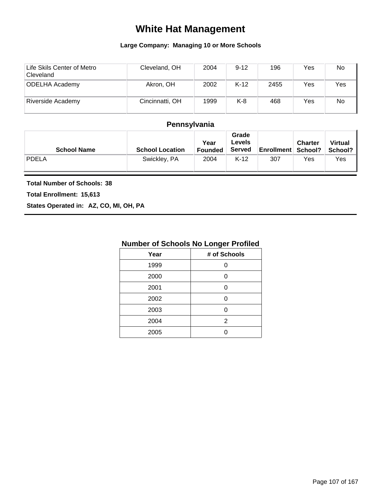## **White Hat Management**

#### **Large Company: Managing 10 or More Schools**

| Life Skils Center of Metro<br>Cleveland | Cleveland, OH   | 2004 | $9 - 12$ | 196  | Yes | No  |
|-----------------------------------------|-----------------|------|----------|------|-----|-----|
| <b>ODELHA Academy</b>                   | Akron, OH       | 2002 | $K-12$   | 2455 | Yes | Yes |
| Riverside Academy                       | Cincinnatti, OH | 1999 | K-8      | 468  | Yes | No  |

### **Pennsylvania**

| <b>School Name</b> | <b>School Location</b> | Year<br><b>Founded</b> | Grade<br>Levels<br><b>Served</b> | <b>Enrollment School?</b> | <b>Charter</b> | Virtual<br>School? |
|--------------------|------------------------|------------------------|----------------------------------|---------------------------|----------------|--------------------|
| <b>PDELA</b>       | Swickley, PA           | 2004                   | $K-12$                           | 307                       | Yes            | Yes                |

#### **Total Number of Schools: 38**

**Total Enrollment: 15,613**

**States Operated in: AZ, CO, MI, OH, PA**

| Year | # of Schools |
|------|--------------|
| 1999 | በ            |
| 2000 | n            |
| 2001 | ი            |
| 2002 |              |
| 2003 | ∩            |
| 2004 | 2            |
| 2005 |              |
|      |              |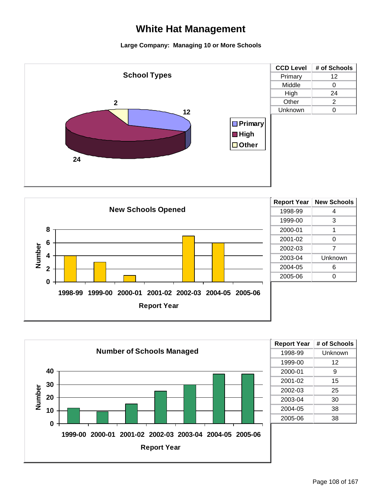## **White Hat Management**

#### **Large Company: Managing 10 or More Schools**







| <b>Report Year</b> | # of Schools |
|--------------------|--------------|
| 1998-99            | Unknown      |
| 1999-00            | 12           |
| 2000-01            | 9            |
| 2001-02            | 15           |
| 2002-03            | 25           |
| 2003-04            | 30           |
| 2004-05            | 38           |
| 2005-06            | 38           |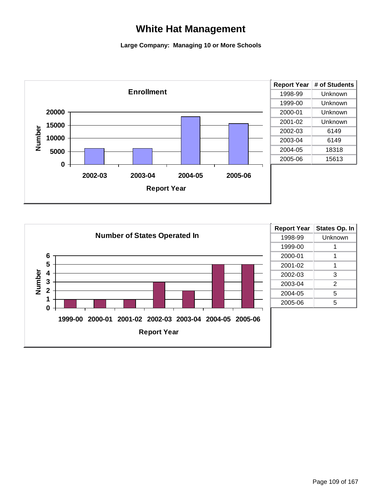## **White Hat Management**

#### **Large Company: Managing 10 or More Schools**



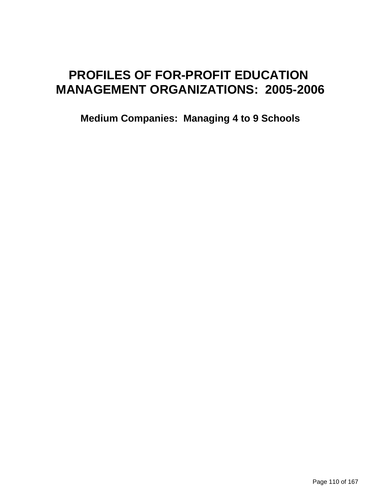# **PROFILES OF FOR-PROFIT EDUCATION MANAGEMENT ORGANIZATIONS: 2005-2006**

**Medium Companies: Managing 4 to 9 Schools**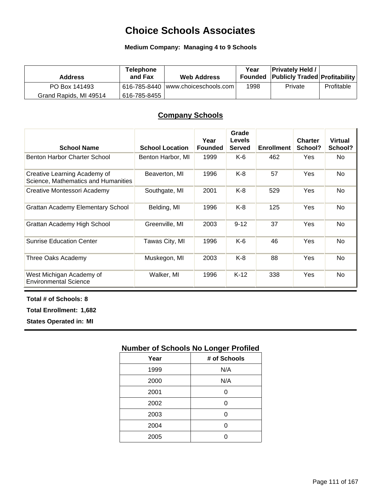## **Choice Schools Associates**

#### **Medium Company: Managing 4 to 9 Schools**

| <b>Address</b>         | <b>Telephone</b><br>and Fax | <b>Web Address</b>                   | Year | <b>Privately Held /</b><br><b>Founded Publicly Traded Profitability</b> |            |
|------------------------|-----------------------------|--------------------------------------|------|-------------------------------------------------------------------------|------------|
| PO Box 141493          |                             | 616-785-8440   www.choiceschools.com | 1998 | Private                                                                 | Profitable |
| Grand Rapids, MI 49514 | 616-785-8455丨               |                                      |      |                                                                         |            |

### **Company Schools**

| <b>School Name</b>                                                  | <b>School Location</b> | Year<br><b>Founded</b> | Grade<br><b>Levels</b><br><b>Served</b> | <b>Enrollment</b> | <b>Charter</b><br>School? | <b>Virtual</b><br>School? |
|---------------------------------------------------------------------|------------------------|------------------------|-----------------------------------------|-------------------|---------------------------|---------------------------|
| Benton Harbor Charter School                                        | Benton Harbor, MI      | 1999                   | $K-6$                                   | 462               | Yes                       | No.                       |
| Creative Learning Academy of<br>Science, Mathematics and Humanities | Beaverton, MI          | 1996                   | K-8                                     | 57                | Yes                       | <b>No</b>                 |
| Creative Montessori Academy                                         | Southgate, MI          | 2001                   | K-8                                     | 529               | Yes                       | <b>No</b>                 |
| <b>Grattan Academy Elementary School</b>                            | Belding, MI            | 1996                   | K-8                                     | 125               | Yes                       | <b>No</b>                 |
| Grattan Academy High School                                         | Greenville, MI         | 2003                   | $9 - 12$                                | 37                | Yes                       | <b>No</b>                 |
| <b>Sunrise Education Center</b>                                     | Tawas City, MI         | 1996                   | K-6                                     | 46                | Yes                       | <b>No</b>                 |
| Three Oaks Academy                                                  | Muskegon, MI           | 2003                   | K-8                                     | 88                | Yes                       | <b>No</b>                 |
| West Michigan Academy of<br><b>Environmental Science</b>            | Walker, MI             | 1996                   | $K-12$                                  | 338               | Yes                       | <b>No</b>                 |

**Total # of Schools: 8**

**Total Enrollment: 1,682**

**States Operated in: MI**

| Year | # of Schools |
|------|--------------|
| 1999 | N/A          |
| 2000 | N/A          |
| 2001 | 0            |
| 2002 | 0            |
| 2003 | ი            |
| 2004 | 0            |
| 2005 |              |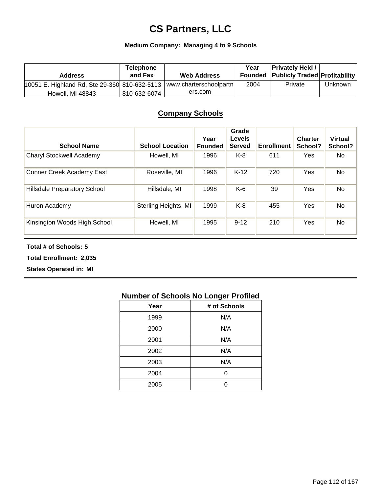## **CS Partners, LLC**

#### **Medium Company: Managing 4 to 9 Schools**

| <b>Address</b>                                                         | <b>Telephone</b><br>and Fax | <b>Web Address</b> | Year | <b>Privately Held /</b><br><b>Founded Publicly Traded Profitability</b> |         |
|------------------------------------------------------------------------|-----------------------------|--------------------|------|-------------------------------------------------------------------------|---------|
| 10051 E. Highland Rd, Ste 29-360 810-632-5113   www.charterschoolpartn |                             |                    | 2004 | Private                                                                 | Unknown |
| <b>Howell, MI 48843</b>                                                | 810-632-6074                | ers.com            |      |                                                                         |         |

#### **Company Schools**

| <b>School Name</b>               | <b>School Location</b> | Year<br><b>Founded</b> | Grade<br><b>Levels</b><br><b>Served</b> | <b>Enrollment</b> | <b>Charter</b><br>School? | <b>Virtual</b><br>School? |
|----------------------------------|------------------------|------------------------|-----------------------------------------|-------------------|---------------------------|---------------------------|
| Charyl Stockwell Academy         | Howell, MI             | 1996                   | K-8                                     | 611               | Yes                       | No.                       |
| <b>Conner Creek Academy East</b> | Roseville, MI          | 1996                   | $K-12$                                  | 720               | Yes                       | No                        |
| Hillsdale Preparatory School     | Hillsdale, MI          | 1998                   | $K-6$                                   | 39                | Yes                       | No                        |
| Huron Academy                    | Sterling Heights, MI   | 1999                   | $K-8$                                   | 455               | Yes                       | No.                       |
| Kinsington Woods High School     | Howell, MI             | 1995                   | $9 - 12$                                | 210               | Yes                       | No                        |

**Total # of Schools: 5**

**Total Enrollment: 2,035**

**States Operated in: MI**

| Year | # of Schools |
|------|--------------|
| 1999 | N/A          |
| 2000 | N/A          |
| 2001 | N/A          |
| 2002 | N/A          |
| 2003 | N/A          |
| 2004 | 0            |
| 2005 |              |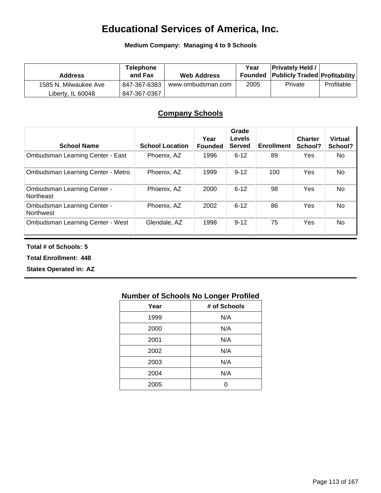## **Educational Services of America, Inc.**

**Medium Company: Managing 4 to 9 Schools**

| <b>Address</b>        | <b>Telephone</b><br>and Fax | <b>Web Address</b> | Year | <b>Privately Held /</b><br><b>Founded Publicly Traded Profitability</b> |            |
|-----------------------|-----------------------------|--------------------|------|-------------------------------------------------------------------------|------------|
| 1585 N. Milwaukee Ave | 847-367-6383                | www.ombudsman.com  | 2005 | Private                                                                 | Profitable |
| Liberty, IL 60048     | 847-367-0367                |                    |      |                                                                         |            |

### **Company Schools**

| <b>School Name</b>                                     | <b>School Location</b> | Year<br><b>Founded</b> | Grade<br><b>Levels</b><br><b>Served</b> | <b>Enrollment</b> | <b>Charter</b><br>School? | <b>Virtual</b><br>School? |
|--------------------------------------------------------|------------------------|------------------------|-----------------------------------------|-------------------|---------------------------|---------------------------|
| Ombudsman Learning Center - East                       | Phoenix, AZ            | 1996                   | $6 - 12$                                | 89                | Yes                       | No                        |
| Ombudsman Learning Center - Metro                      | Phoenix, AZ            | 1999                   | $9 - 12$                                | 100               | Yes                       | No                        |
| <b>Ombudsman Learning Center -</b><br>Northeast        | Phoenix, AZ            | 2000                   | $6 - 12$                                | 98                | Yes                       | No                        |
| <b>Ombudsman Learning Center -</b><br><b>Northwest</b> | Phoenix, AZ            | 2002                   | $6 - 12$                                | 86                | Yes                       | <b>No</b>                 |
| <b>Ombudsman Learning Center - West</b>                | Glendale, AZ           | 1998                   | $9 - 12$                                | 75                | Yes                       | No                        |

**Total # of Schools: 5**

**Total Enrollment: 448**

**States Operated in: AZ**

| Year | # of Schools |
|------|--------------|
| 1999 | N/A          |
| 2000 | N/A          |
| 2001 | N/A          |
| 2002 | N/A          |
| 2003 | N/A          |
| 2004 | N/A          |
| 2005 |              |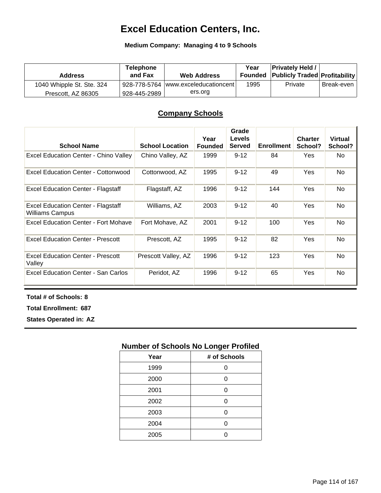## **Excel Education Centers, Inc.**

#### **Medium Company: Managing 4 to 9 Schools**

| <b>Address</b>            | <b>Telephone</b><br>and Fax | <b>Web Address</b>                   | Year | <b>Privately Held /</b><br><b>Founded Publicly Traded Profitability</b> |            |
|---------------------------|-----------------------------|--------------------------------------|------|-------------------------------------------------------------------------|------------|
| 1040 Whipple St. Ste. 324 |                             | 928-778-5764  www.exceleducationcent | 1995 | Private                                                                 | Break-even |
| Prescott, AZ 86305        | 928-445-2989                | ers.org                              |      |                                                                         |            |

#### **Company Schools**

| <b>School Name</b>                                                  | <b>School Location</b> | Year<br><b>Founded</b> | Grade<br><b>Levels</b><br><b>Served</b> | <b>Enrollment</b> | <b>Charter</b><br>School? | <b>Virtual</b><br>School? |
|---------------------------------------------------------------------|------------------------|------------------------|-----------------------------------------|-------------------|---------------------------|---------------------------|
| <b>Excel Education Center - Chino Valley</b>                        | Chino Valley, AZ       | 1999                   | $9 - 12$                                | 84                | Yes                       | No.                       |
| <b>Excel Education Center - Cottonwood</b>                          | Cottonwood, AZ         | 1995                   | $9 - 12$                                | 49                | <b>Yes</b>                | No                        |
| <b>Excel Education Center - Flagstaff</b>                           | Flagstaff, AZ          | 1996                   | $9 - 12$                                | 144               | Yes                       | No                        |
| <b>Excel Education Center - Flagstaff</b><br><b>Williams Campus</b> | Williams, AZ           | 2003                   | $9 - 12$                                | 40                | <b>Yes</b>                | No                        |
| Excel Education Center - Fort Mohave                                | Fort Mohave, AZ        | 2001                   | $9 - 12$                                | 100               | <b>Yes</b>                | No                        |
| <b>Excel Education Center - Prescott</b>                            | Prescott, AZ           | 1995                   | $9 - 12$                                | 82                | Yes                       | No                        |
| <b>Excel Education Center - Prescott</b><br>Valley                  | Prescott Valley, AZ    | 1996                   | $9 - 12$                                | 123               | <b>Yes</b>                | No                        |
| Excel Education Center - San Carlos                                 | Peridot, AZ            | 1996                   | $9 - 12$                                | 65                | Yes                       | No                        |

**Total # of Schools: 8**

**Total Enrollment: 687**

**States Operated in: AZ**

| Year | # of Schools |
|------|--------------|
| 1999 | ი            |
| 2000 | 0            |
| 2001 | 0            |
| 2002 | ი            |
| 2003 | ი            |
| 2004 | 0            |
| 2005 |              |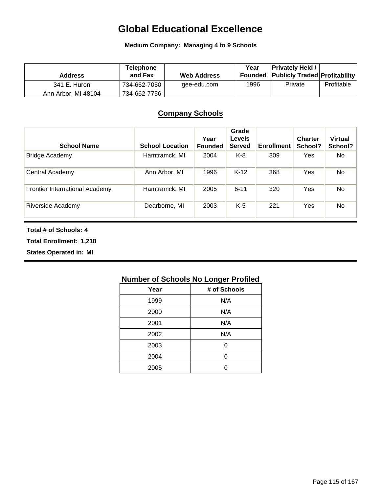## **Global Educational Excellence**

**Medium Company: Managing 4 to 9 Schools**

| <b>Address</b>      | <b>Telephone</b><br>and Fax | <b>Web Address</b> | Year | <b>Privately Held /</b><br><b>Founded Publicly Traded Profitability</b> |            |
|---------------------|-----------------------------|--------------------|------|-------------------------------------------------------------------------|------------|
| 341 E. Huron        | 734-662-7050                | gee-edu.com        | 1996 | Private                                                                 | Profitable |
| Ann Arbor, MI 48104 | 734-662-7756                |                    |      |                                                                         |            |

### **Company Schools**

| <b>School Name</b>                    | <b>School Location</b> | Year<br><b>Founded</b> | Grade<br>Levels<br><b>Served</b> | <b>Enrollment</b> | <b>Charter</b><br>School? | <b>Virtual</b><br>School? |
|---------------------------------------|------------------------|------------------------|----------------------------------|-------------------|---------------------------|---------------------------|
| <b>Bridge Academy</b>                 | Hamtramck, MI          | 2004                   | K-8                              | 309               | Yes                       | No                        |
| Central Academy                       | Ann Arbor, MI          | 1996                   | $K-12$                           | 368               | Yes                       | No                        |
| <b>Frontier International Academy</b> | Hamtramck, MI          | 2005                   | $6 - 11$                         | 320               | Yes                       | No                        |
| Riverside Academy                     | Dearborne, MI          | 2003                   | $K-5$                            | 221               | Yes                       | No                        |

#### **Total # of Schools: 4**

**Total Enrollment: 1,218**

**States Operated in: MI**

| Year | # of Schools |
|------|--------------|
| 1999 | N/A          |
| 2000 | N/A          |
| 2001 | N/A          |
| 2002 | N/A          |
| 2003 | O            |
| 2004 | O            |
| 2005 |              |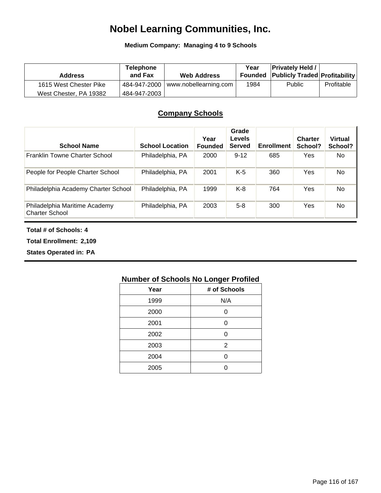## **Nobel Learning Communities, Inc.**

**Medium Company: Managing 4 to 9 Schools**

| <b>Address</b>         | <b>Telephone</b><br>and Fax | <b>Web Address</b>                         | Year | <b>Privately Held /</b><br><b>Founded Publicly Traded Profitability</b> |            |
|------------------------|-----------------------------|--------------------------------------------|------|-------------------------------------------------------------------------|------------|
| 1615 West Chester Pike |                             | $\pm$ 484-947-2000   www.nobellearning.com | 1984 | <b>Public</b>                                                           | Profitable |
| West Chester, PA 19382 | 484-947-2003                |                                            |      |                                                                         |            |

### **Company Schools**

| <b>School Name</b>                                     | <b>School Location</b> | Year<br><b>Founded</b> | Grade<br>Levels<br><b>Served</b> | <b>Enrollment</b> | <b>Charter</b><br>School? | <b>Virtual</b><br>School? |
|--------------------------------------------------------|------------------------|------------------------|----------------------------------|-------------------|---------------------------|---------------------------|
| Franklin Towne Charter School                          | Philadelphia, PA       | 2000                   | $9 - 12$                         | 685               | Yes                       | No                        |
| People for People Charter School                       | Philadelphia, PA       | 2001                   | $K-5$                            | 360               | Yes                       | No.                       |
| Philadelphia Academy Charter School                    | Philadelphia, PA       | 1999                   | $K-8$                            | 764               | Yes                       | <b>No</b>                 |
| Philadelphia Maritime Academy<br><b>Charter School</b> | Philadelphia, PA       | 2003                   | $5 - 8$                          | 300               | Yes                       | No.                       |

#### **Total # of Schools: 4**

**Total Enrollment: 2,109**

**States Operated in: PA**

| Year | # of Schools |
|------|--------------|
| 1999 | N/A          |
| 2000 | ი            |
| 2001 | ი            |
| 2002 | ი            |
| 2003 | 2            |
| 2004 | ი            |
| 2005 |              |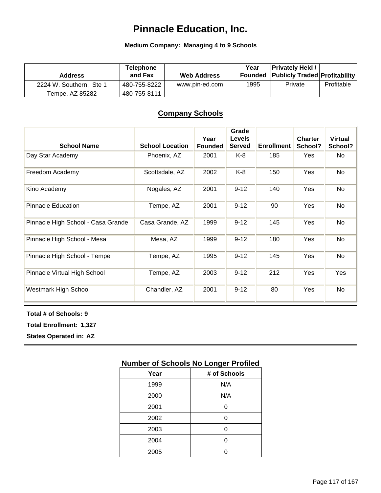## **Pinnacle Education, Inc.**

#### **Medium Company: Managing 4 to 9 Schools**

| <b>Address</b>          | <b>Telephone</b><br>and Fax | <b>Web Address</b> | Year | <b>Privately Held /</b><br><b>Founded Publicly Traded Profitability</b> |            |
|-------------------------|-----------------------------|--------------------|------|-------------------------------------------------------------------------|------------|
| 2224 W. Southern, Ste 1 | 480-755-8222                | www.pin-ed.com     | 1995 | Private                                                                 | Profitable |
| Tempe, AZ 85282         | 480-755-8111                |                    |      |                                                                         |            |

#### **Company Schools**

| <b>School Name</b>                 | <b>School Location</b> | Year<br><b>Founded</b> | Grade<br><b>Levels</b><br><b>Served</b> | <b>Enrollment</b> | <b>Charter</b><br>School? | <b>Virtual</b><br>School? |
|------------------------------------|------------------------|------------------------|-----------------------------------------|-------------------|---------------------------|---------------------------|
| Day Star Academy                   | Phoenix, AZ            | 2001                   | K-8                                     | 185               | Yes                       | No.                       |
| Freedom Academy                    | Scottsdale, AZ         | 2002                   | $K-8$                                   | 150               | Yes                       | No                        |
| Kino Academy                       | Nogales, AZ            | 2001                   | $9 - 12$                                | 140               | Yes                       | No.                       |
| <b>Pinnacle Education</b>          | Tempe, AZ              | 2001                   | $9 - 12$                                | 90                | Yes                       | No                        |
| Pinnacle High School - Casa Grande | Casa Grande, AZ        | 1999                   | $9 - 12$                                | 145               | Yes                       | No                        |
| Pinnacle High School - Mesa        | Mesa, AZ               | 1999                   | $9 - 12$                                | 180               | Yes                       | No                        |
| Pinnacle High School - Tempe       | Tempe, AZ              | 1995                   | $9 - 12$                                | 145               | Yes                       | No                        |
| Pinnacle Virtual High School       | Tempe, AZ              | 2003                   | $9 - 12$                                | 212               | Yes                       | Yes                       |
| Westmark High School               | Chandler, AZ           | 2001                   | $9 - 12$                                | 80                | Yes                       | No                        |

#### **Total # of Schools: 9**

**Total Enrollment: 1,327**

**States Operated in: AZ**

| Year | # of Schools |
|------|--------------|
| 1999 | N/A          |
| 2000 | N/A          |
| 2001 | Ω            |
| 2002 | n            |
| 2003 | ⋂            |
| 2004 | n            |
| 2005 |              |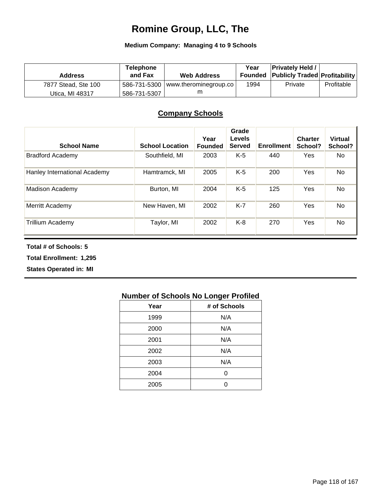## **Romine Group, LLC, The**

#### **Medium Company: Managing 4 to 9 Schools**

| <b>Address</b>      | <b>Telephone</b><br>and Fax | <b>Web Address</b>                    | Year | <b>Privately Held /</b><br><b>Founded Publicly Traded Profitability</b> |            |
|---------------------|-----------------------------|---------------------------------------|------|-------------------------------------------------------------------------|------------|
| 7877 Stead, Ste 100 |                             | $-586-731-5300$ www.therominegroup.co | 1994 | Private                                                                 | Profitable |
| Utica, MI 48317     | 586-731-5307                |                                       |      |                                                                         |            |

### **Company Schools**

| <b>School Name</b>           | <b>School Location</b> | Year<br><b>Founded</b> | Grade<br><b>Levels</b><br><b>Served</b> | <b>Enrollment</b> | <b>Charter</b><br>School? | <b>Virtual</b><br>School? |
|------------------------------|------------------------|------------------------|-----------------------------------------|-------------------|---------------------------|---------------------------|
| <b>Bradford Academy</b>      | Southfield, MI         | 2003                   | K-5                                     | 440               | <b>Yes</b>                | No.                       |
| Hanley International Academy | Hamtramck, MI          | 2005                   | $K-5$                                   | 200               | Yes                       | No                        |
| <b>Madison Academy</b>       | Burton, MI             | 2004                   | K-5                                     | 125               | <b>Yes</b>                | No                        |
| Merritt Academy              | New Haven, MI          | 2002                   | $K-7$                                   | 260               | <b>Yes</b>                | No                        |
| <b>Trillium Academy</b>      | Taylor, MI             | 2002                   | K-8                                     | 270               | <b>Yes</b>                | No                        |

**Total # of Schools: 5**

**Total Enrollment: 1,295**

**States Operated in: MI**

| Year | # of Schools |
|------|--------------|
| 1999 | N/A          |
| 2000 | N/A          |
| 2001 | N/A          |
| 2002 | N/A          |
| 2003 | N/A          |
| 2004 | 0            |
| 2005 |              |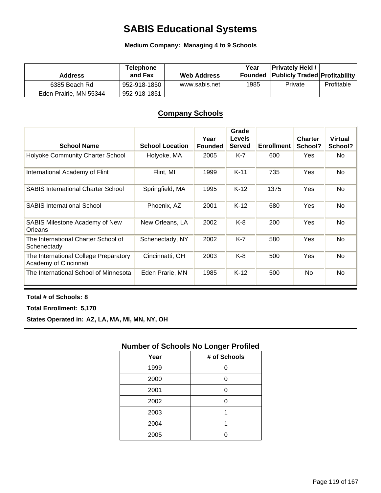## **SABIS Educational Systems**

**Medium Company: Managing 4 to 9 Schools**

| <b>Address</b>         | <b>Telephone</b><br>and Fax | <b>Web Address</b> | Year | <b>Privately Held /</b><br><b>Founded Publicly Traded Profitability</b> |            |
|------------------------|-----------------------------|--------------------|------|-------------------------------------------------------------------------|------------|
| 6385 Beach Rd          | 952-918-1850                | www.sabis.net      | 1985 | Private                                                                 | Profitable |
| Eden Prairie, MN 55344 | 952-918-1851                |                    |      |                                                                         |            |

### **Company Schools**

| <b>School Name</b>                                             | <b>School Location</b> | Year<br><b>Founded</b> | Grade<br><b>Levels</b><br><b>Served</b> | <b>Enrollment</b> | <b>Charter</b><br>School? | <b>Virtual</b><br>School? |
|----------------------------------------------------------------|------------------------|------------------------|-----------------------------------------|-------------------|---------------------------|---------------------------|
| Holyoke Community Charter School                               | Holyoke, MA            | 2005                   | K-7                                     | 600               | <b>Yes</b>                | No.                       |
| International Academy of Flint                                 | Flint, MI              | 1999                   | $K-11$                                  | 735               | <b>Yes</b>                | No                        |
| <b>SABIS International Charter School</b>                      | Springfield, MA        | 1995                   | $K-12$                                  | 1375              | Yes                       | <b>No</b>                 |
| <b>SABIS International School</b>                              | Phoenix, AZ            | 2001                   | $K-12$                                  | 680               | Yes                       | <b>No</b>                 |
| <b>SABIS Milestone Academy of New</b><br>Orleans               | New Orleans, LA        | 2002                   | K-8                                     | 200               | Yes                       | No                        |
| The International Charter School of<br>Schenectady             | Schenectady, NY        | 2002                   | $K-7$                                   | 580               | Yes                       | <b>No</b>                 |
| The International College Preparatory<br>Academy of Cincinnati | Cincinnatti, OH        | 2003                   | K-8                                     | 500               | Yes                       | <b>No</b>                 |
| The International School of Minnesota                          | Eden Prarie, MN        | 1985                   | $K-12$                                  | 500               | No                        | No                        |

**Total # of Schools: 8**

**Total Enrollment: 5,170**

**States Operated in: AZ, LA, MA, MI, MN, NY, OH**

| Year | # of Schools |
|------|--------------|
| 1999 | ი            |
| 2000 | 0            |
| 2001 | 0            |
| 2002 | ი            |
| 2003 |              |
| 2004 | 1            |
| 2005 |              |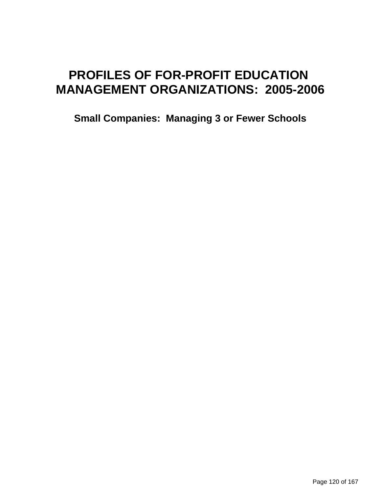# **PROFILES OF FOR-PROFIT EDUCATION MANAGEMENT ORGANIZATIONS: 2005-2006**

**Small Companies: Managing 3 or Fewer Schools**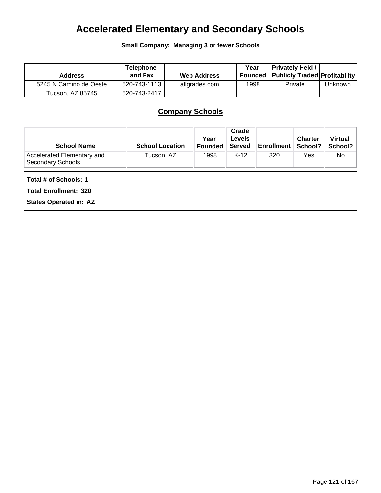## **Accelerated Elementary and Secondary Schools**

**Small Company: Managing 3 or fewer Schools**

| <b>Address</b>         | Telephone<br>and Fax | <b>Web Address</b> | Year<br>Founded | <b>Privately Held /</b><br><b>Publicly Traded Profitability</b> |         |
|------------------------|----------------------|--------------------|-----------------|-----------------------------------------------------------------|---------|
| 5245 N Camino de Oeste | 520-743-1113丨        | allgrades.com      | 1998            | Private                                                         | Unknown |
| Tucson. AZ 85745       | 520-743-2417         |                    |                 |                                                                 |         |

## **Company Schools**

| <b>School Name</b>                              | <b>School Location</b> | Year<br><b>Founded</b> | Grade<br><b>Levels</b><br>Served | Enrollment   School? | <b>Charter</b> | <b>Virtual</b><br>School? |
|-------------------------------------------------|------------------------|------------------------|----------------------------------|----------------------|----------------|---------------------------|
| Accelerated Elementary and<br>Secondary Schools | Tucson, AZ             | 1998                   | $K-12$                           | 320                  | Yes            | No                        |

**Total # of Schools: 1**

**Total Enrollment: 320**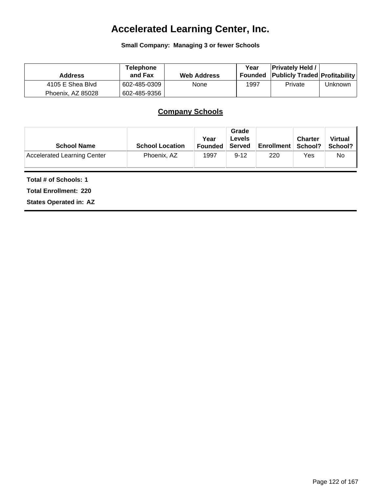# **Accelerated Learning Center, Inc.**

**Small Company: Managing 3 or fewer Schools**

| <b>Address</b>    | <b>Telephone</b><br>and Fax | <b>Web Address</b> | Year<br>Founded | <b>Privately Held</b><br><b>Publicly Traded Profitability</b> |         |
|-------------------|-----------------------------|--------------------|-----------------|---------------------------------------------------------------|---------|
| 4105 E Shea Blvd  | 602-485-0309                | None               | 1997            | Private                                                       | Unknown |
| Phoenix. AZ 85028 | 602-485-9356                |                    |                 |                                                               |         |

## **Company Schools**

| <b>School Name</b>          | <b>School Location</b> | Year<br><b>Founded</b> | Grade<br><b>Levels</b><br>Served | <b>Enrollment</b> | <b>Charter</b><br>School? | <b>Virtual</b><br>School? |
|-----------------------------|------------------------|------------------------|----------------------------------|-------------------|---------------------------|---------------------------|
| Accelerated Learning Center | Phoenix, AZ            | 1997                   | $9 - 12$                         | 220               | Yes                       | No                        |

**Total # of Schools: 1**

**Total Enrollment: 220**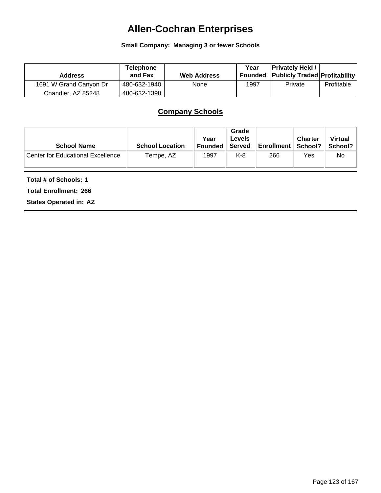# **Allen-Cochran Enterprises**

**Small Company: Managing 3 or fewer Schools**

| <b>Address</b>         | Telephone<br>and Fax | <b>Web Address</b> | Year | <b>Privately Held /</b><br>Founded Publicly Traded Profitability |            |
|------------------------|----------------------|--------------------|------|------------------------------------------------------------------|------------|
| 1691 W Grand Canyon Dr | 480-632-1940         | None               | 1997 | Private                                                          | Profitable |
| Chandler, AZ 85248     | 480-632-1398         |                    |      |                                                                  |            |

## **Company Schools**

| <b>School Name</b>                       | <b>School Location</b> | Year<br><b>Founded</b> | Grade<br><b>Levels</b><br>Served | <b>Enrollment</b> | <b>Charter</b><br>∣ School? | <b>Virtual</b><br>School? |
|------------------------------------------|------------------------|------------------------|----------------------------------|-------------------|-----------------------------|---------------------------|
| <b>Center for Educational Excellence</b> | Tempe, AZ              | 1997                   | K-8                              | 266               | Yes                         | No                        |

**Total # of Schools: 1**

**Total Enrollment: 266**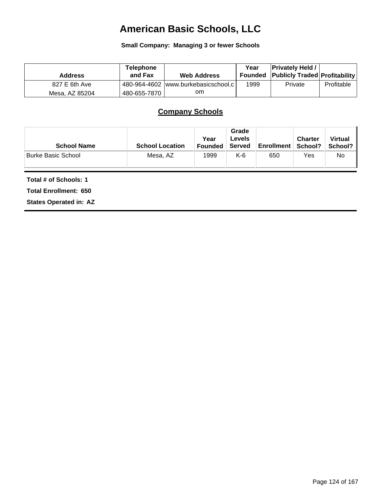# **American Basic Schools, LLC**

**Small Company: Managing 3 or fewer Schools**

| <b>Address</b> | <b>Telephone</b><br>and Fax | <b>Web Address</b>                   | Year | <b>Privately Held /</b><br><b>Founded Publicly Traded Profitability</b> |            |
|----------------|-----------------------------|--------------------------------------|------|-------------------------------------------------------------------------|------------|
| 827 E 6th Ave  |                             | 480-964-4602 www.burkebasicschool.cl | 1999 | Private                                                                 | Profitable |
| Mesa, AZ 85204 | 480-655-7870                | om                                   |      |                                                                         |            |

## **Company Schools**

| <b>School Name</b>        | <b>School Location</b> | Year<br><b>Founded</b> | Grade<br>Levels<br><b>Served</b> | <b>Enrollment</b> | <b>Charter</b><br>School? | <b>Virtual</b><br>School? I |
|---------------------------|------------------------|------------------------|----------------------------------|-------------------|---------------------------|-----------------------------|
| <b>Burke Basic School</b> | Mesa, AZ               | 1999                   | K-6                              | 650               | Yes                       | No                          |

**Total # of Schools: 1**

**Total Enrollment: 650**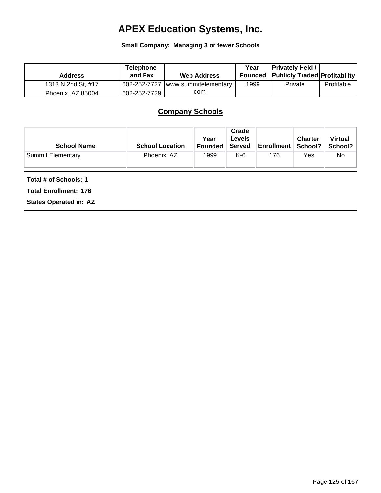# **APEX Education Systems, Inc.**

#### **Small Company: Managing 3 or fewer Schools**

| <b>Address</b>     | <b>Telephone</b><br>and Fax | <b>Web Address</b>    | Year | <b>Privately Held /</b><br><b>Founded Publicly Traded Profitability</b> |            |
|--------------------|-----------------------------|-----------------------|------|-------------------------------------------------------------------------|------------|
| 1313 N 2nd St, #17 | 602-252-7727                | www.summitelementary. | 1999 | Private                                                                 | Profitable |
| Phoenix, AZ 85004  | 602-252-7729                | com                   |      |                                                                         |            |

## **Company Schools**

| <b>School Name</b>       | <b>School Location</b> | Year<br><b>Founded</b> | Grade<br><b>Levels</b><br>Served | <b>Enrollment</b> | <b>Charter</b><br>School? | <b>Virtual</b><br>School? I |
|--------------------------|------------------------|------------------------|----------------------------------|-------------------|---------------------------|-----------------------------|
| <b>Summit Elementary</b> | Phoenix, AZ            | 1999                   | K-6                              | 176               | Yes                       | No                          |

**Total # of Schools: 1**

**Total Enrollment: 176**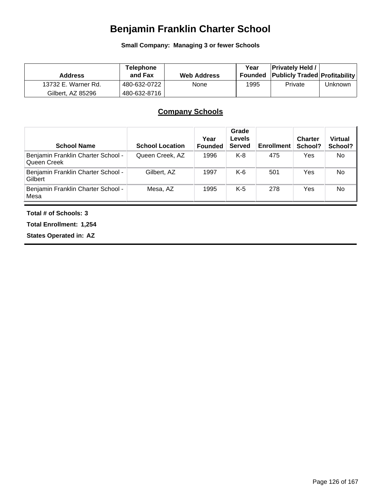# **Benjamin Franklin Charter School**

**Small Company: Managing 3 or fewer Schools**

| <b>Address</b>      | <b>Telephone</b><br>and Fax | <b>Web Address</b> | Year<br>Founded | <b>Privately Held /</b><br><b>Publicly Traded Profitability</b> |         |
|---------------------|-----------------------------|--------------------|-----------------|-----------------------------------------------------------------|---------|
| 13732 E. Warner Rd. | 480-632-0722                | None               | 1995            | Private                                                         | Unknown |
| Gilbert. AZ 85296   | 480-632-8716                |                    |                 |                                                                 |         |

## **Company Schools**

| <b>School Name</b>                                | <b>School Location</b> | Year<br><b>Founded</b> | Grade<br>Levels<br><b>Served</b> | <b>Enrollment</b> | <b>Charter</b><br>School? | <b>Virtual</b><br>School? |
|---------------------------------------------------|------------------------|------------------------|----------------------------------|-------------------|---------------------------|---------------------------|
| Benjamin Franklin Charter School -<br>Queen Creek | Queen Creek, AZ        | 1996                   | K-8                              | 475               | Yes                       | No.                       |
| Benjamin Franklin Charter School -<br>Gilbert     | Gilbert, AZ            | 1997                   | K-6                              | 501               | Yes                       | No                        |
| Benjamin Franklin Charter School -<br>Mesa        | Mesa, AZ               | 1995                   | $K-5$                            | 278               | Yes                       | No                        |

#### **Total # of Schools: 3**

**Total Enrollment: 1,254**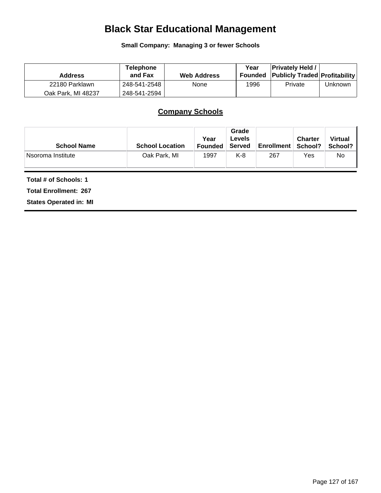# **Black Star Educational Management**

**Small Company: Managing 3 or fewer Schools**

| <b>Address</b>     | <b>Telephone</b><br>and Fax | <b>Web Address</b> | Year | <b>Privately Held /</b><br><b>Founded Publicly Traded Profitability</b> |         |
|--------------------|-----------------------------|--------------------|------|-------------------------------------------------------------------------|---------|
| 22180 Parklawn     | 248-541-2548                | None               | 1996 | Private                                                                 | Unknown |
| Oak Park, MI 48237 | 248-541-2594                |                    |      |                                                                         |         |

## **Company Schools**

| <b>School Name</b> | <b>School Location</b> | Year<br><b>Founded</b> | Grade<br><b>Levels</b><br>Served | <b>Enrollment</b> | <b>Charter</b><br>School? | <b>Virtual</b><br>School? |
|--------------------|------------------------|------------------------|----------------------------------|-------------------|---------------------------|---------------------------|
| ⊦Nsoroma Institute | Oak Park, MI           | 1997                   | K-8                              | 267               | Yes                       | No                        |

**Total # of Schools: 1**

**Total Enrollment: 267**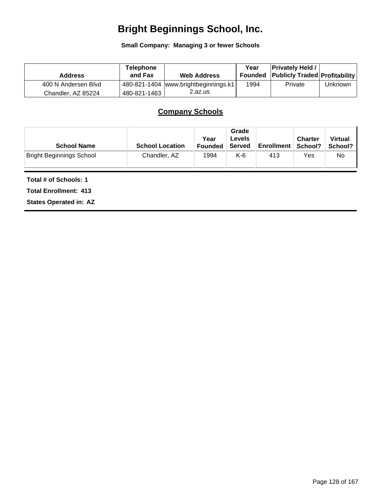# **Bright Beginnings School, Inc.**

**Small Company: Managing 3 or fewer Schools**

| <b>Address</b>      | <b>Telephone</b><br>and Fax | <b>Web Address</b>                   | Year | <b>Privately Held /</b><br>Founded Publicly Traded Profitability |         |
|---------------------|-----------------------------|--------------------------------------|------|------------------------------------------------------------------|---------|
| 400 N Andersen Blvd |                             | 480-821-1404 www.brightbeginnings.k1 | 1994 | Private                                                          | Unknown |
| Chandler, AZ 85224  | 480-821-1463                | 2.az.us                              |      |                                                                  |         |

## **Company Schools**

| <b>School Name</b>              | <b>School Location</b> | Year<br><b>Founded</b> | Grade<br>Levels<br>Served | <b>Enrollment</b> | <b>Charter</b><br>School? | <b>Virtual</b><br>School? I |
|---------------------------------|------------------------|------------------------|---------------------------|-------------------|---------------------------|-----------------------------|
| <b>Bright Beginnings School</b> | Chandler, AZ           | 1994                   | K-6                       | 413               | Yes                       | No                          |

**Total # of Schools: 1**

**Total Enrollment: 413**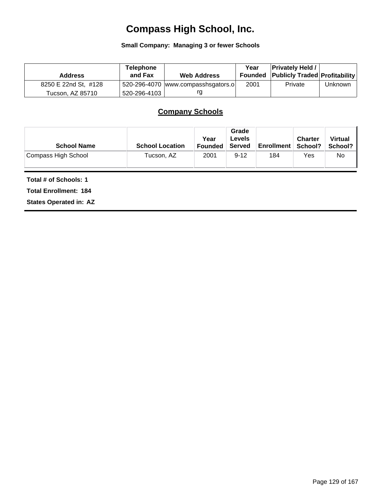# **Compass High School, Inc.**

**Small Company: Managing 3 or fewer Schools**

| <b>Address</b>       | <b>Telephone</b><br>and Fax | <b>Web Address</b>                    | Year | <b>Privately Held /</b><br><b>Founded Publicly Traded Profitability</b> |         |
|----------------------|-----------------------------|---------------------------------------|------|-------------------------------------------------------------------------|---------|
| 8250 E 22nd St, #128 |                             | $520-296-4070$ www.compasshsgators.ol | 2001 | Private                                                                 | Unknown |
| Tucson, AZ 85710     | 520-296-4103丨               | ra                                    |      |                                                                         |         |

## **Company Schools**

| <b>School Name</b>  | <b>School Location</b> | Year<br><b>Founded</b> | Grade<br>Levels<br>Served | <b>Enrollment</b> | <b>Charter</b><br>School? | <b>Virtual</b><br>School? I |
|---------------------|------------------------|------------------------|---------------------------|-------------------|---------------------------|-----------------------------|
| Compass High School | Tucson, AZ             | 2001                   | $9 - 12$                  | 184               | Yes                       | No                          |

**Total # of Schools: 1**

**Total Enrollment: 184**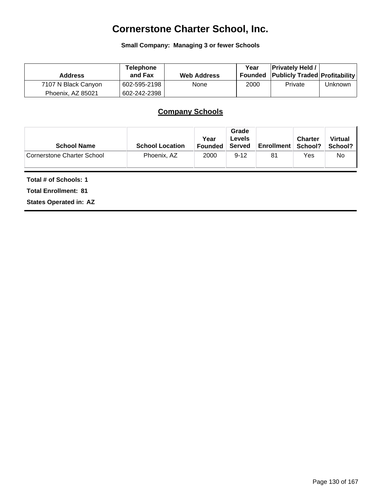# **Cornerstone Charter School, Inc.**

**Small Company: Managing 3 or fewer Schools**

| <b>Address</b>      | Telephone<br>and Fax | <b>Web Address</b> | Year | <b>Privately Held /</b><br>Founded Publicly Traded Profitability |         |
|---------------------|----------------------|--------------------|------|------------------------------------------------------------------|---------|
| 7107 N Black Canyon | 602-595-2198         | <b>None</b>        | 2000 | Private                                                          | Unknown |
| Phoenix, AZ 85021   | 602-242-2398         |                    |      |                                                                  |         |

## **Company Schools**

| <b>School Name</b>         | <b>School Location</b> | Year<br><b>Founded</b> | Grade<br><b>Levels</b><br>Served | <b>Enrollment</b> | <b>Charter</b><br>School? | <b>Virtual</b><br>School? I |
|----------------------------|------------------------|------------------------|----------------------------------|-------------------|---------------------------|-----------------------------|
| Cornerstone Charter School | Phoenix, AZ            | 2000                   | $9 - 12$                         | 81                | Yes                       | No.                         |

**Total # of Schools: 1**

**Total Enrollment: 81**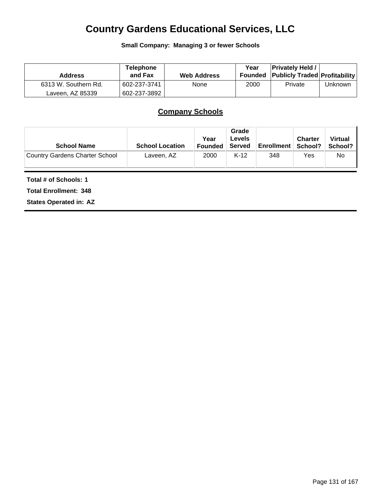## **Country Gardens Educational Services, LLC**

**Small Company: Managing 3 or fewer Schools**

| <b>Address</b>       | <b>Telephone</b><br>and Fax | <b>Web Address</b> | Year<br>Founded | <b>Privately Held /</b><br><b>Publicly Traded Profitability</b> |         |
|----------------------|-----------------------------|--------------------|-----------------|-----------------------------------------------------------------|---------|
| 6313 W. Southern Rd. | 602-237-3741                | None               | 2000            | Private                                                         | Unknown |
| Laveen, AZ 85339     | 602-237-3892                |                    |                 |                                                                 |         |

## **Company Schools**

| <b>School Name</b>             | <b>School Location</b> | Year<br><b>Founded</b> | Grade<br><b>Levels</b><br>Served | <b>Enrollment</b> | <b>Charter</b><br>School? | <b>Virtual</b><br>School? |
|--------------------------------|------------------------|------------------------|----------------------------------|-------------------|---------------------------|---------------------------|
| Country Gardens Charter School | Laveen, AZ             | 2000                   | $K-12$                           | 348               | Yes                       | No                        |

**Total # of Schools: 1**

**Total Enrollment: 348**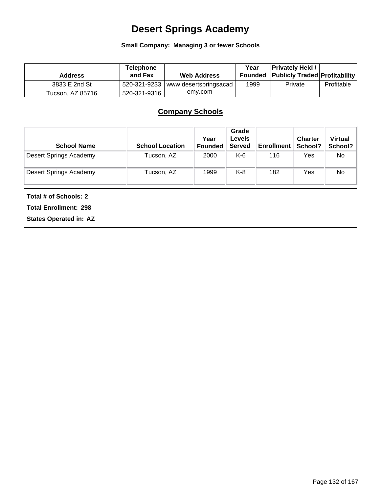# **Desert Springs Academy**

#### **Small Company: Managing 3 or fewer Schools**

| <b>Address</b>   | <b>Telephone</b><br>and Fax | <b>Web Address</b>                   | Year | <b>Privately Held /</b><br><b>Founded Publicly Traded Profitability</b> |            |
|------------------|-----------------------------|--------------------------------------|------|-------------------------------------------------------------------------|------------|
| 3833 E 2nd St    |                             | 520-321-9233   www.desertspringsacad | 1999 | Private                                                                 | Profitable |
| Tucson, AZ 85716 | 520-321-9316                | emy.com                              |      |                                                                         |            |

## **Company Schools**

| <b>School Name</b>     | <b>School Location</b> | Year<br><b>Founded</b> | Grade<br><b>Levels</b><br><b>Served</b> | <b>Enrollment</b> | <b>Charter</b><br>School? | <b>Virtual</b><br>School? |
|------------------------|------------------------|------------------------|-----------------------------------------|-------------------|---------------------------|---------------------------|
| Desert Springs Academy | Tucson, AZ             | 2000                   | K-6                                     | 116               | Yes                       | No                        |
| Desert Springs Academy | Tucson, AZ             | 1999                   | K-8                                     | 182               | Yes                       | No                        |

**Total # of Schools: 2**

**Total Enrollment: 298**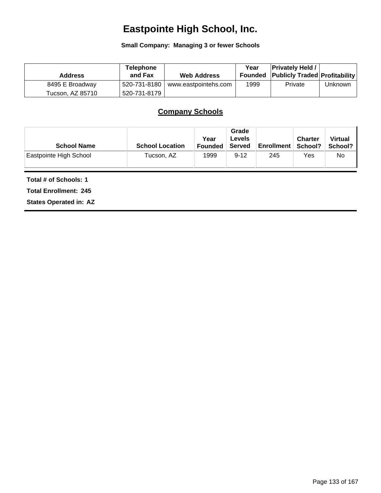# **Eastpointe High School, Inc.**

**Small Company: Managing 3 or fewer Schools**

| <b>Address</b>   | <b>Telephone</b><br>and Fax | <b>Web Address</b>   | Year | <b>Privately Held</b><br><b>Founded Publicly Traded Profitability</b> |         |
|------------------|-----------------------------|----------------------|------|-----------------------------------------------------------------------|---------|
| 8495 E Broadway  | 520-731-8180                | www.eastpointehs.com | 1999 | Private                                                               | Unknown |
| Tucson, AZ 85710 | 520-731-8179                |                      |      |                                                                       |         |

## **Company Schools**

| <b>School Name</b>     | <b>School Location</b> | Year<br><b>Founded</b> | Grade<br>Levels<br>Served | <b>Enrollment</b> | <b>Charter</b><br>School? | <b>Virtual</b><br>School? I |
|------------------------|------------------------|------------------------|---------------------------|-------------------|---------------------------|-----------------------------|
| Eastpointe High School | Tucson, AZ             | 1999                   | $9 - 12$                  | 245               | Yes                       | No                          |

**Total # of Schools: 1**

**Total Enrollment: 245**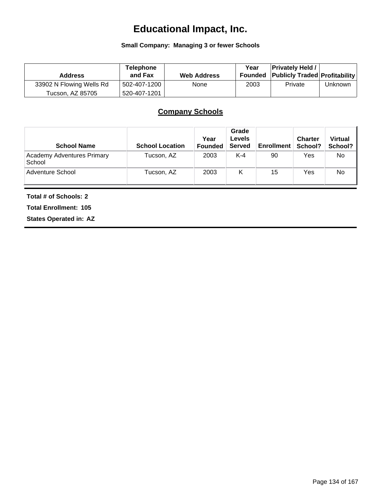# **Educational Impact, Inc.**

#### **Small Company: Managing 3 or fewer Schools**

| <b>Address</b>           | <b>Telephone</b><br>and Fax | <b>Web Address</b> | Year | <b>Privately Held /</b><br><b>Founded Publicly Traded Profitability</b> |         |
|--------------------------|-----------------------------|--------------------|------|-------------------------------------------------------------------------|---------|
| 33902 N Flowing Wells Rd | 502-407-1200                | None               | 2003 | Private                                                                 | Unknown |
| Tucson, AZ 85705         | 520-407-1201                |                    |      |                                                                         |         |

## **Company Schools**

| <b>School Name</b>                          | <b>School Location</b> | Year<br><b>Founded</b> | Grade<br><b>Levels</b><br><b>Served</b> | <b>Enrollment</b> | <b>Charter</b><br>School? | <b>Virtual</b><br>School? |
|---------------------------------------------|------------------------|------------------------|-----------------------------------------|-------------------|---------------------------|---------------------------|
| <b>Academy Adventures Primary</b><br>School | Tucson, AZ             | 2003                   | $K-4$                                   | 90                | Yes                       | No                        |
| Adventure School                            | Tucson, AZ             | 2003                   | к                                       | 15                | Yes                       | No                        |

**Total # of Schools: 2**

**Total Enrollment: 105**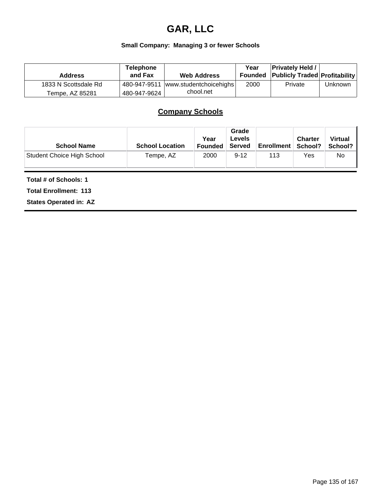## **GAR, LLC**

#### **Small Company: Managing 3 or fewer Schools**

| <b>Address</b>       | <b>Telephone</b><br>and Fax | <b>Web Address</b>     | Year | <b>Privately Held /</b><br><b>Founded Publicly Traded Profitability</b> |         |
|----------------------|-----------------------------|------------------------|------|-------------------------------------------------------------------------|---------|
| 1833 N Scottsdale Rd | 480-947-9511                | www.studentchoicehighs | 2000 | Private                                                                 | Unknown |
| Tempe, AZ 85281      | 480-947-9624                | chool.net              |      |                                                                         |         |

## **Company Schools**

| <b>School Name</b>                | <b>School Location</b> | Year<br><b>Founded</b> | Grade<br><b>Levels</b><br>Served | <b>Enrollment</b> | <b>Charter</b><br>School? | <b>Virtual</b><br>School? |
|-----------------------------------|------------------------|------------------------|----------------------------------|-------------------|---------------------------|---------------------------|
| <b>Student Choice High School</b> | Tempe, AZ              | 2000                   | $9 - 12$                         | 113               | Yes                       | No                        |

#### **Total # of Schools: 1**

**Total Enrollment: 113**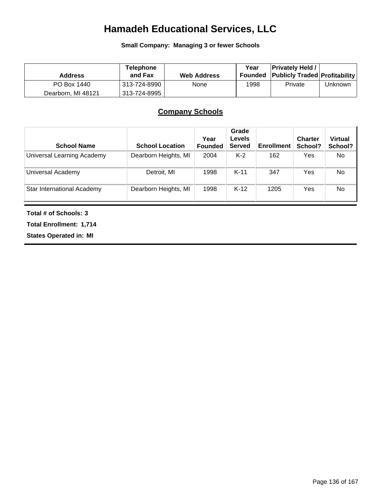# **Hamadeh Educational Services, LLC**

**Small Company: Managing 3 or fewer Schools**

| <b>Address</b>     | <b>Telephone</b><br>and Fax | <b>Web Address</b> | Year | <b>Privately Held /</b><br>Founded Publicly Traded Profitability |         |
|--------------------|-----------------------------|--------------------|------|------------------------------------------------------------------|---------|
| PO Box 1440        | 313-724-8990                | None               | 1998 | Private                                                          | Unknown |
| Dearborn, MI 48121 | 313-724-8995                |                    |      |                                                                  |         |

### **Company Schools**

| <b>School Name</b>                | <b>School Location</b> | Year<br><b>Founded</b> | Grade<br><b>Levels</b><br><b>Served</b> | <b>Enrollment</b> | <b>Charter</b><br>School? | <b>Virtual</b><br>School? |
|-----------------------------------|------------------------|------------------------|-----------------------------------------|-------------------|---------------------------|---------------------------|
| Universal Learning Academy        | Dearborn Heights, MI   | 2004                   | $K-2$                                   | 162               | Yes                       | No.                       |
| Universal Academy                 | Detroit, MI            | 1998                   | $K-11$                                  | 347               | Yes                       | No                        |
| <b>Star International Academy</b> | Dearborn Heights, MI   | 1998                   | $K-12$                                  | 1205              | Yes                       | No                        |

**Total # of Schools: 3**

**Total Enrollment: 1,714**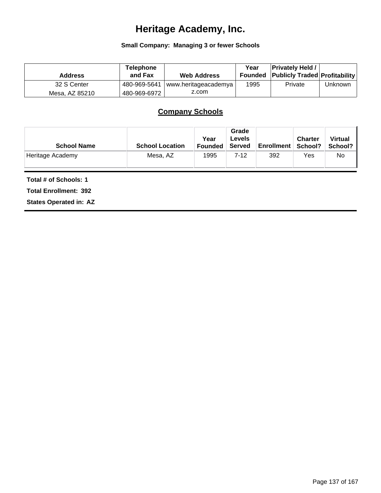# **Heritage Academy, Inc.**

#### **Small Company: Managing 3 or fewer Schools**

| <b>Address</b> | <b>Telephone</b><br>and Fax | <b>Web Address</b>   | Year<br>Founded | <b>Privately Held /</b><br><b>Publicly Traded Profitability</b> |         |
|----------------|-----------------------------|----------------------|-----------------|-----------------------------------------------------------------|---------|
| 32 S Center    | 480-969-5641                | www.heritageacademya | 1995            | Private                                                         | Unknown |
| Mesa, AZ 85210 | 480-969-6972                | z.com                |                 |                                                                 |         |

## **Company Schools**

| <b>School Name</b> | <b>School Location</b> | Year<br><b>Founded</b> | Grade<br><b>Levels</b><br>Served | <b>Enrollment</b> | <b>Charter</b><br>∣ School? | <b>Virtual</b><br>School? |
|--------------------|------------------------|------------------------|----------------------------------|-------------------|-----------------------------|---------------------------|
| Heritage Academy   | Mesa, AZ               | 1995                   | 7-12                             | 392               | Yes                         | No                        |

**Total # of Schools: 1**

**Total Enrollment: 392**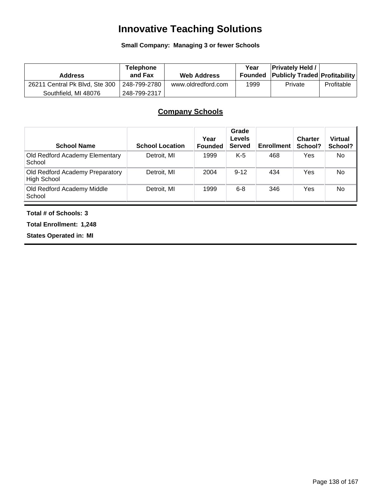# **Innovative Teaching Solutions**

#### **Small Company: Managing 3 or fewer Schools**

| <b>Address</b>                 | <b>Telephone</b><br>and Fax | <b>Web Address</b> | Year<br>Founded | <b>Privately Held /</b><br><b>Publicly Traded Profitability</b> |            |
|--------------------------------|-----------------------------|--------------------|-----------------|-----------------------------------------------------------------|------------|
| 26211 Central Pk Blvd, Ste 300 | 248-799-2780                | www.oldredford.com | 1999            | Private                                                         | Profitable |
| Southfield, MI 48076           | 248-799-2317                |                    |                 |                                                                 |            |

## **Company Schools**

| <b>School Name</b>                                    | <b>School Location</b> | Year<br><b>Founded</b> | Grade<br>Levels<br><b>Served</b> | <b>Enrollment</b> | <b>Charter</b><br>School? | <b>Virtual</b><br>School? |
|-------------------------------------------------------|------------------------|------------------------|----------------------------------|-------------------|---------------------------|---------------------------|
| Old Redford Academy Elementary<br>School              | Detroit, MI            | 1999                   | $K-5$                            | 468               | Yes                       | No                        |
| Old Redford Academy Preparatory<br><b>High School</b> | Detroit, MI            | 2004                   | $9 - 12$                         | 434               | Yes                       | No                        |
| Old Redford Academy Middle<br>School                  | Detroit, MI            | 1999                   | $6 - 8$                          | 346               | Yes                       | <b>No</b>                 |

#### **Total # of Schools: 3**

**Total Enrollment: 1,248**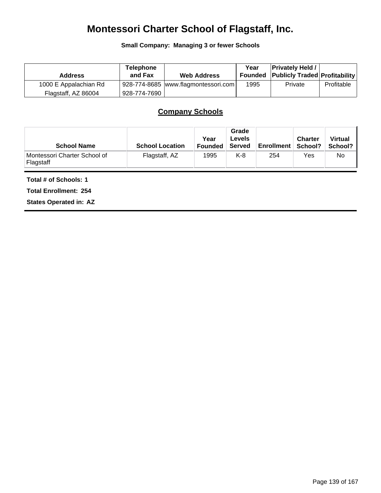# **Montessori Charter School of Flagstaff, Inc.**

**Small Company: Managing 3 or fewer Schools**

| <b>Address</b>        | Telephone<br>and Fax | <b>Web Address</b>                  | Year | <b>Privately Held /</b><br>Founded Publicly Traded Profitability |            |
|-----------------------|----------------------|-------------------------------------|------|------------------------------------------------------------------|------------|
| 1000 E Appalachian Rd |                      | 928-774-8685 www.flagmontessori.com | 1995 | Private                                                          | Profitable |
| Flagstaff, AZ 86004   | 928-774-7690丨        |                                     |      |                                                                  |            |

## **Company Schools**

| <b>School Name</b>                        | <b>School Location</b> | Year<br><b>Founded</b> | Grade<br><b>Levels</b><br><b>Served</b> | <b>Enrollment</b> | <b>Charter</b><br>∣ School? | <b>Virtual</b><br>School? |
|-------------------------------------------|------------------------|------------------------|-----------------------------------------|-------------------|-----------------------------|---------------------------|
| Montessori Charter School of<br>Flagstaff | Flagstaff, AZ          | 1995                   | K-8                                     | 254               | Yes                         | No                        |

#### **Total # of Schools: 1**

**Total Enrollment: 254**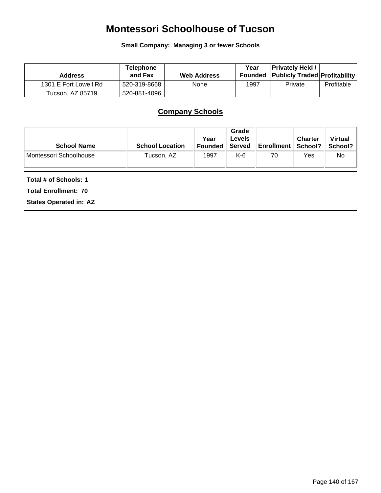## **Montessori Schoolhouse of Tucson**

**Small Company: Managing 3 or fewer Schools**

| <b>Address</b>        | Telephone<br>and Fax | <b>Web Address</b> | Year | <b>Privately Held /</b><br><b>Founded Publicly Traded Profitability</b> |            |
|-----------------------|----------------------|--------------------|------|-------------------------------------------------------------------------|------------|
| 1301 E Fort Lowell Rd | 520-319-8668         | <b>None</b>        | 1997 | Private                                                                 | Profitable |
| Tucson. AZ 85719      | 520-881-4096         |                    |      |                                                                         |            |

## **Company Schools**

| <b>School Name</b>     | <b>School Location</b> | Year<br>⊦Founded | Grade<br>Levels<br>Served | <b>Enrollment</b> | <b>Charter</b><br>School? | <b>Virtual</b><br>School? I |
|------------------------|------------------------|------------------|---------------------------|-------------------|---------------------------|-----------------------------|
| Montessori Schoolhouse | Tucson, AZ             | 1997             | K-6                       | 70                | Yes                       | No                          |

**Total # of Schools: 1**

**Total Enrollment: 70**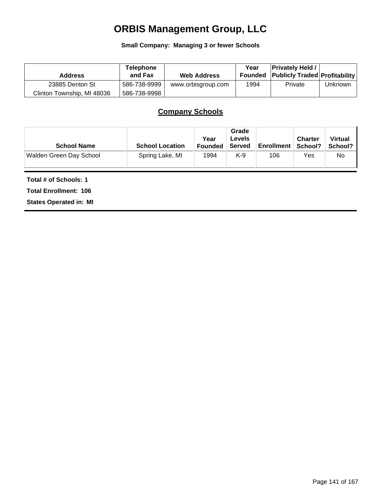# **ORBIS Management Group, LLC**

**Small Company: Managing 3 or fewer Schools**

| <b>Address</b>             | <b>Telephone</b><br>and Fax | <b>Web Address</b> | Year<br>Founded | <b>Privately Held /</b><br><b>Publicly Traded Profitability</b> |         |
|----------------------------|-----------------------------|--------------------|-----------------|-----------------------------------------------------------------|---------|
| 23885 Denton St            | 586-738-9999                | www.orbisgroup.com | 1994            | Private                                                         | Unknown |
| Clinton Township, MI 48036 | 586-738-9998                |                    |                 |                                                                 |         |

## **Company Schools**

| <b>School Name</b>      | <b>School Location</b> | Year<br>Founded | Grade<br>Levels<br>Served | <b>Enrollment</b> | <b>Charter</b><br>School? | <b>Virtual</b><br>School? I |
|-------------------------|------------------------|-----------------|---------------------------|-------------------|---------------------------|-----------------------------|
| Walden Green Day School | Spring Lake, MI        | 1994            | $K-9$                     | 106               | Yes                       | No                          |

**Total # of Schools: 1**

**Total Enrollment: 106**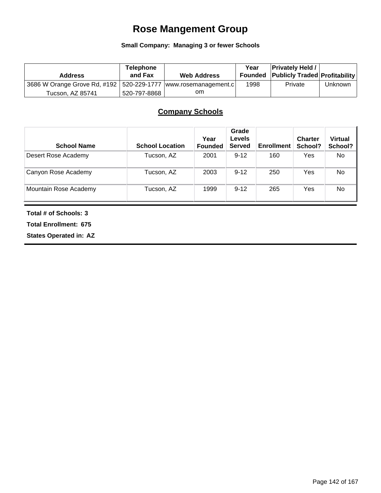## **Rose Mangement Group**

#### **Small Company: Managing 3 or fewer Schools**

| <b>Address</b>                                                     | <b>Telephone</b><br>and Fax | <b>Web Address</b> | Year | <b>Privately Held /</b><br><b>Founded Publicly Traded Profitability</b> |         |
|--------------------------------------------------------------------|-----------------------------|--------------------|------|-------------------------------------------------------------------------|---------|
| 3686 W Orange Grove Rd, #192   520-229-1777   www.rosemanagement.c |                             |                    | 1998 | Private                                                                 | Unknown |
| Tucson, AZ 85741                                                   | 520-797-8868                | om                 |      |                                                                         |         |

## **Company Schools**

| <b>School Name</b>    | <b>School Location</b> | Year<br><b>Founded</b> | Grade<br><b>Levels</b><br><b>Served</b> | <b>Enrollment</b> | <b>Charter</b><br>School? | <b>Virtual</b><br>School? |
|-----------------------|------------------------|------------------------|-----------------------------------------|-------------------|---------------------------|---------------------------|
| Desert Rose Academy   | Tucson, AZ             | 2001                   | $9 - 12$                                | 160               | Yes                       | No                        |
| Canyon Rose Academy   | Tucson, AZ             | 2003                   | $9 - 12$                                | 250               | Yes                       | No                        |
| Mountain Rose Academy | Tucson, AZ             | 1999                   | $9 - 12$                                | 265               | Yes                       | No                        |

**Total # of Schools: 3**

**Total Enrollment: 675**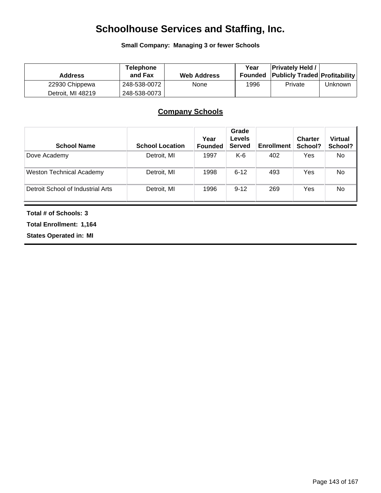# **Schoolhouse Services and Staffing, Inc.**

**Small Company: Managing 3 or fewer Schools**

| <b>Address</b>    | <b>Telephone</b><br>and Fax | <b>Web Address</b> | Year<br>Founded | <b>Privately Held /</b><br><b>Publicly Traded Profitability</b> |         |
|-------------------|-----------------------------|--------------------|-----------------|-----------------------------------------------------------------|---------|
| 22930 Chippewa    | 248-538-0072                | None               | 1996            | Private                                                         | Unknown |
| Detroit. MI 48219 | 248-538-0073                |                    |                 |                                                                 |         |

## **Company Schools**

| <b>School Name</b>                | <b>School Location</b> | Year<br><b>Founded</b> | Grade<br><b>Levels</b><br><b>Served</b> | <b>Enrollment</b> | <b>Charter</b><br>School? | <b>Virtual</b><br>School? |
|-----------------------------------|------------------------|------------------------|-----------------------------------------|-------------------|---------------------------|---------------------------|
| Dove Academy                      | Detroit, MI            | 1997                   | K-6                                     | 402               | Yes                       | No.                       |
| <b>Weston Technical Academy</b>   | Detroit, MI            | 1998                   | $6 - 12$                                | 493               | Yes                       | No                        |
| Detroit School of Industrial Arts | Detroit, MI            | 1996                   | $9 - 12$                                | 269               | Yes                       | No                        |

**Total # of Schools: 3**

**Total Enrollment: 1,164**

**States Operated in: MI**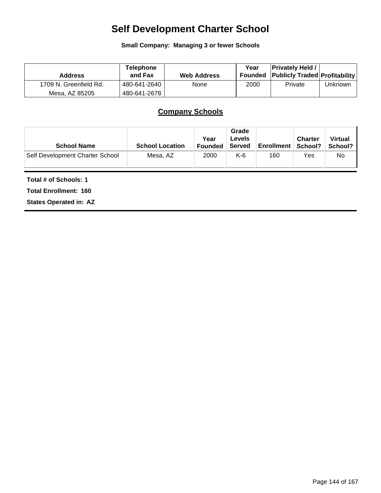# **Self Development Charter School**

**Small Company: Managing 3 or fewer Schools**

| <b>Address</b>         | Telephone<br>and Fax | <b>Web Address</b> | Year | <b>Privately Held /</b><br>Founded Publicly Traded Profitability |         |
|------------------------|----------------------|--------------------|------|------------------------------------------------------------------|---------|
| 1709 N. Greenfield Rd. | 480-641-2640         | None               | 2000 | Private                                                          | Unknown |
| Mesa. AZ 85205         | 480-641-2678丨        |                    |      |                                                                  |         |

# **Company Schools**

| <b>School Name</b>              | <b>School Location</b> | Year<br><b>Founded</b> | Grade<br>Levels<br><b>Served</b> | <b>Enrollment</b> | <b>Charter</b><br>School? | <b>Virtual</b><br>School? I |
|---------------------------------|------------------------|------------------------|----------------------------------|-------------------|---------------------------|-----------------------------|
| Self Development Charter School | Mesa, AZ               | 2000                   | K-6                              | 160               | Yes                       | No                          |

**Total # of Schools: 1**

**Total Enrollment: 160**

**States Operated in: AZ**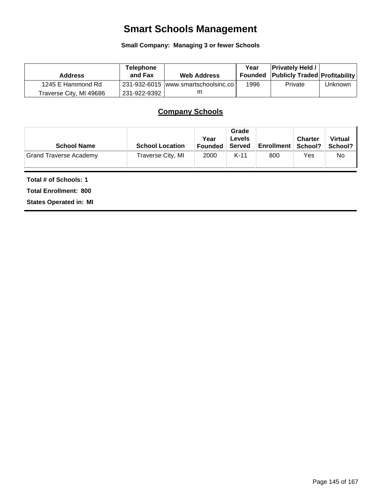# **Smart Schools Management**

## **Small Company: Managing 3 or fewer Schools**

| <b>Address</b>          | <b>Telephone</b><br>and Fax | <b>Web Address</b>                  | Year | <b>Privately Held /</b><br>Founded Publicly Traded Profitability |         |
|-------------------------|-----------------------------|-------------------------------------|------|------------------------------------------------------------------|---------|
| 1245 E Hammond Rd       |                             | 231-932-6015 www.smartschoolsinc.co | 1996 | Private                                                          | Unknown |
| Traverse City, MI 49686 | 231-922-9392                |                                     |      |                                                                  |         |

# **Company Schools**

| <b>School Name</b>            | <b>School Location</b> | Year<br><b>Founded</b> | Grade<br>Levels<br>Served | <b>Enrollment</b> | <b>Charter</b><br>School? | <b>Virtual</b><br>School? I |
|-------------------------------|------------------------|------------------------|---------------------------|-------------------|---------------------------|-----------------------------|
| <b>Grand Traverse Academy</b> | Traverse City, MI      | 2000                   | $K-11$                    | 800               | Yes                       | No.                         |

### **Total # of Schools: 1**

**Total Enrollment: 800**

**States Operated in: MI**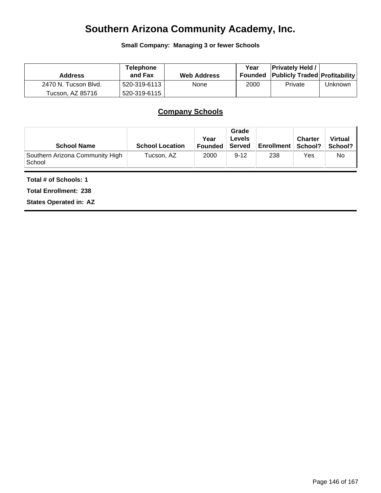# **Southern Arizona Community Academy, Inc.**

**Small Company: Managing 3 or fewer Schools**

| <b>Address</b>       | Telephone<br>and Fax | <b>Web Address</b> | Year | <b>Privately Held /</b><br><b>Founded Publicly Traded Profitability</b> |         |
|----------------------|----------------------|--------------------|------|-------------------------------------------------------------------------|---------|
| 2470 N. Tucson Blvd. | 520-319-6113         | None               | 2000 | Private                                                                 | Unknown |
| Tucson, AZ 85716     | 520-319-6115         |                    |      |                                                                         |         |

# **Company Schools**

| <b>School Name</b>                        | <b>School Location</b> | Year<br><b>Founded</b> | Grade<br><b>Levels</b><br>Served | Enrollment   School? | <b>Charter</b> | <b>Virtual</b><br>School? |
|-------------------------------------------|------------------------|------------------------|----------------------------------|----------------------|----------------|---------------------------|
| Southern Arizona Community High<br>School | Tucson, AZ             | 2000                   | $9 - 12$                         | 238                  | Yes            | No                        |

### **Total # of Schools: 1**

**Total Enrollment: 238**

**States Operated in: AZ**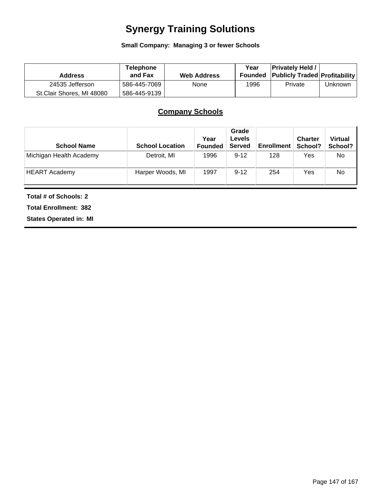# **Synergy Training Solutions**

**Small Company: Managing 3 or fewer Schools**

| <b>Address</b>            | <b>Telephone</b><br>and Fax | <b>Web Address</b> | Year<br>Founded | <b>Privately Held</b><br><b>Publicly Traded Profitability</b> |         |
|---------------------------|-----------------------------|--------------------|-----------------|---------------------------------------------------------------|---------|
| 24535 Jefferson           | 586-445-7069                | None               | 1996            | Private                                                       | Unknown |
| St.Clair Shores, MI 48080 | 586-445-9139                |                    |                 |                                                               |         |

# **Company Schools**

| <b>School Name</b>      | <b>School Location</b> | Year<br>Founded | Grade<br><b>Levels</b><br><b>Served</b> | <b>Enrollment</b> | <b>Charter</b><br>School? | <b>Virtual</b><br>School? |
|-------------------------|------------------------|-----------------|-----------------------------------------|-------------------|---------------------------|---------------------------|
| Michigan Health Academy | Detroit, MI            | 1996            | $9 - 12$                                | 128               | Yes                       | No                        |
| <b>HEART Academy</b>    | Harper Woods, MI       | 1997            | $9 - 12$                                | 254               | Yes                       | No                        |

**Total # of Schools: 2**

**Total Enrollment: 382**

**States Operated in: MI**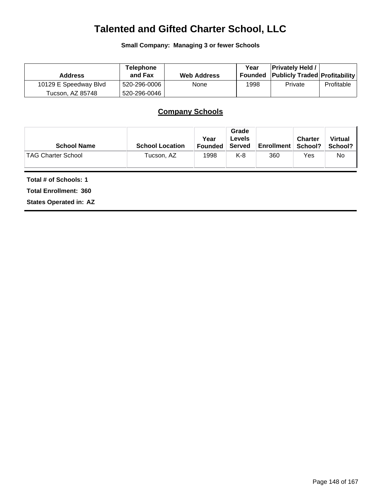# **Talented and Gifted Charter School, LLC**

**Small Company: Managing 3 or fewer Schools**

| <b>Address</b>        | <b>Telephone</b><br>and Fax | <b>Web Address</b> | Year<br>Founded | <b>Privately Held /</b><br><b>Publicly Traded Profitability</b> |            |
|-----------------------|-----------------------------|--------------------|-----------------|-----------------------------------------------------------------|------------|
| 10129 E Speedway Blvd | 520-296-0006                | None               | 1998            | Private                                                         | Profitable |
| Tucson. AZ 85748      | 520-296-0046                |                    |                 |                                                                 |            |

# **Company Schools**

| <b>School Name</b>        | <b>School Location</b> | Year<br><b>Founded</b> | Grade<br>Levels<br>Served | <b>Enrollment</b> | <b>Charter</b><br>School? | <b>Virtual</b><br>School? I |
|---------------------------|------------------------|------------------------|---------------------------|-------------------|---------------------------|-----------------------------|
| <b>TAG Charter School</b> | Tucson, AZ             | 1998                   | K-8                       | 360               | Yes                       | No                          |

**Total # of Schools: 1**

**Total Enrollment: 360**

**States Operated in: AZ**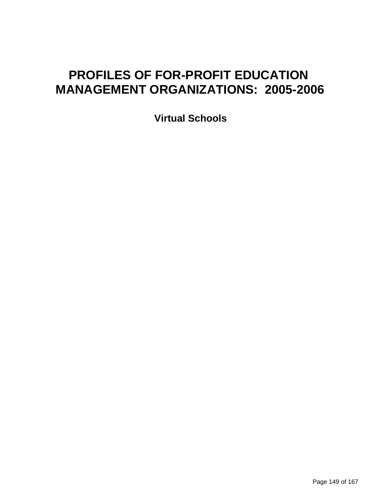# **PROFILES OF FOR-PROFIT EDUCATION MANAGEMENT ORGANIZATIONS: 2005-2006**

**Virtual Schools**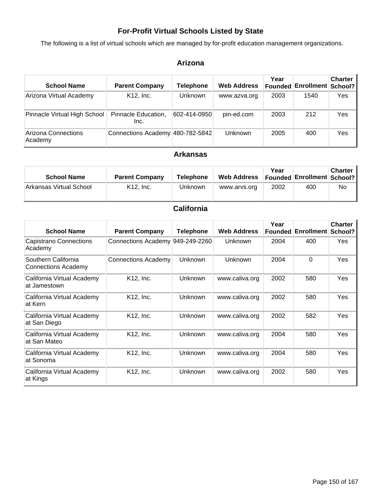## **For-Profit Virtual Schools Listed by State**

The following is a list of virtual schools which are managed by for-profit education management organizations.

## **Arizona**

| <b>School Name</b>             | <b>Parent Company</b>            | Telephone    | <b>Web Address</b> | Year<br>Founded | <b>Enrollment School?</b> | <b>Charter</b> |
|--------------------------------|----------------------------------|--------------|--------------------|-----------------|---------------------------|----------------|
| Arizona Virtual Academy        | K12, Inc.                        | Unknown      | www.azva.org       | 2003            | 1540                      | Yes            |
| Pinnacle Virtual High School   | Pinnacle Education,<br>Inc.      | 602-414-0950 | pin-ed.com         | 2003            | 212                       | Yes            |
| Arizona Connections<br>Academy | Connections Academy 480-782-5842 |              | Unknown            | 2005            | 400                       | Yes            |

## **Arkansas**

| <b>School Name</b>      | <b>Parent Company</b> | Telephone | <b>Web Address</b> | Year | Founded Enrollment   School? | <b>Charter</b> |
|-------------------------|-----------------------|-----------|--------------------|------|------------------------------|----------------|
| Arkansas Virtual School | $K12.$ Inc.           | Unknown   | www.arvs.org       | 2002 | 400                          | No             |

## **California**

| <b>School Name</b>                                | <b>Parent Company</b>            | <b>Telephone</b> | <b>Web Address</b> | Year | <b>Founded Enrollment</b> | <b>Charter</b><br>School? |
|---------------------------------------------------|----------------------------------|------------------|--------------------|------|---------------------------|---------------------------|
| Capistrano Connections<br>Academy                 | Connections Academy 949-249-2260 |                  | <b>Unknown</b>     | 2004 | 400                       | Yes                       |
| Southern California<br><b>Connections Academy</b> | <b>Connections Academy</b>       | <b>Unknown</b>   | Unknown            | 2004 | 0                         | Yes                       |
| California Virtual Academy<br>at Jamestown        | K12, Inc.                        | <b>Unknown</b>   | www.caliva.org     | 2002 | 580                       | Yes                       |
| California Virtual Academy<br>at Kern             | K12, Inc.                        | <b>Unknown</b>   | www.caliva.org     | 2002 | 580                       | Yes                       |
| California Virtual Academy<br>at San Diego        | K12, Inc.                        | <b>Unknown</b>   | www.caliva.org     | 2002 | 582                       | Yes                       |
| California Virtual Academy<br>at San Mateo        | K12, Inc.                        | Unknown          | www.caliva.org     | 2004 | 580                       | Yes                       |
| California Virtual Academy<br>at Sonoma           | K12, Inc.                        | <b>Unknown</b>   | www.caliva.org     | 2004 | 580                       | Yes                       |
| California Virtual Academy<br>at Kings            | K12, Inc.                        | <b>Unknown</b>   | www.caliva.org     | 2002 | 580                       | Yes                       |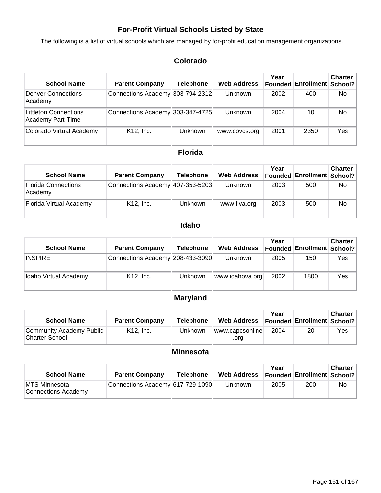## **For-Profit Virtual Schools Listed by State**

The following is a list of virtual schools which are managed by for-profit education management organizations.

## **Colorado**

| <b>School Name</b>                                | <b>Parent Company</b>            | Telephone | <b>Web Address</b> | Year<br><b>Founded</b> | <b>Enrollment School?</b> | <b>Charter</b> |
|---------------------------------------------------|----------------------------------|-----------|--------------------|------------------------|---------------------------|----------------|
| <b>Denver Connections</b><br>Academy              | Connections Academy 303-794-2312 |           | Unknown            | 2002                   | 400                       | No.            |
| <b>Littleton Connections</b><br>Academy Part-Time | Connections Academy 303-347-4725 |           | Unknown            | 2004                   | 10                        | No.            |
| Colorado Virtual Academy                          | K12, Inc.                        | Unknown   | www.covcs.org      | 2001                   | 2350                      | Yes            |

### **Florida**

| <b>School Name</b>                    | <b>Parent Company</b>            | <b>Telephone</b> | <b>Web Address</b> | Year | <b>Founded Enrollment School?</b> | <b>Charter</b> |
|---------------------------------------|----------------------------------|------------------|--------------------|------|-----------------------------------|----------------|
| <b>Florida Connections</b><br>Academy | Connections Academy 407-353-5203 |                  | <b>Unknown</b>     | 2003 | 500                               | No             |
| Florida Virtual Academy               | $K12$ , Inc.                     | <b>Unknown</b>   | www.flva.org       | 2003 | 500                               | No             |

### **Idaho**

| <b>School Name</b>    | <b>Parent Company</b>            | <b>Telephone</b> | <b>Web Address</b> | Year | <b>Founded Enrollment School?</b> | <b>Charter</b> |
|-----------------------|----------------------------------|------------------|--------------------|------|-----------------------------------|----------------|
| <b>INSPIRE</b>        | Connections Academy 208-433-3090 |                  | <b>Unknown</b>     | 2005 | 150                               | Yes            |
| Idaho Virtual Academy | $K12$ , Inc.                     | <b>Unknown</b>   | www.idahova.org    | 2002 | 1800                              | Yes            |

## **Maryland**

| <b>School Name</b>                         | <b>Parent Company</b> | <b>Telephone</b> | <b>Web Address</b>      | Year | Founded Enrollment School? | <b>Charter</b> |
|--------------------------------------------|-----------------------|------------------|-------------------------|------|----------------------------|----------------|
| Community Academy Public<br>Charter School | $K12.$ Inc.           | Unknown          | www.capcsonline<br>.ora | 2004 | 20                         | Yes            |

## **Minnesota**

| <b>School Name</b>                           | <b>Parent Company</b>            | <b>Telephone</b> | <b>Web Address</b> | Year | Founded   Enrollment   School? | Charter |
|----------------------------------------------|----------------------------------|------------------|--------------------|------|--------------------------------|---------|
| <b>IMTS Minnesota</b><br>Connections Academy | Connections Academy 617-729-1090 |                  | Unknown            | 2005 | 200                            | No      |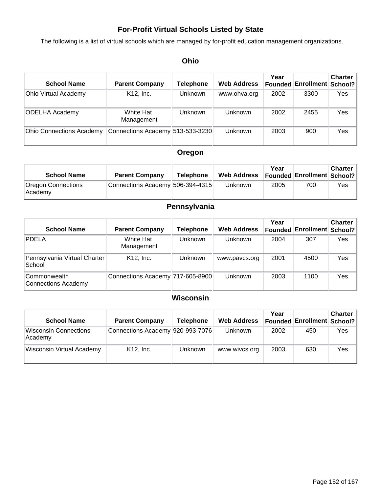## **For-Profit Virtual Schools Listed by State**

The following is a list of virtual schools which are managed by for-profit education management organizations.

## **Ohio**

| <b>School Name</b>              | <b>Parent Company</b>            | Telephone      | <b>Web Address</b> | Year<br>Founded | <b>Enrollment School?</b> | <b>Charter</b> |
|---------------------------------|----------------------------------|----------------|--------------------|-----------------|---------------------------|----------------|
| <b>Ohio Virtual Academy</b>     | K12, Inc.                        | <b>Unknown</b> | www.ohva.org       | 2002            | 3300                      | Yes            |
| <b>ODELHA Academy</b>           | White Hat<br>Management          | Unknown        | Unknown            | 2002            | 2455                      | Yes            |
| <b>Ohio Connections Academy</b> | Connections Academy 513-533-3230 |                | Unknown            | 2003            | 900                       | Yes            |

## **Oregon**

| <b>School Name</b>            | <b>Parent Company</b>            | <b>Telephone</b> | <b>Web Address</b> | Year | <b>Founded Enrollment School?</b> | <b>Charter</b> |
|-------------------------------|----------------------------------|------------------|--------------------|------|-----------------------------------|----------------|
| Oregon Connections<br>Academy | Connections Academy 506-394-4315 |                  | <b>Unknown</b>     | 2005 | 700                               | Yes            |

## **Pennsylvania**

| <b>School Name</b>                     | <b>Parent Company</b>            | Telephone      | <b>Web Address</b> | Year<br>Founded | <b>Enrollment School?</b> | <b>Charter</b> |
|----------------------------------------|----------------------------------|----------------|--------------------|-----------------|---------------------------|----------------|
| <b>PDELA</b>                           | White Hat<br>Management          | <b>Unknown</b> | Unknown            | 2004            | 307                       | Yes            |
| Pennsylvania Virtual Charter<br>School | K <sub>12</sub> . Inc.           | Unknown        | www.pavcs.org      | 2001            | 4500                      | Yes            |
| Commonwealth<br>Connections Academy    | Connections Academy 717-605-8900 |                | Unknown            | 2003            | 1100                      | Yes            |

## **Wisconsin**

| <b>School Name</b>                      | <b>Parent Company</b>            | Telephone      | <b>Web Address</b> | Year | <b>Founded Enrollment School?</b> | <b>Charter</b> |
|-----------------------------------------|----------------------------------|----------------|--------------------|------|-----------------------------------|----------------|
| <b>Wisconsin Connections</b><br>Academy | Connections Academy 920-993-7076 |                | Unknown            | 2002 | 450                               | Yes            |
| <b>Wisconsin Virtual Academy</b>        | $K12$ , Inc.                     | <b>Unknown</b> | www.wivcs.org      | 2003 | 630                               | Yes            |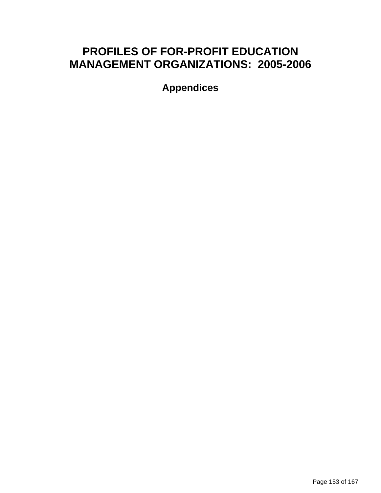# **PROFILES OF FOR-PROFIT EDUCATION MANAGEMENT ORGANIZATIONS: 2005-2006**

**Appendices**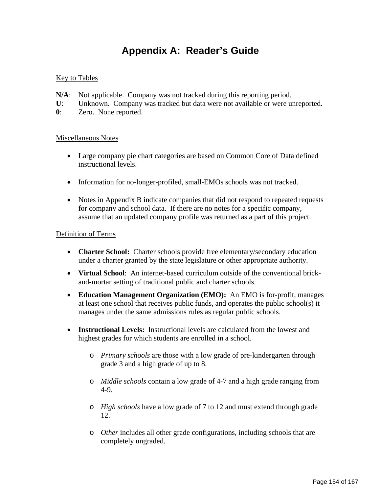# **Appendix A: Reader's Guide**

## **Key to Tables**

- **N/A**: Not applicable. Company was not tracked during this reporting period.
- **U**: Unknown. Company was tracked but data were not available or were unreported.
- **0**: Zero. None reported.

### Miscellaneous Notes

- Large company pie chart categories are based on Common Core of Data defined instructional levels.
- Information for no-longer-profiled, small-EMOs schools was not tracked.
- Notes in Appendix B indicate companies that did not respond to repeated requests for company and school data. If there are no notes for a specific company, assume that an updated company profile was returned as a part of this project.

### Definition of Terms

- **Charter School:** Charter schools provide free elementary/secondary education under a charter granted by the state legislature or other appropriate authority.
- **Virtual School**: An internet-based curriculum outside of the conventional brickand-mortar setting of traditional public and charter schools.
- **Education Management Organization (EMO):** An EMO is for-profit, manages at least one school that receives public funds, and operates the public school(s) it manages under the same admissions rules as regular public schools.
- **Instructional Levels:** Instructional levels are calculated from the lowest and highest grades for which students are enrolled in a school.
	- o *Primary schools* are those with a low grade of pre-kindergarten through grade 3 and a high grade of up to 8.
	- o *Middle schools* contain a low grade of 4-7 and a high grade ranging from 4-9.
	- o *High schools* have a low grade of 7 to 12 and must extend through grade 12.
	- o *Other* includes all other grade configurations, including schools that are completely ungraded.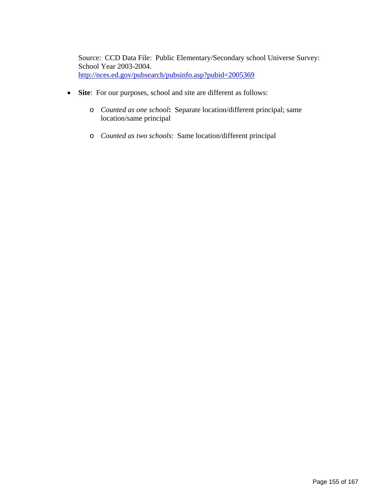Source: CCD Data File: Public Elementary/Secondary school Universe Survey: School Year 2003-2004. <http://nces.ed.gov/pubsearch/pubsinfo.asp?pubid=2005369>

- **Site**: For our purposes, school and site are different as follows:
	- o *Counted as one school***:** Separate location/different principal; same location/same principal
	- o *Counted as two schools*: Same location/different principal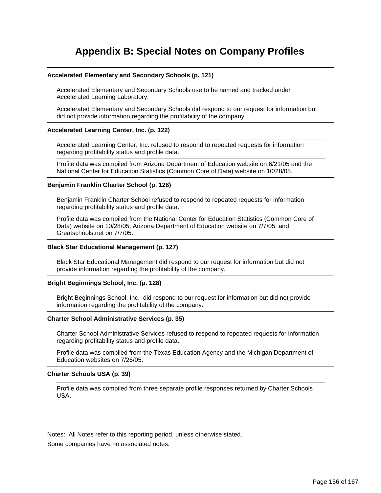# **Appendix B: Special Notes on Company Profiles**

#### **Accelerated Elementary and Secondary Schools (p. 121)**

Accelerated Elementary and Secondary Schools use to be named and tracked under Accelerated Learning Laboratory.

Accelerated Elementary and Secondary Schools did respond to our request for information but did not provide information regarding the profitability of the company.

#### **Accelerated Learning Center, Inc. (p. 122)**

Accelerated Learning Center, Inc. refused to respond to repeated requests for information regarding profitability status and profile data.

Profile data was compiled from Arizona Department of Education website on 6/21/05 and the National Center for Education Statistics (Common Core of Data) website on 10/28/05.

#### **Benjamin Franklin Charter School (p. 126)**

Benjamin Franklin Charter School refused to respond to repeated requests for information regarding profitability status and profile data.

Profile data was compiled from the National Center for Education Statistics (Common Core of Data) website on 10/28/05, Arizona Department of Education website on 7/7/05, and Greatschools.net on 7/7/05.

#### **Black Star Educational Management (p. 127)**

Black Star Educational Management did respond to our request for information but did not provide information regarding the profitability of the company.

#### **Bright Beginnings School, Inc. (p. 128)**

Bright Beginnings School, Inc. did respond to our request for information but did not provide information regarding the profitability of the company.

#### **Charter School Administrative Services (p. 35)**

Charter School Administrative Services refused to respond to repeated requests for information regarding profitability status and profile data.

Profile data was compiled from the Texas Education Agency and the Michigan Department of Education websites on 7/26/05.

#### **Charter Schools USA (p. 39)**

Profile data was compiled from three separate profile responses returned by Charter Schools USA.

Notes: All Notes refer to this reporting period, unless otherwise stated.

Some companies have no associated notes.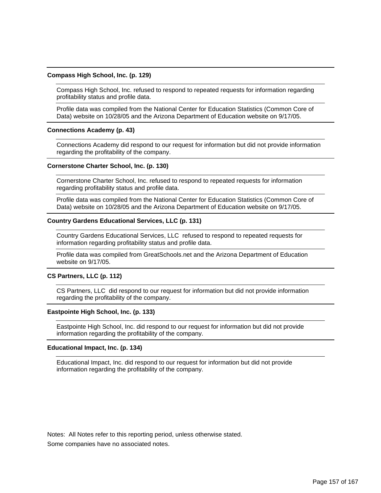#### **Compass High School, Inc. (p. 129)**

Compass High School, Inc. refused to respond to repeated requests for information regarding profitability status and profile data.

Profile data was compiled from the National Center for Education Statistics (Common Core of Data) website on 10/28/05 and the Arizona Department of Education website on 9/17/05.

#### **Connections Academy (p. 43)**

Connections Academy did respond to our request for information but did not provide information regarding the profitability of the company.

#### **Cornerstone Charter School, Inc. (p. 130)**

Cornerstone Charter School, Inc. refused to respond to repeated requests for information regarding profitability status and profile data.

Profile data was compiled from the National Center for Education Statistics (Common Core of Data) website on 10/28/05 and the Arizona Department of Education website on 9/17/05.

#### **Country Gardens Educational Services, LLC (p. 131)**

Country Gardens Educational Services, LLC refused to respond to repeated requests for information regarding profitability status and profile data.

Profile data was compiled from GreatSchools.net and the Arizona Department of Education website on 9/17/05.

#### **CS Partners, LLC (p. 112)**

CS Partners, LLC did respond to our request for information but did not provide information regarding the profitability of the company.

#### **Eastpointe High School, Inc. (p. 133)**

Eastpointe High School, Inc. did respond to our request for information but did not provide information regarding the profitability of the company.

#### **Educational Impact, Inc. (p. 134)**

Educational Impact, Inc. did respond to our request for information but did not provide information regarding the profitability of the company.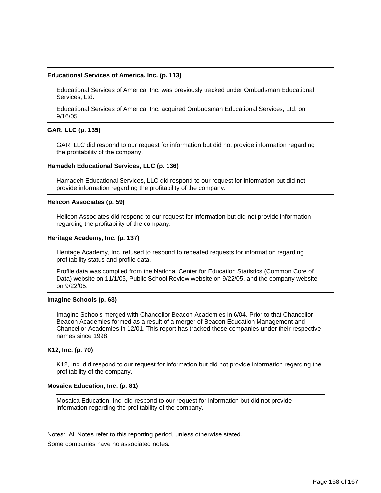#### **Educational Services of America, Inc. (p. 113)**

Educational Services of America, Inc. was previously tracked under Ombudsman Educational Services, Ltd.

Educational Services of America, Inc. acquired Ombudsman Educational Services, Ltd. on 9/16/05.

#### **GAR, LLC (p. 135)**

GAR, LLC did respond to our request for information but did not provide information regarding the profitability of the company.

#### **Hamadeh Educational Services, LLC (p. 136)**

Hamadeh Educational Services, LLC did respond to our request for information but did not provide information regarding the profitability of the company.

#### **Helicon Associates (p. 59)**

Helicon Associates did respond to our request for information but did not provide information regarding the profitability of the company.

#### **Heritage Academy, Inc. (p. 137)**

Heritage Academy, Inc. refused to respond to repeated requests for information regarding profitability status and profile data.

Profile data was compiled from the National Center for Education Statistics (Common Core of Data) website on 11/1/05, Public School Review website on 9/22/05, and the company website on 9/22/05.

#### **Imagine Schools (p. 63)**

Imagine Schools merged with Chancellor Beacon Academies in 6/04. Prior to that Chancellor Beacon Academies formed as a result of a merger of Beacon Education Management and Chancellor Academies in 12/01. This report has tracked these companies under their respective names since 1998.

#### **K12, Inc. (p. 70)**

K12, Inc. did respond to our request for information but did not provide information regarding the profitability of the company.

#### **Mosaica Education, Inc. (p. 81)**

Mosaica Education, Inc. did respond to our request for information but did not provide information regarding the profitability of the company.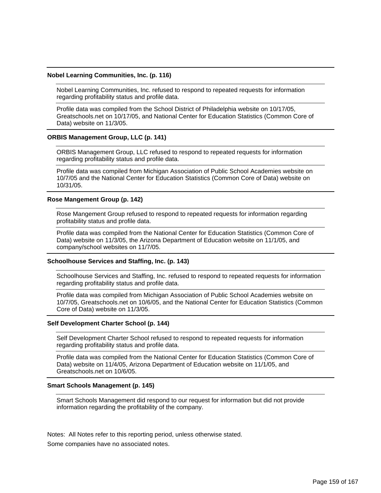#### **Nobel Learning Communities, Inc. (p. 116)**

Nobel Learning Communities, Inc. refused to respond to repeated requests for information regarding profitability status and profile data.

Profile data was compiled from the School District of Philadelphia website on 10/17/05, Greatschools.net on 10/17/05, and National Center for Education Statistics (Common Core of Data) website on 11/3/05.

#### **ORBIS Management Group, LLC (p. 141)**

ORBIS Management Group, LLC refused to respond to repeated requests for information regarding profitability status and profile data.

Profile data was compiled from Michigan Association of Public School Academies website on 10/7/05 and the National Center for Education Statistics (Common Core of Data) website on 10/31/05.

#### **Rose Mangement Group (p. 142)**

Rose Mangement Group refused to respond to repeated requests for information regarding profitability status and profile data.

Profile data was compiled from the National Center for Education Statistics (Common Core of Data) website on 11/3/05, the Arizona Department of Education website on 11/1/05, and company/school websites on 11/7/05.

#### **Schoolhouse Services and Staffing, Inc. (p. 143)**

Schoolhouse Services and Staffing, Inc. refused to respond to repeated requests for information regarding profitability status and profile data.

Profile data was compiled from Michigan Association of Public School Academies website on 10/7/05, Greatschools.net on 10/6/05, and the National Center for Education Statistics (Common Core of Data) website on 11/3/05.

#### **Self Development Charter School (p. 144)**

Self Development Charter School refused to respond to repeated requests for information regarding profitability status and profile data.

Profile data was compiled from the National Center for Education Statistics (Common Core of Data) website on 11/4/05, Arizona Department of Education website on 11/1/05, and Greatschools.net on 10/6/05.

#### **Smart Schools Management (p. 145)**

Smart Schools Management did respond to our request for information but did not provide information regarding the profitability of the company.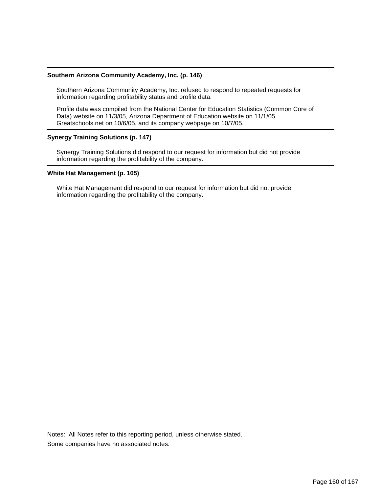#### **Southern Arizona Community Academy, Inc. (p. 146)**

Southern Arizona Community Academy, Inc. refused to respond to repeated requests for information regarding profitability status and profile data.

Profile data was compiled from the National Center for Education Statistics (Common Core of Data) website on 11/3/05, Arizona Department of Education website on 11/1/05, Greatschools.net on 10/6/05, and its company webpage on 10/7/05.

### **Synergy Training Solutions (p. 147)**

Synergy Training Solutions did respond to our request for information but did not provide information regarding the profitability of the company.

#### **White Hat Management (p. 105)**

White Hat Management did respond to our request for information but did not provide information regarding the profitability of the company.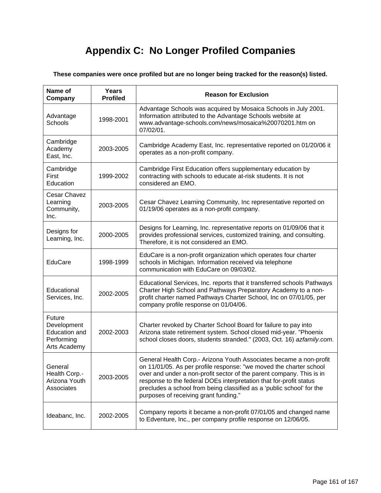# **Appendix C: No Longer Profiled Companies**

**These companies were once profiled but are no longer being tracked for the reason(s) listed.** 

| Name of<br>Company                                                                 | <b>Years</b><br><b>Profiled</b> | <b>Reason for Exclusion</b>                                                                                                                                                                                                                                                                                                                                                                              |
|------------------------------------------------------------------------------------|---------------------------------|----------------------------------------------------------------------------------------------------------------------------------------------------------------------------------------------------------------------------------------------------------------------------------------------------------------------------------------------------------------------------------------------------------|
| Advantage<br>Schools                                                               | 1998-2001                       | Advantage Schools was acquired by Mosaica Schools in July 2001.<br>Information attributed to the Advantage Schools website at<br>www.advantage-schools.com/news/mosaica%20070201.htm on<br>07/02/01.                                                                                                                                                                                                     |
| Cambridge<br>Academy<br>East, Inc.                                                 | 2003-2005                       | Cambridge Academy East, Inc. representative reported on 01/20/06 it<br>operates as a non-profit company.                                                                                                                                                                                                                                                                                                 |
| Cambridge<br>First<br>Education                                                    | 1999-2002                       | Cambridge First Education offers supplementary education by<br>contracting with schools to educate at-risk students. It is not<br>considered an EMO.                                                                                                                                                                                                                                                     |
| Cesar Chavez<br>Learning<br>Community,<br>Inc.                                     | 2003-2005                       | Cesar Chavez Learning Community, Inc representative reported on<br>01/19/06 operates as a non-profit company.                                                                                                                                                                                                                                                                                            |
| Designs for<br>Learning, Inc.                                                      | 2000-2005                       | Designs for Learning, Inc. representative reports on 01/09/06 that it<br>provides professional services, customized training, and consulting.<br>Therefore, it is not considered an EMO.                                                                                                                                                                                                                 |
| EduCare                                                                            | 1998-1999                       | EduCare is a non-profit organization which operates four charter<br>schools in Michigan. Information received via telephone<br>communication with EduCare on 09/03/02.                                                                                                                                                                                                                                   |
| Educational<br>Services, Inc.                                                      | 2002-2005                       | Educational Services, Inc. reports that it transferred schools Pathways<br>Charter High School and Pathways Preparatory Academy to a non-<br>profit charter named Pathways Charter School, Inc on 07/01/05, per<br>company profile response on 01/04/06.                                                                                                                                                 |
| <b>Future</b><br>Development<br><b>Education and</b><br>Performing<br>Arts Academy | 2002-2003                       | Charter revoked by Charter School Board for failure to pay into<br>Arizona state retirement system. School closed mid-year. "Phoenix<br>school closes doors, students stranded." (2003, Oct. 16) azfamily.com.                                                                                                                                                                                           |
| General<br>Health Corp.-<br>Arizona Youth<br>Associates                            | 2003-2005                       | General Health Corp.- Arizona Youth Associates became a non-profit<br>on 11/01/05. As per profile response: "we moved the charter school<br>over and under a non-profit sector of the parent company. This is in<br>response to the federal DOEs interpretation that for-profit status<br>precludes a school from being classified as a 'public school' for the<br>purposes of receiving grant funding." |
| Ideabanc, Inc.                                                                     | 2002-2005                       | Company reports it became a non-profit 07/01/05 and changed name<br>to Edventure, Inc., per company profile response on 12/06/05.                                                                                                                                                                                                                                                                        |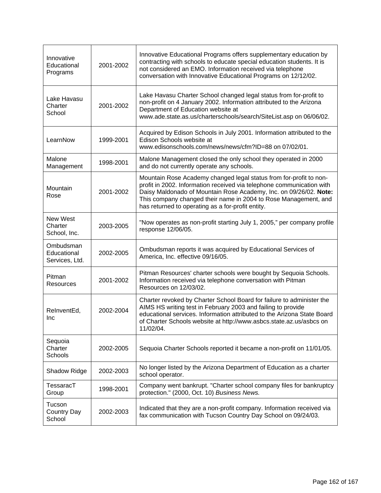| Innovative<br>Educational<br>Programs      | 2001-2002 | Innovative Educational Programs offers supplementary education by<br>contracting with schools to educate special education students. It is<br>not considered an EMO. Information received via telephone<br>conversation with Innovative Educational Programs on 12/12/02.                                                                |
|--------------------------------------------|-----------|------------------------------------------------------------------------------------------------------------------------------------------------------------------------------------------------------------------------------------------------------------------------------------------------------------------------------------------|
| Lake Havasu<br>Charter<br>School           | 2001-2002 | Lake Havasu Charter School changed legal status from for-profit to<br>non-profit on 4 January 2002. Information attributed to the Arizona<br>Department of Education website at<br>www.ade.state.as.us/charterschools/search/SiteList.asp on 06/06/02.                                                                                   |
| LearnNow                                   | 1999-2001 | Acquired by Edison Schools in July 2001. Information attributed to the<br>Edison Schools website at<br>www.edisonschools.com/news/news/cfm?ID=88 on 07/02/01.                                                                                                                                                                            |
| Malone<br>Management                       | 1998-2001 | Malone Management closed the only school they operated in 2000<br>and do not currently operate any schools.                                                                                                                                                                                                                              |
| Mountain<br>Rose                           | 2001-2002 | Mountain Rose Academy changed legal status from for-profit to non-<br>profit in 2002. Information received via telephone communication with<br>Daisy Maldonado of Mountain Rose Academy, Inc. on 09/26/02. Note:<br>This company changed their name in 2004 to Rose Management, and<br>has returned to operating as a for-profit entity. |
| New West<br>Charter<br>School, Inc.        | 2003-2005 | "Now operates as non-profit starting July 1, 2005," per company profile<br>response 12/06/05.                                                                                                                                                                                                                                            |
| Ombudsman<br>Educational<br>Services, Ltd. | 2002-2005 | Ombudsman reports it was acquired by Educational Services of<br>America, Inc. effective 09/16/05.                                                                                                                                                                                                                                        |
| Pitman<br>Resources                        | 2001-2002 | Pitman Resources' charter schools were bought by Sequoia Schools.<br>Information received via telephone conversation with Pitman<br>Resources on 12/03/02.                                                                                                                                                                               |
| ReInventEd,<br>Inc                         | 2002-2004 | Charter revoked by Charter School Board for failure to administer the<br>AIMS HS writing test in February 2003 and failing to provide<br>educational services. Information attributed to the Arizona State Board<br>of Charter Schools website at http://www.asbcs.state.az.us/asbcs on<br>11/02/04.                                     |
| Sequoia<br>Charter<br>Schools              | 2002-2005 | Sequoia Charter Schools reported it became a non-profit on 11/01/05.                                                                                                                                                                                                                                                                     |
| Shadow Ridge                               | 2002-2003 | No longer listed by the Arizona Department of Education as a charter<br>school operator.                                                                                                                                                                                                                                                 |
| TessaracT<br>Group                         | 1998-2001 | Company went bankrupt. "Charter school company files for bankruptcy<br>protection." (2000, Oct. 10) Business News.                                                                                                                                                                                                                       |
| Tucson<br><b>Country Day</b><br>School     | 2002-2003 | Indicated that they are a non-profit company. Information received via<br>fax communication with Tucson Country Day School on 09/24/03.                                                                                                                                                                                                  |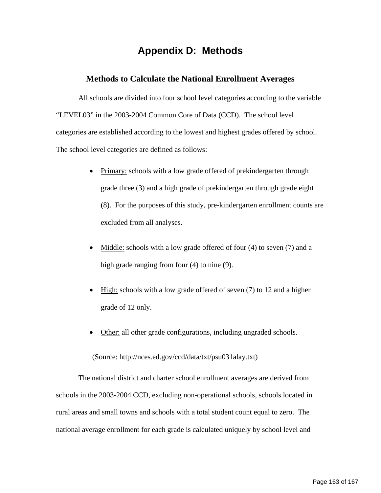# **Appendix D: Methods**

## **Methods to Calculate the National Enrollment Averages**

All schools are divided into four school level categories according to the variable "LEVEL03" in the 2003-2004 Common Core of Data (CCD). The school level categories are established according to the lowest and highest grades offered by school. The school level categories are defined as follows:

- Primary: schools with a low grade offered of prekindergarten through grade three (3) and a high grade of prekindergarten through grade eight (8). For the purposes of this study, pre-kindergarten enrollment counts are excluded from all analyses.
- Middle: schools with a low grade offered of four (4) to seven (7) and a high grade ranging from four (4) to nine (9).
- High: schools with a low grade offered of seven (7) to 12 and a higher grade of 12 only.
- Other: all other grade configurations, including ungraded schools.

(Source: http://nces.ed.gov/ccd/data/txt/psu031alay.txt)

The national district and charter school enrollment averages are derived from schools in the 2003-2004 CCD, excluding non-operational schools, schools located in rural areas and small towns and schools with a total student count equal to zero. The national average enrollment for each grade is calculated uniquely by school level and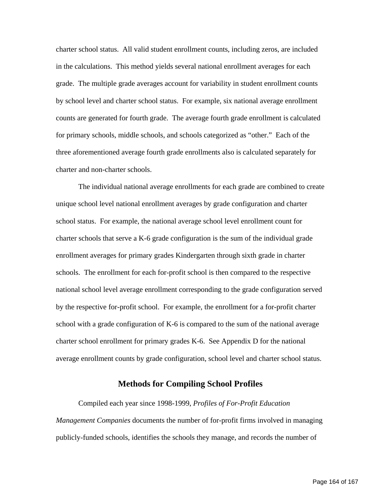charter school status. All valid student enrollment counts, including zeros, are included in the calculations. This method yields several national enrollment averages for each grade. The multiple grade averages account for variability in student enrollment counts by school level and charter school status. For example, six national average enrollment counts are generated for fourth grade. The average fourth grade enrollment is calculated for primary schools, middle schools, and schools categorized as "other." Each of the three aforementioned average fourth grade enrollments also is calculated separately for charter and non-charter schools.

The individual national average enrollments for each grade are combined to create unique school level national enrollment averages by grade configuration and charter school status. For example, the national average school level enrollment count for charter schools that serve a K-6 grade configuration is the sum of the individual grade enrollment averages for primary grades Kindergarten through sixth grade in charter schools. The enrollment for each for-profit school is then compared to the respective national school level average enrollment corresponding to the grade configuration served by the respective for-profit school. For example, the enrollment for a for-profit charter school with a grade configuration of K-6 is compared to the sum of the national average charter school enrollment for primary grades K-6. See Appendix D for the national average enrollment counts by grade configuration, school level and charter school status.

### **Methods for Compiling School Profiles**

Compiled each year since 1998-1999, *Profiles of For-Profit Education Management Companies* documents the number of for-profit firms involved in managing publicly-funded schools, identifies the schools they manage, and records the number of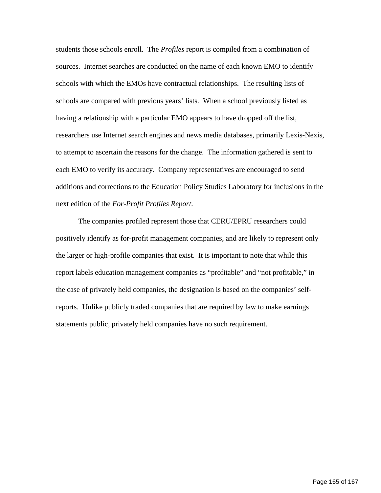students those schools enroll. The *Profiles* report is compiled from a combination of sources. Internet searches are conducted on the name of each known EMO to identify schools with which the EMOs have contractual relationships. The resulting lists of schools are compared with previous years' lists. When a school previously listed as having a relationship with a particular EMO appears to have dropped off the list, researchers use Internet search engines and news media databases, primarily Lexis-Nexis, to attempt to ascertain the reasons for the change. The information gathered is sent to each EMO to verify its accuracy. Company representatives are encouraged to send additions and corrections to the Education Policy Studies Laboratory for inclusions in the next edition of the *For-Profit Profiles Report*.

The companies profiled represent those that CERU/EPRU researchers could positively identify as for-profit management companies, and are likely to represent only the larger or high-profile companies that exist. It is important to note that while this report labels education management companies as "profitable" and "not profitable," in the case of privately held companies, the designation is based on the companies' selfreports. Unlike publicly traded companies that are required by law to make earnings statements public, privately held companies have no such requirement.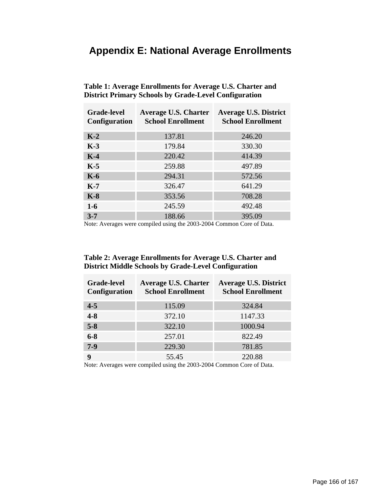# **Appendix E: National Average Enrollments**

| <b>Grade-level</b><br><b>Configuration</b> | <b>Average U.S. Charter</b><br><b>School Enrollment</b> | <b>Average U.S. District</b><br><b>School Enrollment</b> |
|--------------------------------------------|---------------------------------------------------------|----------------------------------------------------------|
| $K-2$                                      | 137.81                                                  | 246.20                                                   |
| $K-3$                                      | 179.84                                                  | 330.30                                                   |
| $K-4$                                      | 220.42                                                  | 414.39                                                   |
| $K-5$                                      | 259.88                                                  | 497.89                                                   |
| $K-6$                                      | 294.31                                                  | 572.56                                                   |
| $K-7$                                      | 326.47                                                  | 641.29                                                   |
| $K-8$                                      | 353.56                                                  | 708.28                                                   |
| $1-6$                                      | 245.59                                                  | 492.48                                                   |
| $3 - 7$                                    | 188.66                                                  | 395.09                                                   |

**Table 1: Average Enrollments for Average U.S. Charter and District Primary Schools by Grade-Level Configuration** 

Note: Averages were compiled using the 2003-2004 Common Core of Data.

## **Table 2: Average Enrollments for Average U.S. Charter and District Middle Schools by Grade-Level Configuration**

| <b>Grade-level</b><br><b>Configuration</b> | <b>Average U.S. Charter</b><br><b>School Enrollment</b> | <b>Average U.S. District</b><br><b>School Enrollment</b> |
|--------------------------------------------|---------------------------------------------------------|----------------------------------------------------------|
| $4 - 5$                                    | 115.09                                                  | 324.84                                                   |
| $4 - 8$                                    | 372.10                                                  | 1147.33                                                  |
| $5 - 8$                                    | 322.10                                                  | 1000.94                                                  |
| $6 - 8$                                    | 257.01                                                  | 822.49                                                   |
| $7-9$                                      | 229.30                                                  | 781.85                                                   |
| q                                          | 55.45                                                   | 220.88                                                   |

Note: Averages were compiled using the 2003-2004 Common Core of Data.